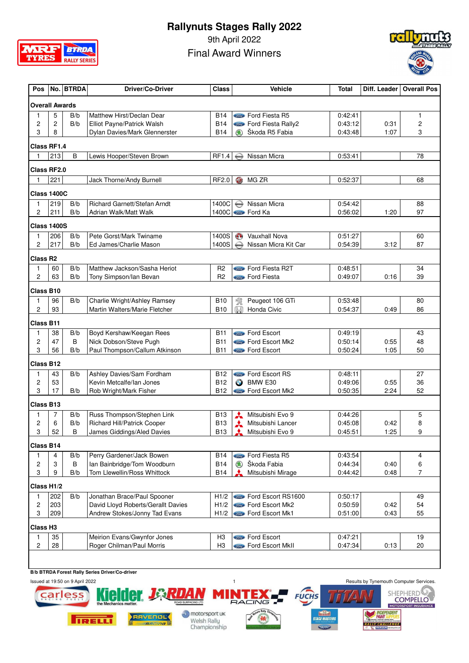

9th April 2022 Final Award Winners



| Pos                   |                | No. BTRDA | <b>Driver/Co-Driver</b>                            | <b>Class</b>             |               | <b>Vehicle</b>                   | Total              |              | Diff. Leader   Overall Pos |
|-----------------------|----------------|-----------|----------------------------------------------------|--------------------------|---------------|----------------------------------|--------------------|--------------|----------------------------|
| <b>Overall Awards</b> |                |           |                                                    |                          |               |                                  |                    |              |                            |
| 1                     | 5              | B/b       | Matthew Hirst/Declan Dear                          | <b>B14</b>               |               | <b>State</b> Ford Fiesta R5      | 0:42:41            |              | 1                          |
| 2                     | 2              | B/b       | Elliot Payne/Patrick Walsh                         | <b>B14</b>               |               | <b>Start</b> Ford Fiesta Rally2  | 0:43:12            | 0:31         | 2                          |
| 3                     | 8              |           | Dylan Davies/Mark Glennerster                      | <b>B14</b>               |               | Škoda R5 Fabia                   | 0:43:48            | 1:07         | 3                          |
| <b>Class RF1.4</b>    |                |           |                                                    |                          |               |                                  |                    |              |                            |
| 1                     | 213            | B         | Lewis Hooper/Steven Brown                          | RF1.4                    | <b>MESAN</b>  | Nissan Micra                     | 0:53:41            |              | 78                         |
| <b>Class RF2.0</b>    |                |           |                                                    |                          |               |                                  |                    |              |                            |
| 1                     | 221            |           | Jack Thorne/Andy Burnell                           | RF2.0                    | <b>GD</b>     | MG ZR                            | 0:52:37            |              | 68                         |
| Class 1400C           |                |           |                                                    |                          |               |                                  |                    |              |                            |
| 1                     | 219            | B/b       | <b>Richard Garnett/Stefan Arndt</b>                | 1400C                    | $\bigoplus$   | Nissan Micra                     | 0:54:42            |              | 88                         |
| 2                     | 211            | B/b       | Adrian Walk/Matt Walk                              |                          |               | 1400C Gord Ford Ka               | 0:56:02            | 1:20         | 97                         |
| <b>Class 1400S</b>    |                |           |                                                    |                          |               |                                  |                    |              |                            |
| 1                     | 206            | B/b       | Pete Gorst/Mark Twiname                            | 1400S                    | $\mathbf{C}$  | <b>Vauxhall Nova</b>             | 0:51:27            |              | 60                         |
| 2                     | 217            | B/b       | Ed James/Charlie Mason                             | 1400S                    | MANAN         | Nissan Micra Kit Car             | 0:54:39            | 3:12         | 87                         |
| Class R <sub>2</sub>  |                |           |                                                    |                          |               |                                  |                    |              |                            |
| 1                     | 60             | B/b       | Matthew Jackson/Sasha Heriot                       | R <sub>2</sub>           |               | <b>State</b> Ford Fiesta R2T     | 0:48:51            |              | 34                         |
| $\overline{c}$        | 63             | B/b       | Tony Simpson/Ian Bevan                             | R <sub>2</sub>           |               | <b>Sond</b> Ford Fiesta          | 0:49:07            | 0:16         | 39                         |
| Class B10             |                |           |                                                    |                          |               |                                  |                    |              |                            |
| 1                     | 96             | B/b       | Charlie Wright/Ashley Ramsey                       | <b>B10</b>               | 敎             | Peugeot 106 GTi                  | 0:53:48            |              | 80                         |
| 2                     | 93             |           | Martin Walters/Marie Fletcher                      | <b>B10</b>               | (N)           | Honda Civic                      | 0:54:37            | 0:49         | 86                         |
| Class B11             |                |           |                                                    |                          |               |                                  |                    |              |                            |
| 1                     | 38             | B/b       | Boyd Kershaw/Keegan Rees                           | <b>B11</b>               |               | Sond Ford Escort                 | 0:49:19            |              | 43                         |
| 2                     | 47             | B         | Nick Dobson/Steve Pugh                             | <b>B11</b>               |               | Some Ford Escort Mk2             | 0:50:14            | 0:55         | 48                         |
| 3                     | 56             | B/b       | Paul Thompson/Callum Atkinson                      | <b>B11</b>               |               | Sord Ford Escort                 | 0:50:24            | 1:05         | 50                         |
| <b>Class B12</b>      |                |           |                                                    |                          |               |                                  |                    |              |                            |
| 1                     | 43             | B/b       | Ashley Davies/Sam Fordham                          | <b>B12</b>               |               | Ford Escort RS                   | 0:48:11            |              | 27                         |
| 2<br>3                | 53<br>17       | B/b       | Kevin Metcalfe/lan Jones<br>Rob Wright/Mark Fisher | <b>B12</b><br><b>B12</b> | $\bullet$     | BMW E30<br>Stone Ford Escort Mk2 | 0:49:06<br>0:50:35 | 0:55<br>2:24 | 36<br>52                   |
|                       |                |           |                                                    |                          |               |                                  |                    |              |                            |
| <b>Class B13</b><br>1 | $\overline{7}$ | B/b       | Russ Thompson/Stephen Link                         | <b>B13</b>               | ⋏             | Mitsubishi Evo 9                 | 0:44:26            |              | 5                          |
| 2                     | 6              | B/b       | Richard Hill/Patrick Cooper                        | <b>B13</b>               | ⋏             | Mitsubishi Lancer                | 0:45:08            | 0:42         | 8                          |
| 3                     | 52             | B         | James Giddings/Aled Davies                         | <b>B13</b>               |               | Mitsubishi Evo 9                 | 0:45:51            | 1:25         | 9                          |
| Class B14             |                |           |                                                    |                          |               |                                  |                    |              |                            |
| 1                     | 4              | B/b       | Perry Gardener/Jack Bowen                          | <b>B14</b>               |               | Ford Fiesta R5                   | 0:43:54            |              | 4                          |
| 2                     | 3              | B         | Ian Bainbridge/Tom Woodburn                        | <b>B14</b>               | $\circledast$ | Škoda Fabia                      | 0:44:34            | 0:40         | 6                          |
| 3                     | 9              | B/b       | Tom Llewellin/Ross Whittock                        | <b>B14</b>               |               | Mitsubishi Mirage                | 0:44:42            | 0:48         | $\overline{7}$             |
| Class H1/2            |                |           |                                                    |                          |               |                                  |                    |              |                            |
| 1                     | 202            | B/b       | Jonathan Brace/Paul Spooner                        | H1/2                     |               | Ford Escort RS1600               | 0:50:17            |              | 49                         |
| 2                     | 203            |           | David Lloyd Roberts/Gerallt Davies                 | H1/2                     |               | <b>State</b> Ford Escort Mk2     | 0:50:59            | 0:42         | 54                         |
| 3                     | 209            |           | Andrew Stokes/Jonny Tad Evans                      | H1/2                     |               | Store Ford Escort Mk1            | 0:51:00            | 0:43         | 55                         |
| Class H <sub>3</sub>  |                |           |                                                    |                          |               |                                  |                    |              |                            |
| 1                     | 35             |           | Meirion Evans/Gwynfor Jones                        | H <sub>3</sub>           |               | <b>State</b> Ford Escort         | 0:47:21            |              | 19                         |
| 2                     | 28             |           | Roger Chilman/Paul Morris                          | H <sub>3</sub>           |               | <b>Content</b> Ford Escort MkII  | 0:47:34            | 0:13         | 20                         |
|                       |                |           |                                                    |                          |               |                                  |                    |              |                            |

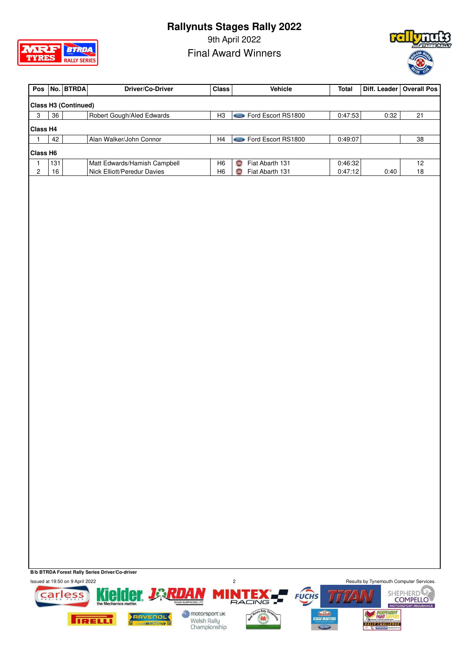

9th April 2022 Final Award Winners



|          |     | Pos   No.   BTRDA                | Driver/Co-Driver             | <b>Class</b>   | <b>Vehicle</b>                 | <b>Total</b> |      | Diff. Leader   Overall Pos |
|----------|-----|----------------------------------|------------------------------|----------------|--------------------------------|--------------|------|----------------------------|
|          |     | Class H <sub>3</sub> (Continued) |                              |                |                                |              |      |                            |
| 3        | 36  |                                  | Robert Gough/Aled Edwards    | H <sub>3</sub> | Ford Escort RS1800             | 0:47:53      | 0:32 | 21                         |
| Class H4 |     |                                  |                              |                |                                |              |      |                            |
|          | 42  |                                  | Alan Walker/John Connor      | H <sub>4</sub> | <b>Come</b> Ford Escort RS1800 | 0:49:07      |      | 38                         |
| Class H6 |     |                                  |                              |                |                                |              |      |                            |
|          | 131 |                                  | Matt Edwards/Hamish Campbell | H <sub>6</sub> | Fiat Abarth 131<br><b>TERT</b> | 0:46:32      |      | 12                         |
| 2        | 16  |                                  | Nick Elliott/Peredur Davies  | H <sub>6</sub> | Fiat Abarth 131                | 0:47:12      | 0:40 | 18                         |

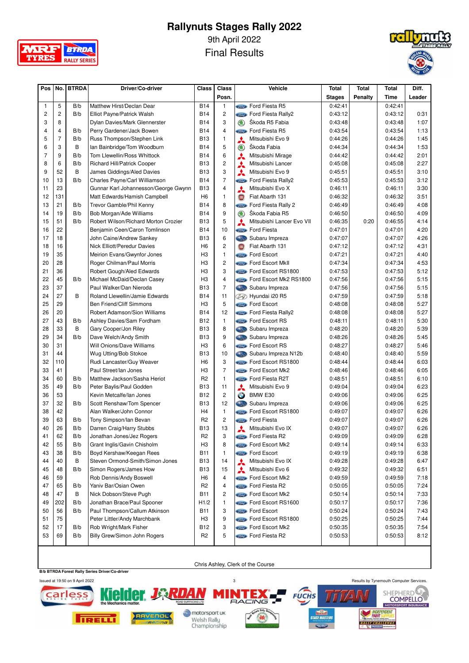

9th April 2022

Final Results



| Posn.<br><b>Stages</b><br>Penalty<br>Time<br>Leader<br><b>Come</b> Ford Fiesta R5<br>0:42:41<br>1<br>5<br>B/b<br>Matthew Hirst/Declan Dear<br><b>B14</b><br>$\mathbf{1}$<br>0:42:41<br>$\overline{c}$<br>$\overline{c}$<br>2<br>B/b<br><b>B14</b><br><b>Street Ford Fiesta Rally2</b><br>0:43:12<br>0:43:12<br>0:31<br>Elliot Payne/Patrick Walsh<br>3<br>8<br>3<br>Škoda R5 Fabia<br><b>B14</b><br>1:07<br>Dylan Davies/Mark Glennerster<br>$\circledast$<br>0:43:48<br>0:43:48<br>$\overline{4}$<br>$\overline{4}$<br>1:13<br>4<br>B/b<br><b>B14</b><br>Ford Fiesta R5<br>0:43:54<br>Perry Gardener/Jack Bowen<br>0:43:54<br>Sird.<br>$\overline{7}$<br>5<br>1:45<br>B/b<br><b>B13</b><br>1<br>⋏<br>Mitsubishi Evo 9<br>0:44:26<br>Russ Thompson/Stephen Link<br>0:44:26<br>3<br>5<br>6<br>В<br><b>B14</b><br>Škoda Fabia<br>0:44:34<br>0:44:34<br>1:53<br>lan Bainbridge/Tom Woodburn<br>$\circledast$<br>$\overline{7}$<br>9<br>6<br>B/b<br><b>B14</b><br>⋏<br>0:44:42<br>2:01<br>Tom Llewellin/Ross Whittock<br>Mitsubishi Mirage<br>0:44:42<br>6<br>$\overline{c}$<br>8<br>B/b<br>Richard Hill/Patrick Cooper<br><b>B13</b><br>0:45:08<br>0:45:08<br>2:27<br>Mitsubishi Lancer<br>⋏<br>3<br>9<br>52<br>B<br><b>B13</b><br>⋏<br>Mitsubishi Evo 9<br>3:10<br>James Giddings/Aled Davies<br>0:45:51<br>0:45:51<br>13<br>$\overline{7}$<br>3:12<br>10<br>B/b<br><b>B14</b><br>Ford Fiesta Rally2<br>0:45:53<br>0:45:53<br>Charles Payne/Carl Williamson<br><b>Sind</b><br>23<br>$\overline{4}$<br>3:30<br>11<br>⋏<br>Mitsubishi Evo X<br>Gunnar Karl Johannesson/George Gwynn<br><b>B13</b><br>0:46:11<br>0:46:11<br>131<br>3:51<br>12<br>H <sub>6</sub><br>$\mathbf{1}$<br>Fiat Abarth 131<br>0:46:32<br>Matt Edwards/Hamish Campbell<br><b>OD</b><br>0:46:32<br>21<br>8<br>4:08<br>13<br>B/b<br><b>B14</b><br>Ford Fiesta Rally 2<br>0:46:49<br>0:46:49<br>Trevor Gamble/Phil Kenny<br>Sird.<br>9<br>4:09<br>14<br>19<br>B/b<br><b>B14</b><br>Škoda Fabia R5<br>0:46:50<br>0:46:50<br>Bob Morgan/Ade Williams<br>$\circledast$<br>51<br>5<br>4:14<br>15<br>B/b<br>Robert Wilson/Richard Morton Crozier<br><b>B13</b><br>Mitsubishi Lancer Evo VII<br>0:46:35<br>0:20<br>0:46:55<br>⋏<br>16<br>22<br>4:20<br>Benjamin Ceen/Caron Tomlinson<br><b>B14</b><br>10<br><b>Compo</b> Ford Fiesta<br>0:47:01<br>0:47:01<br>4:26<br>17<br>18<br><b>B13</b><br>6<br>Gas<br>John Caine/Andrew Sankey<br>Subaru Impreza<br>0:47:07<br>0:47:07<br>$\overline{c}$<br>4:31<br>18<br>16<br>Nick Elliott/Peredur Davies<br>H <sub>6</sub><br>Fiat Abarth 131<br>0:47:12<br><b>GIRT</b><br>0:47:12<br>35<br>4:40<br>19<br>Meirion Evans/Gwynfor Jones<br>H <sub>3</sub><br>$\mathbf{1}$<br><b>Come</b> Ford Escort<br>0:47:21<br>0:47:21<br>28<br>$\overline{c}$<br>4:53<br>20<br>H <sub>3</sub><br><b>Come</b> Ford Escort MkII<br>0:47:34<br>0:47:34<br>Roger Chilman/Paul Morris<br>21<br>36<br>3<br>5:12<br>Robert Gough/Aled Edwards<br>H <sub>3</sub><br>Ford Escort RS1800<br>0:47:53<br>0:47:53<br>22<br>45<br>$\overline{4}$<br>B/b<br>Michael McDaid/Declan Casey<br>H <sub>3</sub><br>Ford Escort Mk2 RS1800<br>0:47:56<br>5:15<br>0:47:56<br>23<br>37<br>Paul Walker/Dan Nieroda<br>$\overline{7}$<br>0:47:56<br>5:15<br>B13<br>Subaru Impreza<br>0:47:56<br>27<br>5:18<br>24<br>B<br>Roland Llewellin/Jamie Edwards<br><b>B14</b><br>11<br>B Hyundai i20 R5<br>0:47:59<br>0:47:59<br>25<br>29<br>5<br><b>State</b> Ford Escort<br>5:27<br>Ben Friend/Cliff Simmons<br>H <sub>3</sub><br>0:48:08<br>0:48:08<br>5:27<br>26<br>20<br>Robert Adamson/Sion Williams<br><b>B14</b><br>12<br><b>State</b> Ford Fiesta Rally2<br>0:48:08<br>0:48:08<br>27<br>43<br>5:30<br>Ashley Davies/Sam Fordham<br>B12<br>1<br>Ford Escort RS<br>B/b<br>0:48:11<br>0:48:11<br>B<br>5:39<br>28<br>33<br>Gary Cooper/Jon Riley<br><b>B13</b><br>8<br>0:48:20<br>0:48:20<br>3.3<br>Subaru Impreza<br>29<br>34<br>9<br>5:45<br>B/b<br>Dave Welch/Andy Smith<br><b>B13</b><br>6.3<br>0:48:26<br>0:48:26<br>Subaru Impreza<br>30<br>31<br>6<br>Will Onions/Dave Williams<br>H <sub>3</sub><br><b>Come</b> Ford Escort RS<br>0:48:27<br>0:48:27<br>5:46<br>44<br>5:59<br>31<br>Wug Utting/Bob Stokoe<br><b>B13</b><br>10<br>0:48:40<br>Subaru Impreza N12b<br>0:48:40<br>6.3<br>32<br>110<br>Rudi Lancaster/Guy Weaver<br>H <sub>6</sub><br>3<br><b>State</b> Ford Escort RS1800<br>0:48:44<br>6:03<br>0:48:44<br>41<br>$\overline{7}$<br>33<br>Paul Street/lan Jones<br>H <sub>3</sub><br><b>Come</b> Ford Escort Mk2<br>0:48:46<br>6:05<br>0:48:46<br>34<br>60<br>B/b<br>Matthew Jackson/Sasha Heriot<br>R <sub>2</sub><br>$\mathbf{1}$<br>Ford Fiesta R2T<br>0:48:51<br>6:10<br>0:48:51<br><i><b>Sord</b></i><br>49<br>6:23<br>35<br>B/b<br><b>B13</b><br>11<br>⋏<br>Mitsubishi Evo 9<br>0:49:04<br>Peter Baylis/Paul Godden<br>0:49:04<br>53<br>$\overline{c}$<br>6:25<br>36<br><b>B12</b><br>$\bullet$<br>BMW E30<br>0:49:06<br>0:49:06<br>Kevin Metcalfe/lan Jones<br>32<br>12<br>6:25<br>37<br>B/b<br><b>B13</b><br>0:49:06<br>Scott Renshaw/Tom Spencer<br><b>Castle</b><br>Subaru Impreza<br>0:49:06<br>38<br>42<br>H <sub>4</sub><br>$\mathbf{1}$<br>Ford Escort RS1800<br>0:49:07<br>6:26<br>Alan Walker/John Connor<br>0:49:07<br>63<br>$\overline{c}$<br>6:26<br>39<br>R <sub>2</sub><br><b>Conce</b> Ford Fiesta<br>0:49:07<br>B/b<br>Tony Simpson/Ian Bevan<br>0:49:07<br>26<br>13<br>40<br>B/b<br><b>B13</b><br>Mitsubishi Evo IX<br>0:49:07<br>0:49:07<br>6:26<br>Darren Craig/Harry Stubbs<br>62<br>B/b<br>R <sub>2</sub><br>3<br>0:49:09<br>0:49:09<br>6:28<br>41<br>Jonathan Jones/Jez Rogers<br>State Ford Fiesta R2<br>8<br>0:49:14<br>42<br>55<br>B/b<br>Grant Inglis/Gavin Chisholm<br>H3<br><b>Sind</b> Ford Escort Mk2<br>0:49:14<br>6:33<br>38<br><b>Sind</b> Ford Escort<br>6:38<br>43<br>B/b<br>Boyd Kershaw/Keegan Rees<br>0:49:19<br>0:49:19<br>B11<br>1<br>40<br>В<br>Steven Ormond-Smith/Simon Jones<br><b>B13</b><br>14<br>Mitsubishi Evo IX<br>0:49:28<br>6:47<br>44<br>0:49:28<br>48<br>B/b<br>Simon Rogers/James How<br><b>B13</b><br>15<br>Mitsubishi Evo 6<br>0:49:32<br>0:49:32<br>6:51<br>45<br>⋏<br>4<br><b>Street Ford Escort Mk2</b><br>0:49:59<br>46<br>59<br>Rob Dennis/Andy Boswell<br>H <sub>6</sub><br>0:49:59<br>7:18<br>65<br>Yaniv Bar/Osian Owen<br><b>Street Ford Fiesta R2</b><br>7:24<br>47<br>B/b<br>R2<br>4<br>0:50:05<br>0:50:05<br>47<br>В<br>Nick Dobson/Steve Pugh<br>$\mathbf{2}$<br><b>Sind</b> Ford Escort Mk2<br>7:33<br>48<br>B11<br>0:50:14<br>0:50:14<br>202<br>Jonathan Brace/Paul Spooner<br>H1/2<br>1<br>Ford Escort RS1600<br>7:36<br>49<br>B/b<br>0:50:17<br>0:50:17<br>Paul Thompson/Callum Atkinson<br>3<br><b>Sind</b> Ford Escort<br>7:43<br>50<br>56<br>B/b<br><b>B11</b><br>0:50:24<br>0:50:24<br>75<br>9<br>Ford Escort RS1800<br>7:44<br>51<br>Peter Littler/Andy Marchbank<br>H <sub>3</sub><br>0:50:25<br>0:50:25<br>17<br>Rob Wright/Mark Fisher<br>3<br><b>Sind</b> Ford Escort Mk2<br>7:54<br>52<br>B/b<br>B12<br>0:50:35<br>0:50:35<br>Ford Fiesta R2 | Pos | No. | <b>BTRDA</b> | Driver/Co-driver             | Class          | <b>Class</b> | Vehicle | <b>Total</b> | <b>Total</b> | <b>Total</b> | Diff. |
|--------------------------------------------------------------------------------------------------------------------------------------------------------------------------------------------------------------------------------------------------------------------------------------------------------------------------------------------------------------------------------------------------------------------------------------------------------------------------------------------------------------------------------------------------------------------------------------------------------------------------------------------------------------------------------------------------------------------------------------------------------------------------------------------------------------------------------------------------------------------------------------------------------------------------------------------------------------------------------------------------------------------------------------------------------------------------------------------------------------------------------------------------------------------------------------------------------------------------------------------------------------------------------------------------------------------------------------------------------------------------------------------------------------------------------------------------------------------------------------------------------------------------------------------------------------------------------------------------------------------------------------------------------------------------------------------------------------------------------------------------------------------------------------------------------------------------------------------------------------------------------------------------------------------------------------------------------------------------------------------------------------------------------------------------------------------------------------------------------------------------------------------------------------------------------------------------------------------------------------------------------------------------------------------------------------------------------------------------------------------------------------------------------------------------------------------------------------------------------------------------------------------------------------------------------------------------------------------------------------------------------------------------------------------------------------------------------------------------------------------------------------------------------------------------------------------------------------------------------------------------------------------------------------------------------------------------------------------------------------------------------------------------------------------------------------------------------------------------------------------------------------------------------------------------------------------------------------------------------------------------------------------------------------------------------------------------------------------------------------------------------------------------------------------------------------------------------------------------------------------------------------------------------------------------------------------------------------------------------------------------------------------------------------------------------------------------------------------------------------------------------------------------------------------------------------------------------------------------------------------------------------------------------------------------------------------------------------------------------------------------------------------------------------------------------------------------------------------------------------------------------------------------------------------------------------------------------------------------------------------------------------------------------------------------------------------------------------------------------------------------------------------------------------------------------------------------------------------------------------------------------------------------------------------------------------------------------------------------------------------------------------------------------------------------------------------------------------------------------------------------------------------------------------------------------------------------------------------------------------------------------------------------------------------------------------------------------------------------------------------------------------------------------------------------------------------------------------------------------------------------------------------------------------------------------------------------------------------------------------------------------------------------------------------------------------------------------------------------------------------------------------------------------------------------------------------------------------------------------------------------------------------------------------------------------------------------------------------------------------------------------------------------------------------------------------------------------------------------------------------------------------------------------------------------------------------------------------------------------------------------------------------------------------------------------------------------------------------------------------------------------------------------------------------------------------------------------------------------------------------------------------------------------------------------------------------------------------------------------------------------------------------------------------------------------------------------------------------------------------------------------------------------------------------------------------------------------------------------------------------------------------------------------------------------------------------------------------------------------------------------------------------------------------------------------------------------------------------------------------------------------------------------------------------------------------------------------------------------------------------------------------------------------------------------------------------------------------------------------------------------------------------|-----|-----|--------------|------------------------------|----------------|--------------|---------|--------------|--------------|--------------|-------|
|                                                                                                                                                                                                                                                                                                                                                                                                                                                                                                                                                                                                                                                                                                                                                                                                                                                                                                                                                                                                                                                                                                                                                                                                                                                                                                                                                                                                                                                                                                                                                                                                                                                                                                                                                                                                                                                                                                                                                                                                                                                                                                                                                                                                                                                                                                                                                                                                                                                                                                                                                                                                                                                                                                                                                                                                                                                                                                                                                                                                                                                                                                                                                                                                                                                                                                                                                                                                                                                                                                                                                                                                                                                                                                                                                                                                                                                                                                                                                                                                                                                                                                                                                                                                                                                                                                                                                                                                                                                                                                                                                                                                                                                                                                                                                                                                                                                                                                                                                                                                                                                                                                                                                                                                                                                                                                                                                                                                                                                                                                                                                                                                                                                                                                                                                                                                                                                                                                                                                                                                                                                                                                                                                                                                                                                                                                                                                                                                                                                                                                                                                                                                                                                                                                                                                                                                                                                                                                                                                                                                                    |     |     |              |                              |                |              |         |              |              |              |       |
|                                                                                                                                                                                                                                                                                                                                                                                                                                                                                                                                                                                                                                                                                                                                                                                                                                                                                                                                                                                                                                                                                                                                                                                                                                                                                                                                                                                                                                                                                                                                                                                                                                                                                                                                                                                                                                                                                                                                                                                                                                                                                                                                                                                                                                                                                                                                                                                                                                                                                                                                                                                                                                                                                                                                                                                                                                                                                                                                                                                                                                                                                                                                                                                                                                                                                                                                                                                                                                                                                                                                                                                                                                                                                                                                                                                                                                                                                                                                                                                                                                                                                                                                                                                                                                                                                                                                                                                                                                                                                                                                                                                                                                                                                                                                                                                                                                                                                                                                                                                                                                                                                                                                                                                                                                                                                                                                                                                                                                                                                                                                                                                                                                                                                                                                                                                                                                                                                                                                                                                                                                                                                                                                                                                                                                                                                                                                                                                                                                                                                                                                                                                                                                                                                                                                                                                                                                                                                                                                                                                                                    |     |     |              |                              |                |              |         |              |              |              |       |
|                                                                                                                                                                                                                                                                                                                                                                                                                                                                                                                                                                                                                                                                                                                                                                                                                                                                                                                                                                                                                                                                                                                                                                                                                                                                                                                                                                                                                                                                                                                                                                                                                                                                                                                                                                                                                                                                                                                                                                                                                                                                                                                                                                                                                                                                                                                                                                                                                                                                                                                                                                                                                                                                                                                                                                                                                                                                                                                                                                                                                                                                                                                                                                                                                                                                                                                                                                                                                                                                                                                                                                                                                                                                                                                                                                                                                                                                                                                                                                                                                                                                                                                                                                                                                                                                                                                                                                                                                                                                                                                                                                                                                                                                                                                                                                                                                                                                                                                                                                                                                                                                                                                                                                                                                                                                                                                                                                                                                                                                                                                                                                                                                                                                                                                                                                                                                                                                                                                                                                                                                                                                                                                                                                                                                                                                                                                                                                                                                                                                                                                                                                                                                                                                                                                                                                                                                                                                                                                                                                                                                    |     |     |              |                              |                |              |         |              |              |              |       |
|                                                                                                                                                                                                                                                                                                                                                                                                                                                                                                                                                                                                                                                                                                                                                                                                                                                                                                                                                                                                                                                                                                                                                                                                                                                                                                                                                                                                                                                                                                                                                                                                                                                                                                                                                                                                                                                                                                                                                                                                                                                                                                                                                                                                                                                                                                                                                                                                                                                                                                                                                                                                                                                                                                                                                                                                                                                                                                                                                                                                                                                                                                                                                                                                                                                                                                                                                                                                                                                                                                                                                                                                                                                                                                                                                                                                                                                                                                                                                                                                                                                                                                                                                                                                                                                                                                                                                                                                                                                                                                                                                                                                                                                                                                                                                                                                                                                                                                                                                                                                                                                                                                                                                                                                                                                                                                                                                                                                                                                                                                                                                                                                                                                                                                                                                                                                                                                                                                                                                                                                                                                                                                                                                                                                                                                                                                                                                                                                                                                                                                                                                                                                                                                                                                                                                                                                                                                                                                                                                                                                                    |     |     |              |                              |                |              |         |              |              |              |       |
|                                                                                                                                                                                                                                                                                                                                                                                                                                                                                                                                                                                                                                                                                                                                                                                                                                                                                                                                                                                                                                                                                                                                                                                                                                                                                                                                                                                                                                                                                                                                                                                                                                                                                                                                                                                                                                                                                                                                                                                                                                                                                                                                                                                                                                                                                                                                                                                                                                                                                                                                                                                                                                                                                                                                                                                                                                                                                                                                                                                                                                                                                                                                                                                                                                                                                                                                                                                                                                                                                                                                                                                                                                                                                                                                                                                                                                                                                                                                                                                                                                                                                                                                                                                                                                                                                                                                                                                                                                                                                                                                                                                                                                                                                                                                                                                                                                                                                                                                                                                                                                                                                                                                                                                                                                                                                                                                                                                                                                                                                                                                                                                                                                                                                                                                                                                                                                                                                                                                                                                                                                                                                                                                                                                                                                                                                                                                                                                                                                                                                                                                                                                                                                                                                                                                                                                                                                                                                                                                                                                                                    |     |     |              |                              |                |              |         |              |              |              |       |
|                                                                                                                                                                                                                                                                                                                                                                                                                                                                                                                                                                                                                                                                                                                                                                                                                                                                                                                                                                                                                                                                                                                                                                                                                                                                                                                                                                                                                                                                                                                                                                                                                                                                                                                                                                                                                                                                                                                                                                                                                                                                                                                                                                                                                                                                                                                                                                                                                                                                                                                                                                                                                                                                                                                                                                                                                                                                                                                                                                                                                                                                                                                                                                                                                                                                                                                                                                                                                                                                                                                                                                                                                                                                                                                                                                                                                                                                                                                                                                                                                                                                                                                                                                                                                                                                                                                                                                                                                                                                                                                                                                                                                                                                                                                                                                                                                                                                                                                                                                                                                                                                                                                                                                                                                                                                                                                                                                                                                                                                                                                                                                                                                                                                                                                                                                                                                                                                                                                                                                                                                                                                                                                                                                                                                                                                                                                                                                                                                                                                                                                                                                                                                                                                                                                                                                                                                                                                                                                                                                                                                    |     |     |              |                              |                |              |         |              |              |              |       |
|                                                                                                                                                                                                                                                                                                                                                                                                                                                                                                                                                                                                                                                                                                                                                                                                                                                                                                                                                                                                                                                                                                                                                                                                                                                                                                                                                                                                                                                                                                                                                                                                                                                                                                                                                                                                                                                                                                                                                                                                                                                                                                                                                                                                                                                                                                                                                                                                                                                                                                                                                                                                                                                                                                                                                                                                                                                                                                                                                                                                                                                                                                                                                                                                                                                                                                                                                                                                                                                                                                                                                                                                                                                                                                                                                                                                                                                                                                                                                                                                                                                                                                                                                                                                                                                                                                                                                                                                                                                                                                                                                                                                                                                                                                                                                                                                                                                                                                                                                                                                                                                                                                                                                                                                                                                                                                                                                                                                                                                                                                                                                                                                                                                                                                                                                                                                                                                                                                                                                                                                                                                                                                                                                                                                                                                                                                                                                                                                                                                                                                                                                                                                                                                                                                                                                                                                                                                                                                                                                                                                                    |     |     |              |                              |                |              |         |              |              |              |       |
|                                                                                                                                                                                                                                                                                                                                                                                                                                                                                                                                                                                                                                                                                                                                                                                                                                                                                                                                                                                                                                                                                                                                                                                                                                                                                                                                                                                                                                                                                                                                                                                                                                                                                                                                                                                                                                                                                                                                                                                                                                                                                                                                                                                                                                                                                                                                                                                                                                                                                                                                                                                                                                                                                                                                                                                                                                                                                                                                                                                                                                                                                                                                                                                                                                                                                                                                                                                                                                                                                                                                                                                                                                                                                                                                                                                                                                                                                                                                                                                                                                                                                                                                                                                                                                                                                                                                                                                                                                                                                                                                                                                                                                                                                                                                                                                                                                                                                                                                                                                                                                                                                                                                                                                                                                                                                                                                                                                                                                                                                                                                                                                                                                                                                                                                                                                                                                                                                                                                                                                                                                                                                                                                                                                                                                                                                                                                                                                                                                                                                                                                                                                                                                                                                                                                                                                                                                                                                                                                                                                                                    |     |     |              |                              |                |              |         |              |              |              |       |
|                                                                                                                                                                                                                                                                                                                                                                                                                                                                                                                                                                                                                                                                                                                                                                                                                                                                                                                                                                                                                                                                                                                                                                                                                                                                                                                                                                                                                                                                                                                                                                                                                                                                                                                                                                                                                                                                                                                                                                                                                                                                                                                                                                                                                                                                                                                                                                                                                                                                                                                                                                                                                                                                                                                                                                                                                                                                                                                                                                                                                                                                                                                                                                                                                                                                                                                                                                                                                                                                                                                                                                                                                                                                                                                                                                                                                                                                                                                                                                                                                                                                                                                                                                                                                                                                                                                                                                                                                                                                                                                                                                                                                                                                                                                                                                                                                                                                                                                                                                                                                                                                                                                                                                                                                                                                                                                                                                                                                                                                                                                                                                                                                                                                                                                                                                                                                                                                                                                                                                                                                                                                                                                                                                                                                                                                                                                                                                                                                                                                                                                                                                                                                                                                                                                                                                                                                                                                                                                                                                                                                    |     |     |              |                              |                |              |         |              |              |              |       |
|                                                                                                                                                                                                                                                                                                                                                                                                                                                                                                                                                                                                                                                                                                                                                                                                                                                                                                                                                                                                                                                                                                                                                                                                                                                                                                                                                                                                                                                                                                                                                                                                                                                                                                                                                                                                                                                                                                                                                                                                                                                                                                                                                                                                                                                                                                                                                                                                                                                                                                                                                                                                                                                                                                                                                                                                                                                                                                                                                                                                                                                                                                                                                                                                                                                                                                                                                                                                                                                                                                                                                                                                                                                                                                                                                                                                                                                                                                                                                                                                                                                                                                                                                                                                                                                                                                                                                                                                                                                                                                                                                                                                                                                                                                                                                                                                                                                                                                                                                                                                                                                                                                                                                                                                                                                                                                                                                                                                                                                                                                                                                                                                                                                                                                                                                                                                                                                                                                                                                                                                                                                                                                                                                                                                                                                                                                                                                                                                                                                                                                                                                                                                                                                                                                                                                                                                                                                                                                                                                                                                                    |     |     |              |                              |                |              |         |              |              |              |       |
|                                                                                                                                                                                                                                                                                                                                                                                                                                                                                                                                                                                                                                                                                                                                                                                                                                                                                                                                                                                                                                                                                                                                                                                                                                                                                                                                                                                                                                                                                                                                                                                                                                                                                                                                                                                                                                                                                                                                                                                                                                                                                                                                                                                                                                                                                                                                                                                                                                                                                                                                                                                                                                                                                                                                                                                                                                                                                                                                                                                                                                                                                                                                                                                                                                                                                                                                                                                                                                                                                                                                                                                                                                                                                                                                                                                                                                                                                                                                                                                                                                                                                                                                                                                                                                                                                                                                                                                                                                                                                                                                                                                                                                                                                                                                                                                                                                                                                                                                                                                                                                                                                                                                                                                                                                                                                                                                                                                                                                                                                                                                                                                                                                                                                                                                                                                                                                                                                                                                                                                                                                                                                                                                                                                                                                                                                                                                                                                                                                                                                                                                                                                                                                                                                                                                                                                                                                                                                                                                                                                                                    |     |     |              |                              |                |              |         |              |              |              |       |
|                                                                                                                                                                                                                                                                                                                                                                                                                                                                                                                                                                                                                                                                                                                                                                                                                                                                                                                                                                                                                                                                                                                                                                                                                                                                                                                                                                                                                                                                                                                                                                                                                                                                                                                                                                                                                                                                                                                                                                                                                                                                                                                                                                                                                                                                                                                                                                                                                                                                                                                                                                                                                                                                                                                                                                                                                                                                                                                                                                                                                                                                                                                                                                                                                                                                                                                                                                                                                                                                                                                                                                                                                                                                                                                                                                                                                                                                                                                                                                                                                                                                                                                                                                                                                                                                                                                                                                                                                                                                                                                                                                                                                                                                                                                                                                                                                                                                                                                                                                                                                                                                                                                                                                                                                                                                                                                                                                                                                                                                                                                                                                                                                                                                                                                                                                                                                                                                                                                                                                                                                                                                                                                                                                                                                                                                                                                                                                                                                                                                                                                                                                                                                                                                                                                                                                                                                                                                                                                                                                                                                    |     |     |              |                              |                |              |         |              |              |              |       |
|                                                                                                                                                                                                                                                                                                                                                                                                                                                                                                                                                                                                                                                                                                                                                                                                                                                                                                                                                                                                                                                                                                                                                                                                                                                                                                                                                                                                                                                                                                                                                                                                                                                                                                                                                                                                                                                                                                                                                                                                                                                                                                                                                                                                                                                                                                                                                                                                                                                                                                                                                                                                                                                                                                                                                                                                                                                                                                                                                                                                                                                                                                                                                                                                                                                                                                                                                                                                                                                                                                                                                                                                                                                                                                                                                                                                                                                                                                                                                                                                                                                                                                                                                                                                                                                                                                                                                                                                                                                                                                                                                                                                                                                                                                                                                                                                                                                                                                                                                                                                                                                                                                                                                                                                                                                                                                                                                                                                                                                                                                                                                                                                                                                                                                                                                                                                                                                                                                                                                                                                                                                                                                                                                                                                                                                                                                                                                                                                                                                                                                                                                                                                                                                                                                                                                                                                                                                                                                                                                                                                                    |     |     |              |                              |                |              |         |              |              |              |       |
|                                                                                                                                                                                                                                                                                                                                                                                                                                                                                                                                                                                                                                                                                                                                                                                                                                                                                                                                                                                                                                                                                                                                                                                                                                                                                                                                                                                                                                                                                                                                                                                                                                                                                                                                                                                                                                                                                                                                                                                                                                                                                                                                                                                                                                                                                                                                                                                                                                                                                                                                                                                                                                                                                                                                                                                                                                                                                                                                                                                                                                                                                                                                                                                                                                                                                                                                                                                                                                                                                                                                                                                                                                                                                                                                                                                                                                                                                                                                                                                                                                                                                                                                                                                                                                                                                                                                                                                                                                                                                                                                                                                                                                                                                                                                                                                                                                                                                                                                                                                                                                                                                                                                                                                                                                                                                                                                                                                                                                                                                                                                                                                                                                                                                                                                                                                                                                                                                                                                                                                                                                                                                                                                                                                                                                                                                                                                                                                                                                                                                                                                                                                                                                                                                                                                                                                                                                                                                                                                                                                                                    |     |     |              |                              |                |              |         |              |              |              |       |
|                                                                                                                                                                                                                                                                                                                                                                                                                                                                                                                                                                                                                                                                                                                                                                                                                                                                                                                                                                                                                                                                                                                                                                                                                                                                                                                                                                                                                                                                                                                                                                                                                                                                                                                                                                                                                                                                                                                                                                                                                                                                                                                                                                                                                                                                                                                                                                                                                                                                                                                                                                                                                                                                                                                                                                                                                                                                                                                                                                                                                                                                                                                                                                                                                                                                                                                                                                                                                                                                                                                                                                                                                                                                                                                                                                                                                                                                                                                                                                                                                                                                                                                                                                                                                                                                                                                                                                                                                                                                                                                                                                                                                                                                                                                                                                                                                                                                                                                                                                                                                                                                                                                                                                                                                                                                                                                                                                                                                                                                                                                                                                                                                                                                                                                                                                                                                                                                                                                                                                                                                                                                                                                                                                                                                                                                                                                                                                                                                                                                                                                                                                                                                                                                                                                                                                                                                                                                                                                                                                                                                    |     |     |              |                              |                |              |         |              |              |              |       |
|                                                                                                                                                                                                                                                                                                                                                                                                                                                                                                                                                                                                                                                                                                                                                                                                                                                                                                                                                                                                                                                                                                                                                                                                                                                                                                                                                                                                                                                                                                                                                                                                                                                                                                                                                                                                                                                                                                                                                                                                                                                                                                                                                                                                                                                                                                                                                                                                                                                                                                                                                                                                                                                                                                                                                                                                                                                                                                                                                                                                                                                                                                                                                                                                                                                                                                                                                                                                                                                                                                                                                                                                                                                                                                                                                                                                                                                                                                                                                                                                                                                                                                                                                                                                                                                                                                                                                                                                                                                                                                                                                                                                                                                                                                                                                                                                                                                                                                                                                                                                                                                                                                                                                                                                                                                                                                                                                                                                                                                                                                                                                                                                                                                                                                                                                                                                                                                                                                                                                                                                                                                                                                                                                                                                                                                                                                                                                                                                                                                                                                                                                                                                                                                                                                                                                                                                                                                                                                                                                                                                                    |     |     |              |                              |                |              |         |              |              |              |       |
|                                                                                                                                                                                                                                                                                                                                                                                                                                                                                                                                                                                                                                                                                                                                                                                                                                                                                                                                                                                                                                                                                                                                                                                                                                                                                                                                                                                                                                                                                                                                                                                                                                                                                                                                                                                                                                                                                                                                                                                                                                                                                                                                                                                                                                                                                                                                                                                                                                                                                                                                                                                                                                                                                                                                                                                                                                                                                                                                                                                                                                                                                                                                                                                                                                                                                                                                                                                                                                                                                                                                                                                                                                                                                                                                                                                                                                                                                                                                                                                                                                                                                                                                                                                                                                                                                                                                                                                                                                                                                                                                                                                                                                                                                                                                                                                                                                                                                                                                                                                                                                                                                                                                                                                                                                                                                                                                                                                                                                                                                                                                                                                                                                                                                                                                                                                                                                                                                                                                                                                                                                                                                                                                                                                                                                                                                                                                                                                                                                                                                                                                                                                                                                                                                                                                                                                                                                                                                                                                                                                                                    |     |     |              |                              |                |              |         |              |              |              |       |
|                                                                                                                                                                                                                                                                                                                                                                                                                                                                                                                                                                                                                                                                                                                                                                                                                                                                                                                                                                                                                                                                                                                                                                                                                                                                                                                                                                                                                                                                                                                                                                                                                                                                                                                                                                                                                                                                                                                                                                                                                                                                                                                                                                                                                                                                                                                                                                                                                                                                                                                                                                                                                                                                                                                                                                                                                                                                                                                                                                                                                                                                                                                                                                                                                                                                                                                                                                                                                                                                                                                                                                                                                                                                                                                                                                                                                                                                                                                                                                                                                                                                                                                                                                                                                                                                                                                                                                                                                                                                                                                                                                                                                                                                                                                                                                                                                                                                                                                                                                                                                                                                                                                                                                                                                                                                                                                                                                                                                                                                                                                                                                                                                                                                                                                                                                                                                                                                                                                                                                                                                                                                                                                                                                                                                                                                                                                                                                                                                                                                                                                                                                                                                                                                                                                                                                                                                                                                                                                                                                                                                    |     |     |              |                              |                |              |         |              |              |              |       |
|                                                                                                                                                                                                                                                                                                                                                                                                                                                                                                                                                                                                                                                                                                                                                                                                                                                                                                                                                                                                                                                                                                                                                                                                                                                                                                                                                                                                                                                                                                                                                                                                                                                                                                                                                                                                                                                                                                                                                                                                                                                                                                                                                                                                                                                                                                                                                                                                                                                                                                                                                                                                                                                                                                                                                                                                                                                                                                                                                                                                                                                                                                                                                                                                                                                                                                                                                                                                                                                                                                                                                                                                                                                                                                                                                                                                                                                                                                                                                                                                                                                                                                                                                                                                                                                                                                                                                                                                                                                                                                                                                                                                                                                                                                                                                                                                                                                                                                                                                                                                                                                                                                                                                                                                                                                                                                                                                                                                                                                                                                                                                                                                                                                                                                                                                                                                                                                                                                                                                                                                                                                                                                                                                                                                                                                                                                                                                                                                                                                                                                                                                                                                                                                                                                                                                                                                                                                                                                                                                                                                                    |     |     |              |                              |                |              |         |              |              |              |       |
|                                                                                                                                                                                                                                                                                                                                                                                                                                                                                                                                                                                                                                                                                                                                                                                                                                                                                                                                                                                                                                                                                                                                                                                                                                                                                                                                                                                                                                                                                                                                                                                                                                                                                                                                                                                                                                                                                                                                                                                                                                                                                                                                                                                                                                                                                                                                                                                                                                                                                                                                                                                                                                                                                                                                                                                                                                                                                                                                                                                                                                                                                                                                                                                                                                                                                                                                                                                                                                                                                                                                                                                                                                                                                                                                                                                                                                                                                                                                                                                                                                                                                                                                                                                                                                                                                                                                                                                                                                                                                                                                                                                                                                                                                                                                                                                                                                                                                                                                                                                                                                                                                                                                                                                                                                                                                                                                                                                                                                                                                                                                                                                                                                                                                                                                                                                                                                                                                                                                                                                                                                                                                                                                                                                                                                                                                                                                                                                                                                                                                                                                                                                                                                                                                                                                                                                                                                                                                                                                                                                                                    |     |     |              |                              |                |              |         |              |              |              |       |
|                                                                                                                                                                                                                                                                                                                                                                                                                                                                                                                                                                                                                                                                                                                                                                                                                                                                                                                                                                                                                                                                                                                                                                                                                                                                                                                                                                                                                                                                                                                                                                                                                                                                                                                                                                                                                                                                                                                                                                                                                                                                                                                                                                                                                                                                                                                                                                                                                                                                                                                                                                                                                                                                                                                                                                                                                                                                                                                                                                                                                                                                                                                                                                                                                                                                                                                                                                                                                                                                                                                                                                                                                                                                                                                                                                                                                                                                                                                                                                                                                                                                                                                                                                                                                                                                                                                                                                                                                                                                                                                                                                                                                                                                                                                                                                                                                                                                                                                                                                                                                                                                                                                                                                                                                                                                                                                                                                                                                                                                                                                                                                                                                                                                                                                                                                                                                                                                                                                                                                                                                                                                                                                                                                                                                                                                                                                                                                                                                                                                                                                                                                                                                                                                                                                                                                                                                                                                                                                                                                                                                    |     |     |              |                              |                |              |         |              |              |              |       |
|                                                                                                                                                                                                                                                                                                                                                                                                                                                                                                                                                                                                                                                                                                                                                                                                                                                                                                                                                                                                                                                                                                                                                                                                                                                                                                                                                                                                                                                                                                                                                                                                                                                                                                                                                                                                                                                                                                                                                                                                                                                                                                                                                                                                                                                                                                                                                                                                                                                                                                                                                                                                                                                                                                                                                                                                                                                                                                                                                                                                                                                                                                                                                                                                                                                                                                                                                                                                                                                                                                                                                                                                                                                                                                                                                                                                                                                                                                                                                                                                                                                                                                                                                                                                                                                                                                                                                                                                                                                                                                                                                                                                                                                                                                                                                                                                                                                                                                                                                                                                                                                                                                                                                                                                                                                                                                                                                                                                                                                                                                                                                                                                                                                                                                                                                                                                                                                                                                                                                                                                                                                                                                                                                                                                                                                                                                                                                                                                                                                                                                                                                                                                                                                                                                                                                                                                                                                                                                                                                                                                                    |     |     |              |                              |                |              |         |              |              |              |       |
|                                                                                                                                                                                                                                                                                                                                                                                                                                                                                                                                                                                                                                                                                                                                                                                                                                                                                                                                                                                                                                                                                                                                                                                                                                                                                                                                                                                                                                                                                                                                                                                                                                                                                                                                                                                                                                                                                                                                                                                                                                                                                                                                                                                                                                                                                                                                                                                                                                                                                                                                                                                                                                                                                                                                                                                                                                                                                                                                                                                                                                                                                                                                                                                                                                                                                                                                                                                                                                                                                                                                                                                                                                                                                                                                                                                                                                                                                                                                                                                                                                                                                                                                                                                                                                                                                                                                                                                                                                                                                                                                                                                                                                                                                                                                                                                                                                                                                                                                                                                                                                                                                                                                                                                                                                                                                                                                                                                                                                                                                                                                                                                                                                                                                                                                                                                                                                                                                                                                                                                                                                                                                                                                                                                                                                                                                                                                                                                                                                                                                                                                                                                                                                                                                                                                                                                                                                                                                                                                                                                                                    |     |     |              |                              |                |              |         |              |              |              |       |
|                                                                                                                                                                                                                                                                                                                                                                                                                                                                                                                                                                                                                                                                                                                                                                                                                                                                                                                                                                                                                                                                                                                                                                                                                                                                                                                                                                                                                                                                                                                                                                                                                                                                                                                                                                                                                                                                                                                                                                                                                                                                                                                                                                                                                                                                                                                                                                                                                                                                                                                                                                                                                                                                                                                                                                                                                                                                                                                                                                                                                                                                                                                                                                                                                                                                                                                                                                                                                                                                                                                                                                                                                                                                                                                                                                                                                                                                                                                                                                                                                                                                                                                                                                                                                                                                                                                                                                                                                                                                                                                                                                                                                                                                                                                                                                                                                                                                                                                                                                                                                                                                                                                                                                                                                                                                                                                                                                                                                                                                                                                                                                                                                                                                                                                                                                                                                                                                                                                                                                                                                                                                                                                                                                                                                                                                                                                                                                                                                                                                                                                                                                                                                                                                                                                                                                                                                                                                                                                                                                                                                    |     |     |              |                              |                |              |         |              |              |              |       |
|                                                                                                                                                                                                                                                                                                                                                                                                                                                                                                                                                                                                                                                                                                                                                                                                                                                                                                                                                                                                                                                                                                                                                                                                                                                                                                                                                                                                                                                                                                                                                                                                                                                                                                                                                                                                                                                                                                                                                                                                                                                                                                                                                                                                                                                                                                                                                                                                                                                                                                                                                                                                                                                                                                                                                                                                                                                                                                                                                                                                                                                                                                                                                                                                                                                                                                                                                                                                                                                                                                                                                                                                                                                                                                                                                                                                                                                                                                                                                                                                                                                                                                                                                                                                                                                                                                                                                                                                                                                                                                                                                                                                                                                                                                                                                                                                                                                                                                                                                                                                                                                                                                                                                                                                                                                                                                                                                                                                                                                                                                                                                                                                                                                                                                                                                                                                                                                                                                                                                                                                                                                                                                                                                                                                                                                                                                                                                                                                                                                                                                                                                                                                                                                                                                                                                                                                                                                                                                                                                                                                                    |     |     |              |                              |                |              |         |              |              |              |       |
|                                                                                                                                                                                                                                                                                                                                                                                                                                                                                                                                                                                                                                                                                                                                                                                                                                                                                                                                                                                                                                                                                                                                                                                                                                                                                                                                                                                                                                                                                                                                                                                                                                                                                                                                                                                                                                                                                                                                                                                                                                                                                                                                                                                                                                                                                                                                                                                                                                                                                                                                                                                                                                                                                                                                                                                                                                                                                                                                                                                                                                                                                                                                                                                                                                                                                                                                                                                                                                                                                                                                                                                                                                                                                                                                                                                                                                                                                                                                                                                                                                                                                                                                                                                                                                                                                                                                                                                                                                                                                                                                                                                                                                                                                                                                                                                                                                                                                                                                                                                                                                                                                                                                                                                                                                                                                                                                                                                                                                                                                                                                                                                                                                                                                                                                                                                                                                                                                                                                                                                                                                                                                                                                                                                                                                                                                                                                                                                                                                                                                                                                                                                                                                                                                                                                                                                                                                                                                                                                                                                                                    |     |     |              |                              |                |              |         |              |              |              |       |
|                                                                                                                                                                                                                                                                                                                                                                                                                                                                                                                                                                                                                                                                                                                                                                                                                                                                                                                                                                                                                                                                                                                                                                                                                                                                                                                                                                                                                                                                                                                                                                                                                                                                                                                                                                                                                                                                                                                                                                                                                                                                                                                                                                                                                                                                                                                                                                                                                                                                                                                                                                                                                                                                                                                                                                                                                                                                                                                                                                                                                                                                                                                                                                                                                                                                                                                                                                                                                                                                                                                                                                                                                                                                                                                                                                                                                                                                                                                                                                                                                                                                                                                                                                                                                                                                                                                                                                                                                                                                                                                                                                                                                                                                                                                                                                                                                                                                                                                                                                                                                                                                                                                                                                                                                                                                                                                                                                                                                                                                                                                                                                                                                                                                                                                                                                                                                                                                                                                                                                                                                                                                                                                                                                                                                                                                                                                                                                                                                                                                                                                                                                                                                                                                                                                                                                                                                                                                                                                                                                                                                    |     |     |              |                              |                |              |         |              |              |              |       |
|                                                                                                                                                                                                                                                                                                                                                                                                                                                                                                                                                                                                                                                                                                                                                                                                                                                                                                                                                                                                                                                                                                                                                                                                                                                                                                                                                                                                                                                                                                                                                                                                                                                                                                                                                                                                                                                                                                                                                                                                                                                                                                                                                                                                                                                                                                                                                                                                                                                                                                                                                                                                                                                                                                                                                                                                                                                                                                                                                                                                                                                                                                                                                                                                                                                                                                                                                                                                                                                                                                                                                                                                                                                                                                                                                                                                                                                                                                                                                                                                                                                                                                                                                                                                                                                                                                                                                                                                                                                                                                                                                                                                                                                                                                                                                                                                                                                                                                                                                                                                                                                                                                                                                                                                                                                                                                                                                                                                                                                                                                                                                                                                                                                                                                                                                                                                                                                                                                                                                                                                                                                                                                                                                                                                                                                                                                                                                                                                                                                                                                                                                                                                                                                                                                                                                                                                                                                                                                                                                                                                                    |     |     |              |                              |                |              |         |              |              |              |       |
|                                                                                                                                                                                                                                                                                                                                                                                                                                                                                                                                                                                                                                                                                                                                                                                                                                                                                                                                                                                                                                                                                                                                                                                                                                                                                                                                                                                                                                                                                                                                                                                                                                                                                                                                                                                                                                                                                                                                                                                                                                                                                                                                                                                                                                                                                                                                                                                                                                                                                                                                                                                                                                                                                                                                                                                                                                                                                                                                                                                                                                                                                                                                                                                                                                                                                                                                                                                                                                                                                                                                                                                                                                                                                                                                                                                                                                                                                                                                                                                                                                                                                                                                                                                                                                                                                                                                                                                                                                                                                                                                                                                                                                                                                                                                                                                                                                                                                                                                                                                                                                                                                                                                                                                                                                                                                                                                                                                                                                                                                                                                                                                                                                                                                                                                                                                                                                                                                                                                                                                                                                                                                                                                                                                                                                                                                                                                                                                                                                                                                                                                                                                                                                                                                                                                                                                                                                                                                                                                                                                                                    |     |     |              |                              |                |              |         |              |              |              |       |
|                                                                                                                                                                                                                                                                                                                                                                                                                                                                                                                                                                                                                                                                                                                                                                                                                                                                                                                                                                                                                                                                                                                                                                                                                                                                                                                                                                                                                                                                                                                                                                                                                                                                                                                                                                                                                                                                                                                                                                                                                                                                                                                                                                                                                                                                                                                                                                                                                                                                                                                                                                                                                                                                                                                                                                                                                                                                                                                                                                                                                                                                                                                                                                                                                                                                                                                                                                                                                                                                                                                                                                                                                                                                                                                                                                                                                                                                                                                                                                                                                                                                                                                                                                                                                                                                                                                                                                                                                                                                                                                                                                                                                                                                                                                                                                                                                                                                                                                                                                                                                                                                                                                                                                                                                                                                                                                                                                                                                                                                                                                                                                                                                                                                                                                                                                                                                                                                                                                                                                                                                                                                                                                                                                                                                                                                                                                                                                                                                                                                                                                                                                                                                                                                                                                                                                                                                                                                                                                                                                                                                    |     |     |              |                              |                |              |         |              |              |              |       |
|                                                                                                                                                                                                                                                                                                                                                                                                                                                                                                                                                                                                                                                                                                                                                                                                                                                                                                                                                                                                                                                                                                                                                                                                                                                                                                                                                                                                                                                                                                                                                                                                                                                                                                                                                                                                                                                                                                                                                                                                                                                                                                                                                                                                                                                                                                                                                                                                                                                                                                                                                                                                                                                                                                                                                                                                                                                                                                                                                                                                                                                                                                                                                                                                                                                                                                                                                                                                                                                                                                                                                                                                                                                                                                                                                                                                                                                                                                                                                                                                                                                                                                                                                                                                                                                                                                                                                                                                                                                                                                                                                                                                                                                                                                                                                                                                                                                                                                                                                                                                                                                                                                                                                                                                                                                                                                                                                                                                                                                                                                                                                                                                                                                                                                                                                                                                                                                                                                                                                                                                                                                                                                                                                                                                                                                                                                                                                                                                                                                                                                                                                                                                                                                                                                                                                                                                                                                                                                                                                                                                                    |     |     |              |                              |                |              |         |              |              |              |       |
|                                                                                                                                                                                                                                                                                                                                                                                                                                                                                                                                                                                                                                                                                                                                                                                                                                                                                                                                                                                                                                                                                                                                                                                                                                                                                                                                                                                                                                                                                                                                                                                                                                                                                                                                                                                                                                                                                                                                                                                                                                                                                                                                                                                                                                                                                                                                                                                                                                                                                                                                                                                                                                                                                                                                                                                                                                                                                                                                                                                                                                                                                                                                                                                                                                                                                                                                                                                                                                                                                                                                                                                                                                                                                                                                                                                                                                                                                                                                                                                                                                                                                                                                                                                                                                                                                                                                                                                                                                                                                                                                                                                                                                                                                                                                                                                                                                                                                                                                                                                                                                                                                                                                                                                                                                                                                                                                                                                                                                                                                                                                                                                                                                                                                                                                                                                                                                                                                                                                                                                                                                                                                                                                                                                                                                                                                                                                                                                                                                                                                                                                                                                                                                                                                                                                                                                                                                                                                                                                                                                                                    |     |     |              |                              |                |              |         |              |              |              |       |
|                                                                                                                                                                                                                                                                                                                                                                                                                                                                                                                                                                                                                                                                                                                                                                                                                                                                                                                                                                                                                                                                                                                                                                                                                                                                                                                                                                                                                                                                                                                                                                                                                                                                                                                                                                                                                                                                                                                                                                                                                                                                                                                                                                                                                                                                                                                                                                                                                                                                                                                                                                                                                                                                                                                                                                                                                                                                                                                                                                                                                                                                                                                                                                                                                                                                                                                                                                                                                                                                                                                                                                                                                                                                                                                                                                                                                                                                                                                                                                                                                                                                                                                                                                                                                                                                                                                                                                                                                                                                                                                                                                                                                                                                                                                                                                                                                                                                                                                                                                                                                                                                                                                                                                                                                                                                                                                                                                                                                                                                                                                                                                                                                                                                                                                                                                                                                                                                                                                                                                                                                                                                                                                                                                                                                                                                                                                                                                                                                                                                                                                                                                                                                                                                                                                                                                                                                                                                                                                                                                                                                    |     |     |              |                              |                |              |         |              |              |              |       |
|                                                                                                                                                                                                                                                                                                                                                                                                                                                                                                                                                                                                                                                                                                                                                                                                                                                                                                                                                                                                                                                                                                                                                                                                                                                                                                                                                                                                                                                                                                                                                                                                                                                                                                                                                                                                                                                                                                                                                                                                                                                                                                                                                                                                                                                                                                                                                                                                                                                                                                                                                                                                                                                                                                                                                                                                                                                                                                                                                                                                                                                                                                                                                                                                                                                                                                                                                                                                                                                                                                                                                                                                                                                                                                                                                                                                                                                                                                                                                                                                                                                                                                                                                                                                                                                                                                                                                                                                                                                                                                                                                                                                                                                                                                                                                                                                                                                                                                                                                                                                                                                                                                                                                                                                                                                                                                                                                                                                                                                                                                                                                                                                                                                                                                                                                                                                                                                                                                                                                                                                                                                                                                                                                                                                                                                                                                                                                                                                                                                                                                                                                                                                                                                                                                                                                                                                                                                                                                                                                                                                                    |     |     |              |                              |                |              |         |              |              |              |       |
|                                                                                                                                                                                                                                                                                                                                                                                                                                                                                                                                                                                                                                                                                                                                                                                                                                                                                                                                                                                                                                                                                                                                                                                                                                                                                                                                                                                                                                                                                                                                                                                                                                                                                                                                                                                                                                                                                                                                                                                                                                                                                                                                                                                                                                                                                                                                                                                                                                                                                                                                                                                                                                                                                                                                                                                                                                                                                                                                                                                                                                                                                                                                                                                                                                                                                                                                                                                                                                                                                                                                                                                                                                                                                                                                                                                                                                                                                                                                                                                                                                                                                                                                                                                                                                                                                                                                                                                                                                                                                                                                                                                                                                                                                                                                                                                                                                                                                                                                                                                                                                                                                                                                                                                                                                                                                                                                                                                                                                                                                                                                                                                                                                                                                                                                                                                                                                                                                                                                                                                                                                                                                                                                                                                                                                                                                                                                                                                                                                                                                                                                                                                                                                                                                                                                                                                                                                                                                                                                                                                                                    |     |     |              |                              |                |              |         |              |              |              |       |
|                                                                                                                                                                                                                                                                                                                                                                                                                                                                                                                                                                                                                                                                                                                                                                                                                                                                                                                                                                                                                                                                                                                                                                                                                                                                                                                                                                                                                                                                                                                                                                                                                                                                                                                                                                                                                                                                                                                                                                                                                                                                                                                                                                                                                                                                                                                                                                                                                                                                                                                                                                                                                                                                                                                                                                                                                                                                                                                                                                                                                                                                                                                                                                                                                                                                                                                                                                                                                                                                                                                                                                                                                                                                                                                                                                                                                                                                                                                                                                                                                                                                                                                                                                                                                                                                                                                                                                                                                                                                                                                                                                                                                                                                                                                                                                                                                                                                                                                                                                                                                                                                                                                                                                                                                                                                                                                                                                                                                                                                                                                                                                                                                                                                                                                                                                                                                                                                                                                                                                                                                                                                                                                                                                                                                                                                                                                                                                                                                                                                                                                                                                                                                                                                                                                                                                                                                                                                                                                                                                                                                    |     |     |              |                              |                |              |         |              |              |              |       |
|                                                                                                                                                                                                                                                                                                                                                                                                                                                                                                                                                                                                                                                                                                                                                                                                                                                                                                                                                                                                                                                                                                                                                                                                                                                                                                                                                                                                                                                                                                                                                                                                                                                                                                                                                                                                                                                                                                                                                                                                                                                                                                                                                                                                                                                                                                                                                                                                                                                                                                                                                                                                                                                                                                                                                                                                                                                                                                                                                                                                                                                                                                                                                                                                                                                                                                                                                                                                                                                                                                                                                                                                                                                                                                                                                                                                                                                                                                                                                                                                                                                                                                                                                                                                                                                                                                                                                                                                                                                                                                                                                                                                                                                                                                                                                                                                                                                                                                                                                                                                                                                                                                                                                                                                                                                                                                                                                                                                                                                                                                                                                                                                                                                                                                                                                                                                                                                                                                                                                                                                                                                                                                                                                                                                                                                                                                                                                                                                                                                                                                                                                                                                                                                                                                                                                                                                                                                                                                                                                                                                                    |     |     |              |                              |                |              |         |              |              |              |       |
|                                                                                                                                                                                                                                                                                                                                                                                                                                                                                                                                                                                                                                                                                                                                                                                                                                                                                                                                                                                                                                                                                                                                                                                                                                                                                                                                                                                                                                                                                                                                                                                                                                                                                                                                                                                                                                                                                                                                                                                                                                                                                                                                                                                                                                                                                                                                                                                                                                                                                                                                                                                                                                                                                                                                                                                                                                                                                                                                                                                                                                                                                                                                                                                                                                                                                                                                                                                                                                                                                                                                                                                                                                                                                                                                                                                                                                                                                                                                                                                                                                                                                                                                                                                                                                                                                                                                                                                                                                                                                                                                                                                                                                                                                                                                                                                                                                                                                                                                                                                                                                                                                                                                                                                                                                                                                                                                                                                                                                                                                                                                                                                                                                                                                                                                                                                                                                                                                                                                                                                                                                                                                                                                                                                                                                                                                                                                                                                                                                                                                                                                                                                                                                                                                                                                                                                                                                                                                                                                                                                                                    |     |     |              |                              |                |              |         |              |              |              |       |
|                                                                                                                                                                                                                                                                                                                                                                                                                                                                                                                                                                                                                                                                                                                                                                                                                                                                                                                                                                                                                                                                                                                                                                                                                                                                                                                                                                                                                                                                                                                                                                                                                                                                                                                                                                                                                                                                                                                                                                                                                                                                                                                                                                                                                                                                                                                                                                                                                                                                                                                                                                                                                                                                                                                                                                                                                                                                                                                                                                                                                                                                                                                                                                                                                                                                                                                                                                                                                                                                                                                                                                                                                                                                                                                                                                                                                                                                                                                                                                                                                                                                                                                                                                                                                                                                                                                                                                                                                                                                                                                                                                                                                                                                                                                                                                                                                                                                                                                                                                                                                                                                                                                                                                                                                                                                                                                                                                                                                                                                                                                                                                                                                                                                                                                                                                                                                                                                                                                                                                                                                                                                                                                                                                                                                                                                                                                                                                                                                                                                                                                                                                                                                                                                                                                                                                                                                                                                                                                                                                                                                    |     |     |              |                              |                |              |         |              |              |              |       |
|                                                                                                                                                                                                                                                                                                                                                                                                                                                                                                                                                                                                                                                                                                                                                                                                                                                                                                                                                                                                                                                                                                                                                                                                                                                                                                                                                                                                                                                                                                                                                                                                                                                                                                                                                                                                                                                                                                                                                                                                                                                                                                                                                                                                                                                                                                                                                                                                                                                                                                                                                                                                                                                                                                                                                                                                                                                                                                                                                                                                                                                                                                                                                                                                                                                                                                                                                                                                                                                                                                                                                                                                                                                                                                                                                                                                                                                                                                                                                                                                                                                                                                                                                                                                                                                                                                                                                                                                                                                                                                                                                                                                                                                                                                                                                                                                                                                                                                                                                                                                                                                                                                                                                                                                                                                                                                                                                                                                                                                                                                                                                                                                                                                                                                                                                                                                                                                                                                                                                                                                                                                                                                                                                                                                                                                                                                                                                                                                                                                                                                                                                                                                                                                                                                                                                                                                                                                                                                                                                                                                                    |     |     |              |                              |                |              |         |              |              |              |       |
|                                                                                                                                                                                                                                                                                                                                                                                                                                                                                                                                                                                                                                                                                                                                                                                                                                                                                                                                                                                                                                                                                                                                                                                                                                                                                                                                                                                                                                                                                                                                                                                                                                                                                                                                                                                                                                                                                                                                                                                                                                                                                                                                                                                                                                                                                                                                                                                                                                                                                                                                                                                                                                                                                                                                                                                                                                                                                                                                                                                                                                                                                                                                                                                                                                                                                                                                                                                                                                                                                                                                                                                                                                                                                                                                                                                                                                                                                                                                                                                                                                                                                                                                                                                                                                                                                                                                                                                                                                                                                                                                                                                                                                                                                                                                                                                                                                                                                                                                                                                                                                                                                                                                                                                                                                                                                                                                                                                                                                                                                                                                                                                                                                                                                                                                                                                                                                                                                                                                                                                                                                                                                                                                                                                                                                                                                                                                                                                                                                                                                                                                                                                                                                                                                                                                                                                                                                                                                                                                                                                                                    |     |     |              |                              |                |              |         |              |              |              |       |
|                                                                                                                                                                                                                                                                                                                                                                                                                                                                                                                                                                                                                                                                                                                                                                                                                                                                                                                                                                                                                                                                                                                                                                                                                                                                                                                                                                                                                                                                                                                                                                                                                                                                                                                                                                                                                                                                                                                                                                                                                                                                                                                                                                                                                                                                                                                                                                                                                                                                                                                                                                                                                                                                                                                                                                                                                                                                                                                                                                                                                                                                                                                                                                                                                                                                                                                                                                                                                                                                                                                                                                                                                                                                                                                                                                                                                                                                                                                                                                                                                                                                                                                                                                                                                                                                                                                                                                                                                                                                                                                                                                                                                                                                                                                                                                                                                                                                                                                                                                                                                                                                                                                                                                                                                                                                                                                                                                                                                                                                                                                                                                                                                                                                                                                                                                                                                                                                                                                                                                                                                                                                                                                                                                                                                                                                                                                                                                                                                                                                                                                                                                                                                                                                                                                                                                                                                                                                                                                                                                                                                    |     |     |              |                              |                |              |         |              |              |              |       |
|                                                                                                                                                                                                                                                                                                                                                                                                                                                                                                                                                                                                                                                                                                                                                                                                                                                                                                                                                                                                                                                                                                                                                                                                                                                                                                                                                                                                                                                                                                                                                                                                                                                                                                                                                                                                                                                                                                                                                                                                                                                                                                                                                                                                                                                                                                                                                                                                                                                                                                                                                                                                                                                                                                                                                                                                                                                                                                                                                                                                                                                                                                                                                                                                                                                                                                                                                                                                                                                                                                                                                                                                                                                                                                                                                                                                                                                                                                                                                                                                                                                                                                                                                                                                                                                                                                                                                                                                                                                                                                                                                                                                                                                                                                                                                                                                                                                                                                                                                                                                                                                                                                                                                                                                                                                                                                                                                                                                                                                                                                                                                                                                                                                                                                                                                                                                                                                                                                                                                                                                                                                                                                                                                                                                                                                                                                                                                                                                                                                                                                                                                                                                                                                                                                                                                                                                                                                                                                                                                                                                                    |     |     |              |                              |                |              |         |              |              |              |       |
|                                                                                                                                                                                                                                                                                                                                                                                                                                                                                                                                                                                                                                                                                                                                                                                                                                                                                                                                                                                                                                                                                                                                                                                                                                                                                                                                                                                                                                                                                                                                                                                                                                                                                                                                                                                                                                                                                                                                                                                                                                                                                                                                                                                                                                                                                                                                                                                                                                                                                                                                                                                                                                                                                                                                                                                                                                                                                                                                                                                                                                                                                                                                                                                                                                                                                                                                                                                                                                                                                                                                                                                                                                                                                                                                                                                                                                                                                                                                                                                                                                                                                                                                                                                                                                                                                                                                                                                                                                                                                                                                                                                                                                                                                                                                                                                                                                                                                                                                                                                                                                                                                                                                                                                                                                                                                                                                                                                                                                                                                                                                                                                                                                                                                                                                                                                                                                                                                                                                                                                                                                                                                                                                                                                                                                                                                                                                                                                                                                                                                                                                                                                                                                                                                                                                                                                                                                                                                                                                                                                                                    |     |     |              |                              |                |              |         |              |              |              |       |
|                                                                                                                                                                                                                                                                                                                                                                                                                                                                                                                                                                                                                                                                                                                                                                                                                                                                                                                                                                                                                                                                                                                                                                                                                                                                                                                                                                                                                                                                                                                                                                                                                                                                                                                                                                                                                                                                                                                                                                                                                                                                                                                                                                                                                                                                                                                                                                                                                                                                                                                                                                                                                                                                                                                                                                                                                                                                                                                                                                                                                                                                                                                                                                                                                                                                                                                                                                                                                                                                                                                                                                                                                                                                                                                                                                                                                                                                                                                                                                                                                                                                                                                                                                                                                                                                                                                                                                                                                                                                                                                                                                                                                                                                                                                                                                                                                                                                                                                                                                                                                                                                                                                                                                                                                                                                                                                                                                                                                                                                                                                                                                                                                                                                                                                                                                                                                                                                                                                                                                                                                                                                                                                                                                                                                                                                                                                                                                                                                                                                                                                                                                                                                                                                                                                                                                                                                                                                                                                                                                                                                    |     |     |              |                              |                |              |         |              |              |              |       |
|                                                                                                                                                                                                                                                                                                                                                                                                                                                                                                                                                                                                                                                                                                                                                                                                                                                                                                                                                                                                                                                                                                                                                                                                                                                                                                                                                                                                                                                                                                                                                                                                                                                                                                                                                                                                                                                                                                                                                                                                                                                                                                                                                                                                                                                                                                                                                                                                                                                                                                                                                                                                                                                                                                                                                                                                                                                                                                                                                                                                                                                                                                                                                                                                                                                                                                                                                                                                                                                                                                                                                                                                                                                                                                                                                                                                                                                                                                                                                                                                                                                                                                                                                                                                                                                                                                                                                                                                                                                                                                                                                                                                                                                                                                                                                                                                                                                                                                                                                                                                                                                                                                                                                                                                                                                                                                                                                                                                                                                                                                                                                                                                                                                                                                                                                                                                                                                                                                                                                                                                                                                                                                                                                                                                                                                                                                                                                                                                                                                                                                                                                                                                                                                                                                                                                                                                                                                                                                                                                                                                                    |     |     |              |                              |                |              |         |              |              |              |       |
|                                                                                                                                                                                                                                                                                                                                                                                                                                                                                                                                                                                                                                                                                                                                                                                                                                                                                                                                                                                                                                                                                                                                                                                                                                                                                                                                                                                                                                                                                                                                                                                                                                                                                                                                                                                                                                                                                                                                                                                                                                                                                                                                                                                                                                                                                                                                                                                                                                                                                                                                                                                                                                                                                                                                                                                                                                                                                                                                                                                                                                                                                                                                                                                                                                                                                                                                                                                                                                                                                                                                                                                                                                                                                                                                                                                                                                                                                                                                                                                                                                                                                                                                                                                                                                                                                                                                                                                                                                                                                                                                                                                                                                                                                                                                                                                                                                                                                                                                                                                                                                                                                                                                                                                                                                                                                                                                                                                                                                                                                                                                                                                                                                                                                                                                                                                                                                                                                                                                                                                                                                                                                                                                                                                                                                                                                                                                                                                                                                                                                                                                                                                                                                                                                                                                                                                                                                                                                                                                                                                                                    |     |     |              |                              |                |              |         |              |              |              |       |
|                                                                                                                                                                                                                                                                                                                                                                                                                                                                                                                                                                                                                                                                                                                                                                                                                                                                                                                                                                                                                                                                                                                                                                                                                                                                                                                                                                                                                                                                                                                                                                                                                                                                                                                                                                                                                                                                                                                                                                                                                                                                                                                                                                                                                                                                                                                                                                                                                                                                                                                                                                                                                                                                                                                                                                                                                                                                                                                                                                                                                                                                                                                                                                                                                                                                                                                                                                                                                                                                                                                                                                                                                                                                                                                                                                                                                                                                                                                                                                                                                                                                                                                                                                                                                                                                                                                                                                                                                                                                                                                                                                                                                                                                                                                                                                                                                                                                                                                                                                                                                                                                                                                                                                                                                                                                                                                                                                                                                                                                                                                                                                                                                                                                                                                                                                                                                                                                                                                                                                                                                                                                                                                                                                                                                                                                                                                                                                                                                                                                                                                                                                                                                                                                                                                                                                                                                                                                                                                                                                                                                    |     |     |              |                              |                |              |         |              |              |              |       |
|                                                                                                                                                                                                                                                                                                                                                                                                                                                                                                                                                                                                                                                                                                                                                                                                                                                                                                                                                                                                                                                                                                                                                                                                                                                                                                                                                                                                                                                                                                                                                                                                                                                                                                                                                                                                                                                                                                                                                                                                                                                                                                                                                                                                                                                                                                                                                                                                                                                                                                                                                                                                                                                                                                                                                                                                                                                                                                                                                                                                                                                                                                                                                                                                                                                                                                                                                                                                                                                                                                                                                                                                                                                                                                                                                                                                                                                                                                                                                                                                                                                                                                                                                                                                                                                                                                                                                                                                                                                                                                                                                                                                                                                                                                                                                                                                                                                                                                                                                                                                                                                                                                                                                                                                                                                                                                                                                                                                                                                                                                                                                                                                                                                                                                                                                                                                                                                                                                                                                                                                                                                                                                                                                                                                                                                                                                                                                                                                                                                                                                                                                                                                                                                                                                                                                                                                                                                                                                                                                                                                                    |     |     |              |                              |                |              |         |              |              |              |       |
|                                                                                                                                                                                                                                                                                                                                                                                                                                                                                                                                                                                                                                                                                                                                                                                                                                                                                                                                                                                                                                                                                                                                                                                                                                                                                                                                                                                                                                                                                                                                                                                                                                                                                                                                                                                                                                                                                                                                                                                                                                                                                                                                                                                                                                                                                                                                                                                                                                                                                                                                                                                                                                                                                                                                                                                                                                                                                                                                                                                                                                                                                                                                                                                                                                                                                                                                                                                                                                                                                                                                                                                                                                                                                                                                                                                                                                                                                                                                                                                                                                                                                                                                                                                                                                                                                                                                                                                                                                                                                                                                                                                                                                                                                                                                                                                                                                                                                                                                                                                                                                                                                                                                                                                                                                                                                                                                                                                                                                                                                                                                                                                                                                                                                                                                                                                                                                                                                                                                                                                                                                                                                                                                                                                                                                                                                                                                                                                                                                                                                                                                                                                                                                                                                                                                                                                                                                                                                                                                                                                                                    |     |     |              |                              |                |              |         |              |              |              |       |
|                                                                                                                                                                                                                                                                                                                                                                                                                                                                                                                                                                                                                                                                                                                                                                                                                                                                                                                                                                                                                                                                                                                                                                                                                                                                                                                                                                                                                                                                                                                                                                                                                                                                                                                                                                                                                                                                                                                                                                                                                                                                                                                                                                                                                                                                                                                                                                                                                                                                                                                                                                                                                                                                                                                                                                                                                                                                                                                                                                                                                                                                                                                                                                                                                                                                                                                                                                                                                                                                                                                                                                                                                                                                                                                                                                                                                                                                                                                                                                                                                                                                                                                                                                                                                                                                                                                                                                                                                                                                                                                                                                                                                                                                                                                                                                                                                                                                                                                                                                                                                                                                                                                                                                                                                                                                                                                                                                                                                                                                                                                                                                                                                                                                                                                                                                                                                                                                                                                                                                                                                                                                                                                                                                                                                                                                                                                                                                                                                                                                                                                                                                                                                                                                                                                                                                                                                                                                                                                                                                                                                    |     |     |              |                              |                |              |         |              |              |              |       |
|                                                                                                                                                                                                                                                                                                                                                                                                                                                                                                                                                                                                                                                                                                                                                                                                                                                                                                                                                                                                                                                                                                                                                                                                                                                                                                                                                                                                                                                                                                                                                                                                                                                                                                                                                                                                                                                                                                                                                                                                                                                                                                                                                                                                                                                                                                                                                                                                                                                                                                                                                                                                                                                                                                                                                                                                                                                                                                                                                                                                                                                                                                                                                                                                                                                                                                                                                                                                                                                                                                                                                                                                                                                                                                                                                                                                                                                                                                                                                                                                                                                                                                                                                                                                                                                                                                                                                                                                                                                                                                                                                                                                                                                                                                                                                                                                                                                                                                                                                                                                                                                                                                                                                                                                                                                                                                                                                                                                                                                                                                                                                                                                                                                                                                                                                                                                                                                                                                                                                                                                                                                                                                                                                                                                                                                                                                                                                                                                                                                                                                                                                                                                                                                                                                                                                                                                                                                                                                                                                                                                                    |     |     |              |                              |                |              |         |              |              |              |       |
|                                                                                                                                                                                                                                                                                                                                                                                                                                                                                                                                                                                                                                                                                                                                                                                                                                                                                                                                                                                                                                                                                                                                                                                                                                                                                                                                                                                                                                                                                                                                                                                                                                                                                                                                                                                                                                                                                                                                                                                                                                                                                                                                                                                                                                                                                                                                                                                                                                                                                                                                                                                                                                                                                                                                                                                                                                                                                                                                                                                                                                                                                                                                                                                                                                                                                                                                                                                                                                                                                                                                                                                                                                                                                                                                                                                                                                                                                                                                                                                                                                                                                                                                                                                                                                                                                                                                                                                                                                                                                                                                                                                                                                                                                                                                                                                                                                                                                                                                                                                                                                                                                                                                                                                                                                                                                                                                                                                                                                                                                                                                                                                                                                                                                                                                                                                                                                                                                                                                                                                                                                                                                                                                                                                                                                                                                                                                                                                                                                                                                                                                                                                                                                                                                                                                                                                                                                                                                                                                                                                                                    |     |     |              |                              |                |              |         |              |              |              |       |
|                                                                                                                                                                                                                                                                                                                                                                                                                                                                                                                                                                                                                                                                                                                                                                                                                                                                                                                                                                                                                                                                                                                                                                                                                                                                                                                                                                                                                                                                                                                                                                                                                                                                                                                                                                                                                                                                                                                                                                                                                                                                                                                                                                                                                                                                                                                                                                                                                                                                                                                                                                                                                                                                                                                                                                                                                                                                                                                                                                                                                                                                                                                                                                                                                                                                                                                                                                                                                                                                                                                                                                                                                                                                                                                                                                                                                                                                                                                                                                                                                                                                                                                                                                                                                                                                                                                                                                                                                                                                                                                                                                                                                                                                                                                                                                                                                                                                                                                                                                                                                                                                                                                                                                                                                                                                                                                                                                                                                                                                                                                                                                                                                                                                                                                                                                                                                                                                                                                                                                                                                                                                                                                                                                                                                                                                                                                                                                                                                                                                                                                                                                                                                                                                                                                                                                                                                                                                                                                                                                                                                    | 53  | 69  | B/b          | Billy Grew/Simon John Rogers | R <sub>2</sub> | 5            |         | 0:50:53      |              | 0:50:53      | 8:12  |

**B/b BTRDA Forest Rally Series Driver/Co-driver**

Chris Ashley, Clerk of the Course

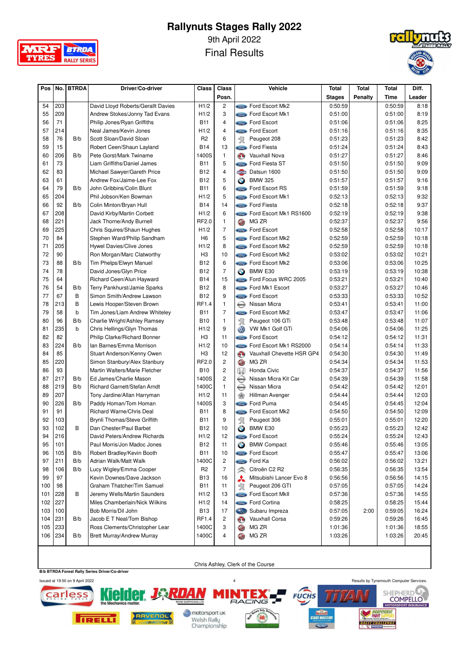

9th April 2022

Final Results



| Pos      |     | No.   BTRDA | Driver/Co-driver                                        | Class             | Class          |               | Vehicle                        | Total              | Total          | Total   | Diff.        |
|----------|-----|-------------|---------------------------------------------------------|-------------------|----------------|---------------|--------------------------------|--------------------|----------------|---------|--------------|
|          |     |             |                                                         |                   | Posn.          |               |                                | <b>Stages</b>      | <b>Penalty</b> | Time    | Leader       |
| 54       | 203 |             | David Lloyd Roberts/Gerallt Davies                      | H1/2              | $\overline{c}$ |               | <b>State</b> Ford Escort Mk2   | 0:50:59            |                | 0:50:59 | 8:18         |
| 55       | 209 |             | Andrew Stokes/Jonny Tad Evans                           | H1/2              | 3              |               | <b>Example Ford Escort Mk1</b> | 0:51:00            |                | 0:51:00 | 8:19         |
| 56       | 71  |             | Philip Jones/Ryan Griffiths                             | <b>B11</b>        | $\overline{4}$ |               | <b>Come</b> Ford Escort        | 0:51:06            |                | 0:51:06 | 8:25         |
| 57       | 214 |             | Neal James/Kevin Jones                                  | H1/2              | $\overline{4}$ |               | <b>Component</b> Ford Escort   | 0:51:16            |                | 0:51:16 | 8:35         |
| 58       | 76  | B/b         | Scott Sloan/David Sloan                                 | R <sub>2</sub>    | 6              | 寰             | Peugeot 208                    | 0:51:23            |                | 0:51:23 | 8:42         |
| 59       | 15  |             | Robert Ceen/Shaun Layland                               | <b>B14</b>        | 13             |               | <b>Come</b> Ford Fiesta        | 0:51:24            |                | 0:51:24 | 8:43         |
| 60       | 206 | B/b         | Pete Gorst/Mark Twiname                                 | 1400S             | $\mathbf{1}$   | G)            | <b>Vauxhall Nova</b>           | 0:51:27            |                | 0:51:27 | 8:46         |
| 61       | 73  |             | Liam Griffiths/Daniel James                             | B <sub>11</sub>   | 5              |               | Ford Fiesta ST                 | 0:51:50            |                | 0:51:50 | 9:09         |
|          | 83  |             |                                                         |                   | $\overline{4}$ | <b>DATSUN</b> | Datsun 1600                    |                    |                | 0:51:50 | 9:09         |
| 62<br>63 | 61  |             | Michael Sawyer/Gareth Price<br>Andrew Fox/Jaime-Lee Fox | B12<br><b>B12</b> | 5              |               | <b>BMW 325</b>                 | 0:51:50<br>0:51:57 |                | 0:51:57 |              |
|          | 79  | B/b         | John Gribbins/Colin Blunt                               | <b>B11</b>        | 6              | $\bullet$     |                                |                    |                |         | 9:16<br>9:18 |
| 64       | 204 |             |                                                         |                   | 5              |               | <b>Ford Escort RS</b>          | 0:51:59            |                | 0:51:59 | 9:32         |
| 65       |     |             | Phil Jobson/Ken Bowman                                  | H1/2              |                |               | <b>Come</b> Ford Escort Mk1    | 0:52:13            |                | 0:52:13 |              |
| 66       | 92  | B/b         | Colin Minton/Bryan Hull                                 | <b>B14</b>        | 14             |               | <b>Come</b> Ford Fiesta        | 0:52:18            |                | 0:52:18 | 9:37         |
| 67       | 208 |             | David Kirby/Martin Corbett                              | H1/2              | 6              |               | Ford Escort Mk1 RS1600         | 0:52:19            |                | 0:52:19 | 9:38         |
| 68       | 221 |             | Jack Thorne/Andy Burnell                                | RF2.0             | $\mathbf{1}$   | <b>CD</b>     | MG ZR                          | 0:52:37            |                | 0:52:37 | 9:56         |
| 69       | 225 |             | Chris Squires/Shaun Hughes                              | H1/2              | $\overline{7}$ |               | <b>Come</b> Ford Escort        | 0:52:58            |                | 0:52:58 | 10:17        |
| 70       | 84  |             | Stephen Ward/Philip Sandham                             | H <sub>6</sub>    | 5              |               | <b>Example Ford Escort Mk2</b> | 0:52:59            |                | 0:52:59 | 10:18        |
| 71       | 205 |             | Hywel Davies/Clive Jones                                | H1/2              | 8              |               | <b>Example Ford Escort Mk2</b> | 0:52:59            |                | 0:52:59 | 10:18        |
| 72       | 90  |             | Ron Morgan/Marc Clatworthy                              | H <sub>3</sub>    | 10             |               | <b>Example Ford Escort Mk2</b> | 0:53:02            |                | 0:53:02 | 10:21        |
| 73       | 88  | B/b         | Tim Phelps/Elwyn Manuel                                 | <b>B12</b>        | 6              |               | Ford Escort Mk2                | 0:53:06            |                | 0:53:06 | 10:25        |
| 74       | 78  |             | David Jones/Glyn Price                                  | <b>B12</b>        | $\overline{7}$ | $\bigcirc$    | BMW E30                        | 0:53:19            |                | 0:53:19 | 10:38        |
| 75       | 64  |             | Richard Ceen/Alun Hayward                               | <b>B14</b>        | 15             |               | Ford Focus WRC 2005            | 0:53:21            |                | 0:53:21 | 10:40        |
| 76       | 54  | B/b         | Terry Pankhurst/Jamie Sparks                            | <b>B12</b>        | 8              |               | <b>State</b> Ford Mk1 Escort   | 0:53:27            |                | 0:53:27 | 10:46        |
| 77       | 67  | B           | Simon Smith/Andrew Lawson                               | <b>B12</b>        | 9              |               | <b>Come</b> Ford Escort        | 0:53:33            |                | 0:53:33 | 10:52        |
| 78       | 213 | B           | Lewis Hooper/Steven Brown                               | RF1.4             | 1              | $\bigoplus$   | Nissan Micra                   | 0:53:41            |                | 0:53:41 | 11:00        |
| 79       | 58  | b           | Tim Jones/Liam Andrew Whiteley                          | <b>B11</b>        | $\overline{7}$ | Sind.         | Ford Escort Mk2                | 0:53:47            |                | 0:53:47 | 11:06        |
| 80       | 96  | B/b         | Charlie Wright/Ashley Ramsey                            | <b>B10</b>        | $\mathbf{1}$   | 窝             | Peugeot 106 GTi                | 0:53:48            |                | 0:53:48 | 11:07        |
| 81       | 235 | b           | Chris Hellings/Glyn Thomas                              | H1/2              | 9              | W             | VW Mk1 Golf GTi                | 0:54:06            |                | 0:54:06 | 11:25        |
| 82       | 82  |             | Philip Clarke/Richard Bonner                            | H <sub>3</sub>    | 11             |               | <b>Store Ford Escort</b>       | 0:54:12            |                | 0:54:12 | 11:31        |
| 83       | 224 | B/b         | lan Barnes/Emma Morrison                                | H1/2              | 10             | Sird.         | Ford Escort Mk1 RS2000         | 0:54:14            |                | 0:54:14 | 11:33        |
| 84       | 85  |             | Stuart Anderson/Kenny Owen                              | H <sub>3</sub>    | 12             | $\mathbf{O}$  | Vauxhall Chevette HSR GP4      | 0:54:30            |                | 0:54:30 | 11:49        |
| 85       | 220 |             | Simon Stanbury/Alex Stanbury                            | RF2.0             | $\overline{c}$ | O             | MG ZR                          | 0:54:34            |                | 0:54:34 | 11:53        |
| 86       | 93  |             | Martin Walters/Marie Fletcher                           | <b>B10</b>        | $\overline{c}$ | $\mathbb{W}$  | Honda Civic                    | 0:54:37            |                | 0:54:37 | 11:56        |
| 87       | 217 | B/b         | Ed James/Charlie Mason                                  | 1400S             | $\overline{c}$ | $\bigoplus$   | Nissan Micra Kit Car           | 0:54:39            |                | 0:54:39 | 11:58        |
| 88       | 219 | B/b         | Richard Garnett/Stefan Arndt                            | 1400C             | $\mathbf{1}$   | $\bigoplus$   | Nissan Micra                   | 0:54:42            |                | 0:54:42 | 12:01        |
| 89       | 207 |             | Tony Jardine/Allan Harryman                             | H1/2              | 11             | $\star$       | Hillman Avenger                | 0:54:44            |                | 0:54:44 | 12:03        |
| 90       | 226 | B/b         | Paddy Homan/Tom Homan                                   | 1400S             | 3              |               | <b>Come</b> Ford Puma          | 0:54:45            |                | 0:54:45 | 12:04        |
| 91       | 91  |             | Richard Warne/Chris Deal                                | <b>B11</b>        | 8              |               | <b>State</b> Ford Escort Mk2   | 0:54:50            |                | 0:54:50 | 12:09        |
| 92       | 103 |             | Brynli Thomas/Steve Griffith                            | <b>B11</b>        | 9              | 絮             | Peugeot 306                    | 0:55:01            |                | 0:55:01 | 12:20        |
| 93       | 102 | B           | Dan Chester/Paul Barbet                                 | <b>B12</b>        | 10             | $\bullet$     | BMW E30                        | 0:55:23            |                | 0:55:23 | 12:42        |
| 94       | 216 |             | David Peters/Andrew Richards                            | H1/2              | 12             |               | <b>Come</b> Ford Escort        | 0:55:24            |                | 0:55:24 | 12:43        |
| 95       | 101 |             | Paul Morris/Jon Madoc Jones                             | <b>B12</b>        | 11             | $\bullet$     | <b>BMW Compact</b>             | 0:55:46            |                | 0:55:46 | 13:05        |
| 96       | 105 | B/b         | Robert Bradley/Kevin Booth                              | <b>B11</b>        | 10             |               | <i><b>Sime</b></i> Ford Escort | 0:55:47            |                | 0:55:47 | 13:06        |
| 97       | 211 | B/b         | Adrian Walk/Matt Walk                                   | 1400C             | $\overline{c}$ |               | <b>Stand</b> Ford Ka           | 0:56:02            |                | 0:56:02 | 13:21        |
| 98       | 106 | B/b         | Lucy Wigley/Emma Cooper                                 | R <sub>2</sub>    | $\overline{7}$ | R             | Citroën C2 R2                  | 0:56:35            |                | 0:56:35 | 13:54        |
| 99       | 97  |             | Kevin Downes/Dave Jackson                               | B13               | 16             | ⋏             | Mitsubishi Lancer Evo 8        | 0:56:56            |                | 0:56:56 | 14:15        |
| 100      | 98  |             | Graham Thatcher/Tim Samuel                              | <b>B11</b>        | 11             | %             | Peugeot 206 GTI                | 0:57:05            |                | 0:57:05 | 14:24        |
| 101      | 228 | B           | Jeremy Wells/Martin Saunders                            | H1/2              | 13             |               | <b>State</b> Ford Escort MkII  | 0:57:36            |                | 0:57:36 | 14:55        |
| 102      | 227 |             | Miles Chamberlain/Nick Wilkins                          | H1/2              | 14             |               | Sime Ford Cortina              | 0:58:25            |                | 0:58:25 | 15:44        |
| 103      | 100 |             | Bob Morris/Dil John                                     | <b>B13</b>        | 17             | Cast          | Subaru Impreza                 | 0:57:05            | 2:00           | 0:59:05 | 16:24        |
| 104      | 231 | B/b         | Jacob E T Neal/Tom Bishop                               | RF1.4             | $\overline{c}$ | $\mathbf{O}$  | Vauxhall Corsa                 | 0:59:26            |                | 0:59:26 | 16:45        |
| 105      | 233 |             | Ross Clements/Christopher Lear                          | 1400C             | 3              | O             | MG ZR                          | 1:01:36            |                | 1:01:36 | 18:55        |
| 106      | 234 | B/b         | <b>Brett Murray/Andrew Murray</b>                       | 1400C             | 4              | O             | MG ZR                          | 1:03:26            |                | 1:03:26 | 20:45        |
|          |     |             |                                                         |                   |                |               |                                |                    |                |         |              |

**B/b BTRDA Forest Rally Series Driver/Co-driver**

Chris Ashley, Clerk of the Course

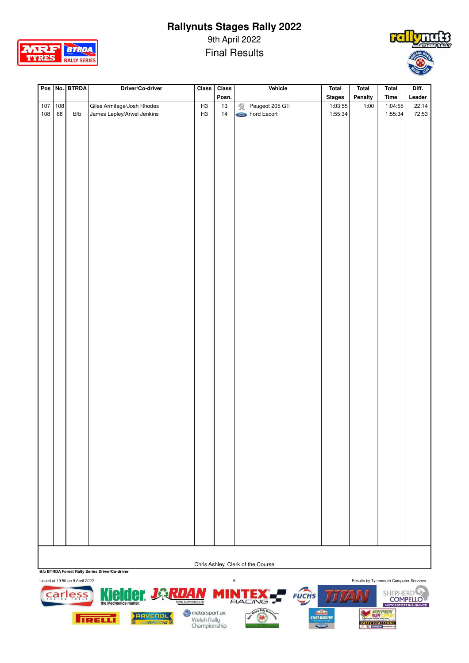

9th April 2022

Final Results



| Pos No. BTRDA<br>Posn.<br><b>Stages</b><br>Penalty<br>Leader<br>Time<br>1:03:55<br>Giles Armitage/Josh Rhodes<br>Peugeot 205 GTi<br>1:04:55<br>$\frac{107}{100}$<br>$\frac{108}{100}$<br>H3<br>$\overline{13}$<br>1:00<br>22:14<br>108<br>James Lepley/Arwel Jenkins<br>Ford Escort<br>68<br>14<br>1:55:34<br>B/b<br>H <sub>3</sub><br>1:55:34<br>72:53 |  |  | Driver/Co-driver | Class | Class | Vehicle | Total | Total | Total | Diff. |
|---------------------------------------------------------------------------------------------------------------------------------------------------------------------------------------------------------------------------------------------------------------------------------------------------------------------------------------------------------|--|--|------------------|-------|-------|---------|-------|-------|-------|-------|
|                                                                                                                                                                                                                                                                                                                                                         |  |  |                  |       |       |         |       |       |       |       |
|                                                                                                                                                                                                                                                                                                                                                         |  |  |                  |       |       |         |       |       |       |       |
|                                                                                                                                                                                                                                                                                                                                                         |  |  |                  |       |       |         |       |       |       |       |
|                                                                                                                                                                                                                                                                                                                                                         |  |  |                  |       |       |         |       |       |       |       |
|                                                                                                                                                                                                                                                                                                                                                         |  |  |                  |       |       |         |       |       |       |       |
|                                                                                                                                                                                                                                                                                                                                                         |  |  |                  |       |       |         |       |       |       |       |
|                                                                                                                                                                                                                                                                                                                                                         |  |  |                  |       |       |         |       |       |       |       |
|                                                                                                                                                                                                                                                                                                                                                         |  |  |                  |       |       |         |       |       |       |       |
|                                                                                                                                                                                                                                                                                                                                                         |  |  |                  |       |       |         |       |       |       |       |
|                                                                                                                                                                                                                                                                                                                                                         |  |  |                  |       |       |         |       |       |       |       |
|                                                                                                                                                                                                                                                                                                                                                         |  |  |                  |       |       |         |       |       |       |       |
|                                                                                                                                                                                                                                                                                                                                                         |  |  |                  |       |       |         |       |       |       |       |
|                                                                                                                                                                                                                                                                                                                                                         |  |  |                  |       |       |         |       |       |       |       |
|                                                                                                                                                                                                                                                                                                                                                         |  |  |                  |       |       |         |       |       |       |       |
|                                                                                                                                                                                                                                                                                                                                                         |  |  |                  |       |       |         |       |       |       |       |
|                                                                                                                                                                                                                                                                                                                                                         |  |  |                  |       |       |         |       |       |       |       |
|                                                                                                                                                                                                                                                                                                                                                         |  |  |                  |       |       |         |       |       |       |       |
|                                                                                                                                                                                                                                                                                                                                                         |  |  |                  |       |       |         |       |       |       |       |
|                                                                                                                                                                                                                                                                                                                                                         |  |  |                  |       |       |         |       |       |       |       |
|                                                                                                                                                                                                                                                                                                                                                         |  |  |                  |       |       |         |       |       |       |       |
|                                                                                                                                                                                                                                                                                                                                                         |  |  |                  |       |       |         |       |       |       |       |
|                                                                                                                                                                                                                                                                                                                                                         |  |  |                  |       |       |         |       |       |       |       |
|                                                                                                                                                                                                                                                                                                                                                         |  |  |                  |       |       |         |       |       |       |       |
|                                                                                                                                                                                                                                                                                                                                                         |  |  |                  |       |       |         |       |       |       |       |
|                                                                                                                                                                                                                                                                                                                                                         |  |  |                  |       |       |         |       |       |       |       |
|                                                                                                                                                                                                                                                                                                                                                         |  |  |                  |       |       |         |       |       |       |       |
|                                                                                                                                                                                                                                                                                                                                                         |  |  |                  |       |       |         |       |       |       |       |
|                                                                                                                                                                                                                                                                                                                                                         |  |  |                  |       |       |         |       |       |       |       |
|                                                                                                                                                                                                                                                                                                                                                         |  |  |                  |       |       |         |       |       |       |       |
|                                                                                                                                                                                                                                                                                                                                                         |  |  |                  |       |       |         |       |       |       |       |
|                                                                                                                                                                                                                                                                                                                                                         |  |  |                  |       |       |         |       |       |       |       |
|                                                                                                                                                                                                                                                                                                                                                         |  |  |                  |       |       |         |       |       |       |       |
|                                                                                                                                                                                                                                                                                                                                                         |  |  |                  |       |       |         |       |       |       |       |
|                                                                                                                                                                                                                                                                                                                                                         |  |  |                  |       |       |         |       |       |       |       |
|                                                                                                                                                                                                                                                                                                                                                         |  |  |                  |       |       |         |       |       |       |       |
|                                                                                                                                                                                                                                                                                                                                                         |  |  |                  |       |       |         |       |       |       |       |
|                                                                                                                                                                                                                                                                                                                                                         |  |  |                  |       |       |         |       |       |       |       |
|                                                                                                                                                                                                                                                                                                                                                         |  |  |                  |       |       |         |       |       |       |       |
|                                                                                                                                                                                                                                                                                                                                                         |  |  |                  |       |       |         |       |       |       |       |
|                                                                                                                                                                                                                                                                                                                                                         |  |  |                  |       |       |         |       |       |       |       |
|                                                                                                                                                                                                                                                                                                                                                         |  |  |                  |       |       |         |       |       |       |       |
|                                                                                                                                                                                                                                                                                                                                                         |  |  |                  |       |       |         |       |       |       |       |
|                                                                                                                                                                                                                                                                                                                                                         |  |  |                  |       |       |         |       |       |       |       |
|                                                                                                                                                                                                                                                                                                                                                         |  |  |                  |       |       |         |       |       |       |       |
|                                                                                                                                                                                                                                                                                                                                                         |  |  |                  |       |       |         |       |       |       |       |
|                                                                                                                                                                                                                                                                                                                                                         |  |  |                  |       |       |         |       |       |       |       |
|                                                                                                                                                                                                                                                                                                                                                         |  |  |                  |       |       |         |       |       |       |       |
|                                                                                                                                                                                                                                                                                                                                                         |  |  |                  |       |       |         |       |       |       |       |
|                                                                                                                                                                                                                                                                                                                                                         |  |  |                  |       |       |         |       |       |       |       |
|                                                                                                                                                                                                                                                                                                                                                         |  |  |                  |       |       |         |       |       |       |       |
|                                                                                                                                                                                                                                                                                                                                                         |  |  |                  |       |       |         |       |       |       |       |
|                                                                                                                                                                                                                                                                                                                                                         |  |  |                  |       |       |         |       |       |       |       |
|                                                                                                                                                                                                                                                                                                                                                         |  |  |                  |       |       |         |       |       |       |       |
|                                                                                                                                                                                                                                                                                                                                                         |  |  |                  |       |       |         |       |       |       |       |
|                                                                                                                                                                                                                                                                                                                                                         |  |  |                  |       |       |         |       |       |       |       |
|                                                                                                                                                                                                                                                                                                                                                         |  |  |                  |       |       |         |       |       |       |       |
|                                                                                                                                                                                                                                                                                                                                                         |  |  |                  |       |       |         |       |       |       |       |
|                                                                                                                                                                                                                                                                                                                                                         |  |  |                  |       |       |         |       |       |       |       |
|                                                                                                                                                                                                                                                                                                                                                         |  |  |                  |       |       |         |       |       |       |       |

Chris Ashley, Clerk of the Course

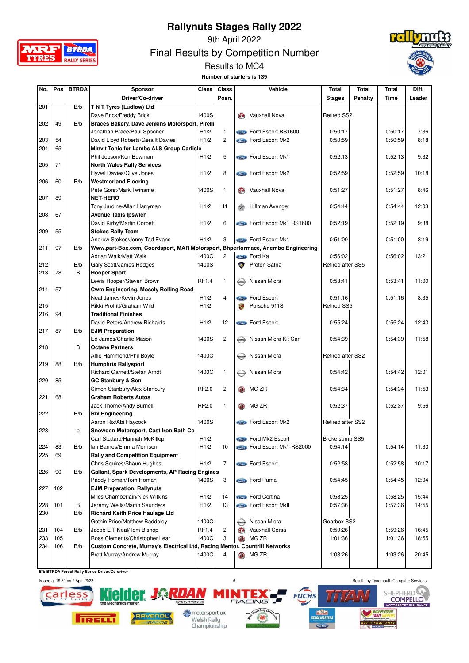



9th April 2022

Final Results by Competition Number



Results to MC4 **Number of starters is 139**

| No. | Pos | <b>BTRDA</b> | Sponsor                                                                        | Class        | <b>Class</b>   |              | Vehicle                             | <b>Total</b>       | Total          | Total   | Diff.  |
|-----|-----|--------------|--------------------------------------------------------------------------------|--------------|----------------|--------------|-------------------------------------|--------------------|----------------|---------|--------|
|     |     |              | Driver/Co-driver                                                               |              | Posn.          |              |                                     | <b>Stages</b>      | <b>Penalty</b> | Time    | Leader |
| 201 |     | B/b          | T N T Tyres (Ludlow) Ltd                                                       |              |                |              |                                     |                    |                |         |        |
|     |     |              | Dave Brick/Freddy Brick                                                        | 1400S        |                | GO)          | <b>Vauxhall Nova</b>                | <b>Retired SS2</b> |                |         |        |
| 202 | 49  | B/b          | Braces Bakery, Dave Jenkins Motorsport, Pirelli                                |              |                |              |                                     |                    |                |         |        |
|     |     |              | Jonathan Brace/Paul Spooner                                                    | H1/2         | 1              |              | <b>Conce</b> Ford Escort RS1600     | 0:50:17            |                | 0:50:17 | 7:36   |
| 203 | 54  |              | David Lloyd Roberts/Gerallt Davies                                             | H1/2         | $\overline{c}$ |              | <b>Come</b> Ford Escort Mk2         | 0:50:59            |                | 0:50:59 | 8:18   |
| 204 | 65  |              | Minvit Tonic for Lambs ALS Group Carlisle                                      |              |                |              |                                     |                    |                |         |        |
|     |     |              | Phil Jobson/Ken Bowman                                                         | H1/2         | 5              |              | <b>Come</b> Ford Escort Mk1         | 0:52:13            |                | 0:52:13 | 9:32   |
| 205 | 71  |              | <b>North Wales Rally Services</b>                                              |              |                |              |                                     |                    |                |         |        |
|     |     |              | Hywel Davies/Clive Jones                                                       | H1/2         | 8              |              | <b>State</b> Ford Escort Mk2        | 0:52:59            |                | 0:52:59 | 10:18  |
| 206 | 60  | B/b          | <b>Westmorland Flooring</b>                                                    |              |                |              |                                     |                    |                |         |        |
|     |     |              | Pete Gorst/Mark Twiname                                                        | 1400S        | 1              | $\mathbf{C}$ | Vauxhall Nova                       | 0:51:27            |                | 0:51:27 | 8:46   |
| 207 | 89  |              | <b>NET-HERO</b>                                                                |              |                |              |                                     |                    |                |         |        |
|     |     |              | Tony Jardine/Allan Harryman                                                    | H1/2         | 11             |              | Hillman Avenger                     | 0:54:44            |                | 0:54:44 | 12:03  |
| 208 | 67  |              | <b>Avenue Taxis Ipswich</b>                                                    |              |                |              |                                     |                    |                |         |        |
|     |     |              | David Kirby/Martin Corbett                                                     | H1/2         | 6              |              | <b>Conce</b> Ford Escort Mk1 RS1600 | 0:52:19            |                | 0:52:19 | 9:38   |
| 209 | 55  |              | <b>Stokes Rally Team</b>                                                       |              |                |              |                                     |                    |                |         |        |
|     |     |              | Andrew Stokes/Jonny Tad Evans                                                  | H1/2         | 3              |              | Ford Escort Mk1                     | 0:51:00            |                | 0:51:00 | 8:19   |
| 211 | 97  | B/b          | Www.part-Box.com, Coordsport, MAR Motorsport, Bhperformace, Anembo Engineering |              |                |              |                                     |                    |                |         |        |
|     |     |              | Adrian Walk/Matt Walk                                                          | 1400C        | $\overline{c}$ |              | <b>Compo</b> Ford Ka                | 0:56:02            |                | 0:56:02 | 13:21  |
| 212 |     | B/b          | Gary Scott/James Hedges                                                        | 1400S        |                | $\bullet$    | Proton Satria                       | Retired after SS5  |                |         |        |
| 213 | 78  | B            | <b>Hooper Sport</b>                                                            |              |                |              |                                     |                    |                |         |        |
|     |     |              | Lewis Hooper/Steven Brown                                                      | <b>RF1.4</b> | 1              | MASSARI      | Nissan Micra                        | 0:53:41            |                | 0:53:41 | 11:00  |
| 214 | 57  |              | Cwm Engineering, Mosely Rolling Road                                           |              |                |              |                                     |                    |                |         |        |
|     |     |              | Neal James/Kevin Jones                                                         | H1/2         | 4              |              | Come Ford Escort                    | 0:51:16            |                | 0:51:16 | 8:35   |
| 215 |     |              | Rikki Proffitt/Graham Wild                                                     | H1/2         |                | 教            | Porsche 911S                        | <b>Retired SS5</b> |                |         |        |
| 216 | 94  |              | <b>Traditional Finishes</b>                                                    |              |                |              |                                     |                    |                |         |        |
|     |     |              | David Peters/Andrew Richards                                                   | H1/2         | 12             |              | <b>Come</b> Ford Escort             | 0:55:24            |                | 0:55:24 | 12:43  |
| 217 | 87  | B/b          | <b>EJM Preparation</b>                                                         |              |                |              |                                     |                    |                |         |        |
|     |     |              | Ed James/Charlie Mason                                                         | 1400S        | $\overline{c}$ | MSSAN        | Nissan Micra Kit Car                | 0:54:39            |                | 0:54:39 | 11:58  |
| 218 |     | B            | <b>Octane Partners</b>                                                         |              |                |              |                                     |                    |                |         |        |
|     |     |              | Alfie Hammond/Phil Boyle                                                       | 1400C        |                |              | Nissan Micra                        | Retired after SS2  |                |         |        |
| 219 | 88  | B/b          | <b>Humphris Rallysport</b>                                                     |              |                |              |                                     |                    |                |         |        |
|     |     |              | Richard Garnett/Stefan Arndt                                                   | 1400C        | 1              | MSSAN        | Nissan Micra                        | 0:54:42            |                | 0:54:42 | 12:01  |
| 220 | 85  |              | GC Stanbury & Son                                                              |              |                |              |                                     |                    |                |         |        |
|     |     |              | Simon Stanbury/Alex Stanbury                                                   | RF2.0        | 2              | GD.          | MG ZR                               | 0:54:34            |                | 0:54:34 | 11:53  |
| 221 | 68  |              | <b>Graham Roberts Autos</b>                                                    |              |                |              |                                     |                    |                |         |        |
|     |     |              | Jack Thorne/Andy Burnell                                                       | RF2.0        | 1              | <b>GD</b>    | MG ZR                               | 0:52:37            |                | 0:52:37 | 9:56   |
| 222 |     | B/b          | <b>Rix Engineering</b>                                                         |              |                |              |                                     |                    |                |         |        |
|     |     |              | Aaron Rix/Abi Haycock                                                          | 1400S        |                |              | <b>State</b> Ford Escort Mk2        | Retired after SS2  |                |         |        |
| 223 |     | b            | Snowden Motorsport, Cast Iron Bath Co                                          |              |                |              |                                     |                    |                |         |        |
|     |     |              | Carl Stuttard/Hannah McKillop                                                  | H1/2         |                |              | Ford Mk2 Escort                     | Broke sump SS5     |                |         |        |
| 224 | 83  | B/b          | Ian Barnes/Emma Morrison                                                       | H1/2         | 10             |              | Ford Escort Mk1 RS2000              | 0:54:14            |                | 0:54:14 | 11:33  |
| 225 | 69  |              | <b>Rally and Competition Equipment</b>                                         |              |                |              |                                     |                    |                |         |        |
|     |     |              | Chris Squires/Shaun Hughes                                                     | H1/2         | 7              |              | Sime Ford Escort                    | 0:52:58            |                | 0:52:58 | 10:17  |
| 226 | 90  | B/b          | Gallant, Spark Developments, AP Racing Engines                                 |              |                |              |                                     |                    |                |         |        |
|     |     |              | Paddy Homan/Tom Homan                                                          | 1400S        | 3              |              | <b>State</b> Ford Puma              | 0:54:45            |                | 0:54:45 | 12:04  |
| 227 | 102 |              | <b>EJM Preparation, Rallynuts</b>                                              |              |                |              |                                     |                    |                |         |        |
|     |     |              | Miles Chamberlain/Nick Wilkins                                                 | H1/2         | 14             |              | <b>State</b> Ford Cortina           | 0:58:25            |                | 0:58:25 | 15:44  |
| 228 | 101 | В            | Jeremy Wells/Martin Saunders                                                   | H1/2         | 13             |              | <b>Come</b> Ford Escort MkII        | 0:57:36            |                | 0:57:36 | 14:55  |
| 230 |     | B/b          | <b>Richard Keith Price Haulage Ltd</b>                                         |              |                |              |                                     |                    |                |         |        |
|     |     |              | Gethin Price/Matthew Baddeley                                                  | 1400C        |                | <b>MESAN</b> | Nissan Micra                        | Gearbox SS2        |                |         |        |
| 231 | 104 | B/b          | Jacob E T Neal/Tom Bishop                                                      | RF1.4        | 2              | ⊛            | Vauxhall Corsa                      | 0:59:26            |                | 0:59:26 | 16:45  |
| 233 | 105 |              | Ross Clements/Christopher Lear                                                 | 1400C        | 3              | OD           | MG ZR                               | 1:01:36            |                | 1:01:36 | 18:55  |
| 234 | 106 | B/b          | Custom Concrete, Murray's Electrical Ltd, Racing Mentor, Countrifi Networks    |              |                |              |                                     |                    |                |         |        |
|     |     |              | Brett Murray/Andrew Murray                                                     | 1400C        | 4              | <b>CD</b>    | MG ZR                               | 1:03:26            |                | 1:03:26 | 20:45  |
|     |     |              |                                                                                |              |                |              |                                     |                    |                |         |        |

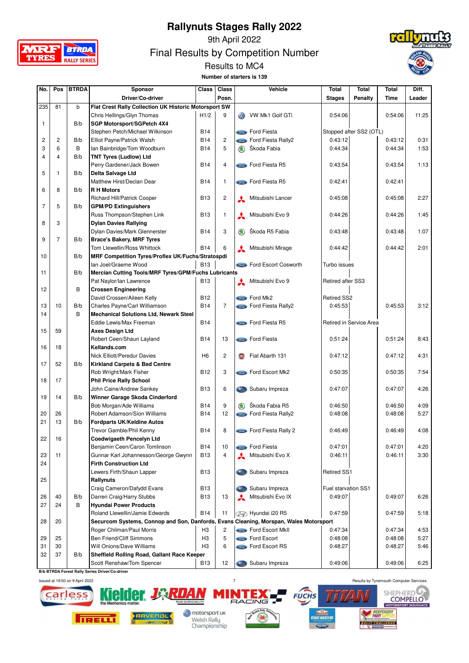



9th April 2022

Final Results by Competition Number





| No.            | Pos            | <b>BTRDA</b> | Sponsor                                                                               | <b>Class</b>   | Class          |               | Vehicle                         | Total               | Total                   | Total   | Diff.  |
|----------------|----------------|--------------|---------------------------------------------------------------------------------------|----------------|----------------|---------------|---------------------------------|---------------------|-------------------------|---------|--------|
|                |                |              | Driver/Co-driver                                                                      |                | Posn.          |               |                                 | <b>Stages</b>       | <b>Penalty</b>          | Time    | Leader |
| 235            | 81             | b            | Flat Crest Rally Collection UK Historic Motorsport SW                                 |                |                |               |                                 |                     |                         |         |        |
|                |                |              | Chris Hellings/Glyn Thomas                                                            | H1/2           | 9              | <b>ORD</b>    | VW Mk1 Golf GTi                 | 0:54:06             |                         | 0:54:06 | 11:25  |
| $\mathbf{1}$   |                | B/b          | SGP Motorsport/SGPetch 4X4                                                            |                |                |               |                                 |                     |                         |         |        |
|                |                |              | Stephen Petch/Michael Wilkinson                                                       | <b>B14</b>     |                |               | <b>Come</b> Ford Fiesta         |                     | Stopped after SS2 (OTL) |         |        |
| 2              | 2              | B/b          | Elliot Payne/Patrick Walsh                                                            | <b>B14</b>     | $\overline{c}$ |               | <b>State</b> Ford Fiesta Rally2 | 0:43:12             |                         | 0:43:12 | 0:31   |
| 3              | 6              | B            | Ian Bainbridge/Tom Woodburn                                                           | <b>B14</b>     | 5              | $\circledast$ | Škoda Fabia                     | 0:44:34             |                         | 0:44:34 | 1:53   |
| 4              | $\overline{4}$ | B/b          | <b>TNT Tyres (Ludlow) Ltd</b>                                                         |                |                |               |                                 |                     |                         |         |        |
|                |                |              | Perry Gardener/Jack Bowen                                                             | <b>B14</b>     | 4              |               | <b>Compose</b> Ford Fiesta R5   | 0:43:54             |                         | 0:43:54 | 1:13   |
| 5              | $\mathbf{1}$   | B/b          | Delta Salvage Ltd                                                                     |                |                |               |                                 |                     |                         |         |        |
|                |                |              | Matthew Hirst/Declan Dear                                                             | <b>B14</b>     | 1              |               | Ford Fiesta R5                  | 0:42:41             |                         | 0:42:41 |        |
| 6              | 8              | B/b          | <b>R H Motors</b>                                                                     |                |                |               |                                 |                     |                         |         |        |
|                |                |              | <b>Richard Hill/Patrick Cooper</b>                                                    | <b>B13</b>     | $\overline{c}$ |               | Mitsubishi Lancer               | 0:45:08             |                         | 0:45:08 | 2:27   |
| $\overline{7}$ | 5              | B/b          | <b>GPM/PD Extinguishers</b>                                                           |                |                |               |                                 |                     |                         |         |        |
|                |                |              | Russ Thompson/Stephen Link                                                            | <b>B13</b>     | 1              | $\mathbf{A}$  | Mitsubishi Evo 9                | 0:44:26             |                         | 0:44:26 | 1:45   |
| 8              | 3              |              | <b>Dylan Davies Rallying</b>                                                          |                |                |               |                                 |                     |                         |         |        |
|                |                |              | Dylan Davies/Mark Glennerster                                                         | <b>B14</b>     | 3              | $\circledast$ | Škoda R5 Fabia                  | 0:43:48             |                         | 0:43:48 | 1:07   |
| 9              | $\overline{7}$ | B/b          | <b>Brace's Bakery, MRF Tyres</b>                                                      |                |                |               |                                 |                     |                         |         |        |
|                |                |              | Tom Llewellin/Ross Whittock                                                           | <b>B14</b>     | 6              | $\mathbf{r}$  | Mitsubishi Mirage               | 0:44:42             |                         | 0:44:42 | 2:01   |
| 10             |                | B/b          | <b>MRF Competition Tyres/Proflex UK/Fuchs/Stratospdi</b>                              |                |                |               |                                 |                     |                         |         |        |
|                |                |              | lan Joel/Graeme Wood                                                                  | <b>B13</b>     |                |               | Ford Escort Cosworth            | Turbo issues        |                         |         |        |
| 11             |                | B/b          | Mercian Cutting Tools/MRF Tyres/GPM/Fuchs Lubricants                                  |                |                |               |                                 |                     |                         |         |        |
|                |                |              | Pat Naylor/lan Lawrence                                                               | <b>B13</b>     |                |               | Mitsubishi Evo 9                | Retired after SS3   |                         |         |        |
| 12             |                | B            | <b>Crossen Engineering</b>                                                            |                |                |               |                                 |                     |                         |         |        |
|                |                |              | David Crossen/Aileen Kelly                                                            | <b>B12</b>     |                |               | <b>Contact Ford Mk2</b>         | <b>Retired SS2</b>  |                         |         |        |
| 13             | 10             | B/b          | Charles Payne/Carl Williamson                                                         | <b>B14</b>     | $\overline{7}$ |               | <b>Como Ford Fiesta Rally2</b>  | 0:45:53             |                         | 0:45:53 | 3:12   |
| 14             |                | B            | <b>Mechanical Solutions Ltd, Newark Steel</b>                                         |                |                |               |                                 |                     |                         |         |        |
|                |                |              | Eddie Lewis/Max Freeman                                                               | <b>B14</b>     |                |               | <b>Como</b> Ford Fiesta R5      |                     | Retired in Service Area |         |        |
| 15             | 59             |              | Axes Design Ltd                                                                       |                |                |               |                                 |                     |                         |         |        |
|                |                |              | Robert Ceen/Shaun Layland                                                             | <b>B14</b>     | 13             |               | <b>State</b> Ford Fiesta        | 0:51:24             |                         | 0:51:24 | 8:43   |
| 16             | 18             |              | Kellands.com                                                                          |                |                |               |                                 |                     |                         |         |        |
|                |                |              | Nick Elliott/Peredur Davies                                                           | H <sub>6</sub> | 2              |               | Fiat Abarth 131                 | 0:47:12             |                         | 0:47:12 | 4:31   |
| 17             | 52             | B/b          | <b>Kirkland Carpets &amp; Bed Centre</b>                                              |                |                |               |                                 |                     |                         |         |        |
|                |                |              | Rob Wright/Mark Fisher                                                                | <b>B12</b>     | 3              |               | <b>Come</b> Ford Escort Mk2     | 0:50:35             |                         | 0:50:35 | 7:54   |
| 18             | 17             |              | <b>Phil Price Rally School</b>                                                        |                |                |               |                                 |                     |                         |         |        |
|                |                |              | John Caine/Andrew Sankey                                                              | <b>B13</b>     | 6              |               | Subaru Impreza                  | 0:47:07             |                         | 0:47:07 | 4:26   |
| 19             | 14             | B/b          | Winner Garage Skoda Cinderford                                                        |                |                |               |                                 |                     |                         |         |        |
|                |                |              | Bob Morgan/Ade Williams                                                               | <b>B14</b>     | 9              | QO)           | Škoda Fabia R5                  | 0:46:50             |                         | 0:46:50 | 4:09   |
| 20             | 26             |              | <b>Robert Adamson/Sion Williams</b>                                                   | <b>B14</b>     | 12             |               | <b>Como</b> Ford Fiesta Rally2  | 0:48:08             |                         | 0:48:08 | 5:27   |
| 21             | 13             | B/b          | <b>Fordparts UK/Keldine Autos</b>                                                     |                |                |               |                                 |                     |                         |         |        |
|                |                |              | Trevor Gamble/Phil Kenny                                                              | <b>B14</b>     | 8              |               | <b>Come</b> Ford Fiesta Rally 2 | 0:46:49             |                         | 0:46:49 | 4:08   |
| 22             | 16             |              | Coedwigaeth Pencelyn Ltd                                                              |                |                |               |                                 |                     |                         |         |        |
|                |                |              | Benjamin Ceen/Caron Tomlinson                                                         | B14            | 10             |               | <b>State</b> Ford Fiesta        | 0:47:01             |                         | 0:47:01 | 4:20   |
| 23             | 11             |              | Gunnar Karl Johannesson/George Gwynn                                                  | <b>B13</b>     | $\overline{4}$ |               | Mitsubishi Evo X                | 0:46:11             |                         | 0:46:11 | 3:30   |
| 24             |                |              | <b>Firth Construction Ltd</b>                                                         |                |                |               |                                 |                     |                         |         |        |
|                |                |              | Lewers Firth/Shaun Lapper                                                             | <b>B13</b>     |                |               | Subaru Impreza                  | <b>Retired SS1</b>  |                         |         |        |
| 25             |                |              | Rallynuts                                                                             |                |                |               |                                 |                     |                         |         |        |
|                |                |              | Craig Cameron/Dafydd Evans                                                            | B13            |                |               | Subaru Impreza                  | Fuel starvation SS1 |                         |         |        |
| 26             | 40             | B/b          | Darren Craig/Harry Stubbs                                                             | B13            | 13             |               | Mitsubishi Evo IX               | 0:49:07             |                         | 0:49:07 | 6:26   |
| 27             | 24             | B            | <b>Hyundai Power Products</b>                                                         |                |                |               |                                 |                     |                         |         |        |
|                |                |              | Roland Llewellin/Jamie Edwards                                                        | <b>B14</b>     | 11             |               | <b>B</b> Hyundai i20 R5         | 0:47:59             |                         | 0:47:59 | 5:18   |
| 28             | 20             |              | Securcom Systems, Connop and Son, Danfords, Evans Cleaning, Morspan, Wales Motorsport |                |                |               |                                 |                     |                         |         |        |
|                |                |              | Roger Chilman/Paul Morris                                                             | H <sub>3</sub> | 2              |               | <b>State</b> Ford Escort MkII   | 0:47:34             |                         | 0:47:34 | 4:53   |
| 29             | 25             |              | Ben Friend/Cliff Simmons                                                              | H <sub>3</sub> | 5              |               | Sond Ford Escort                | 0:48:08             |                         | 0:48:08 | 5:27   |
| 31             | 30             |              | Will Onions/Dave Williams                                                             | H <sub>3</sub> | 6              |               | <b>State</b> Ford Escort RS     | 0:48:27             |                         | 0:48:27 | 5:46   |
| 32             | 37             | B/b          | Sheffield Rolling Road, Gallant Race Keeper                                           |                |                |               |                                 |                     |                         |         |        |
|                |                |              | Scott Renshaw/Tom Spencer                                                             | <b>B13</b>     | 12             |               | Subaru Impreza                  | 0:49:06             |                         | 0:49:06 | 6:25   |

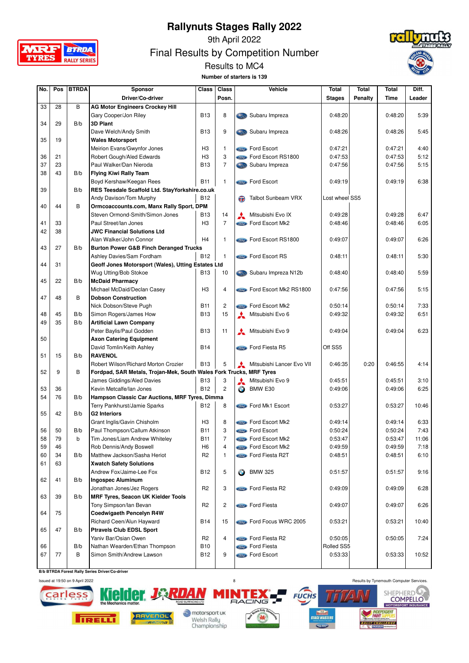



9th April 2022

Final Results by Competition Number





| No. | Pos | <b>BTRDA</b> | Sponsor                                                             | <b>Class</b>    | <b>Class</b>   |              | Vehicle                          | <b>Total</b>   | <b>Total</b> | <b>Total</b> | Diff.  |
|-----|-----|--------------|---------------------------------------------------------------------|-----------------|----------------|--------------|----------------------------------|----------------|--------------|--------------|--------|
|     |     |              | Driver/Co-driver                                                    |                 | Posn.          |              |                                  | <b>Stages</b>  | Penalty      | Time         | Leader |
| 33  | 28  | В            | <b>AG Motor Engineers Crockey Hill</b>                              |                 |                |              |                                  |                |              |              |        |
|     |     |              | Gary Cooper/Jon Riley                                               | <b>B13</b>      | 8              |              | Subaru Impreza                   | 0:48:20        |              | 0:48:20      | 5:39   |
| 34  | 29  | B/b          | <b>3D Plant</b>                                                     |                 |                |              |                                  |                |              |              |        |
|     |     |              | Dave Welch/Andy Smith                                               | <b>B13</b>      | 9              |              | Subaru Impreza                   | 0:48:26        |              | 0:48:26      | 5:45   |
| 35  | 19  |              | <b>Wales Motorsport</b>                                             |                 |                |              |                                  |                |              |              |        |
|     |     |              | Meirion Evans/Gwynfor Jones                                         | H <sub>3</sub>  | $\mathbf{1}$   |              | Ford Escort                      | 0:47:21        |              | 0:47:21      | 4:40   |
| 36  | 21  |              | Robert Gough/Aled Edwards                                           | H <sub>3</sub>  | 3              |              | <b>Come</b> Ford Escort RS1800   | 0:47:53        |              | 0:47:53      | 5:12   |
| 37  | 23  |              | Paul Walker/Dan Nieroda                                             | <b>B13</b>      | $\overline{7}$ |              | Subaru Impreza                   | 0:47:56        |              | 0:47:56      | 5:15   |
| 38  | 43  | B/b          | <b>Flying Kiwi Rally Team</b>                                       |                 |                |              |                                  |                |              |              |        |
|     |     |              | Boyd Kershaw/Keegan Rees                                            | <b>B11</b>      | $\mathbf{1}$   |              | Ford Escort                      | 0:49:19        |              | 0:49:19      | 6:38   |
| 39  |     | B/b          | RES Teesdale Scaffold Ltd. StayYorkshire.co.uk                      |                 |                |              |                                  |                |              |              |        |
|     |     |              |                                                                     | <b>B12</b>      |                |              |                                  | Lost wheel SS5 |              |              |        |
| 40  | 44  | B            | Andy Davison/Tom Murphy                                             |                 |                |              | Talbot Sunbeam VRX               |                |              |              |        |
|     |     |              | Ormcoaccounts.com, Manx Rally Sport, DPM                            |                 |                |              |                                  |                |              |              |        |
|     |     |              | Steven Ormond-Smith/Simon Jones                                     | <b>B13</b>      | 14             |              | Mitsubishi Evo IX                | 0:49:28        |              | 0:49:28      | 6:47   |
| 41  | 33  |              | Paul Street/lan Jones                                               | H <sub>3</sub>  | $\overline{7}$ |              | <b>Come</b> Ford Escort Mk2      | 0:48:46        |              | 0:48:46      | 6:05   |
| 42  | 38  |              | <b>JWC Financial Solutions Ltd</b>                                  |                 |                |              |                                  |                |              |              |        |
|     |     |              | Alan Walker/John Connor                                             | H <sub>4</sub>  | 1              |              | <b>Street Ford Escort RS1800</b> | 0:49:07        |              | 0:49:07      | 6:26   |
| 43  | 27  | B/b          | <b>Burton Power G&amp;B Finch Deranged Trucks</b>                   |                 |                |              |                                  |                |              |              |        |
|     |     |              | Ashley Davies/Sam Fordham                                           | B <sub>12</sub> | 1              |              | <b>Compass Ford Escort RS</b>    | 0:48:11        |              | 0:48:11      | 5:30   |
| 44  | 31  |              | Geoff Jones Motorsport (Wales), Utting Estates Ltd                  |                 |                |              |                                  |                |              |              |        |
|     |     |              | Wug Utting/Bob Stokoe                                               | <b>B13</b>      | 10             |              | Subaru Impreza N12b              | 0:48:40        |              | 0:48:40      | 5:59   |
| 45  | 22  | B/b          | <b>McDaid Pharmacy</b>                                              |                 |                |              |                                  |                |              |              |        |
|     |     |              | Michael McDaid/Declan Casey                                         | H <sub>3</sub>  | 4              |              | Ford Escort Mk2 RS1800           | 0:47:56        |              | 0:47:56      | 5:15   |
| 47  | 48  | B            | <b>Dobson Construction</b>                                          |                 |                |              |                                  |                |              |              |        |
|     |     |              | Nick Dobson/Steve Pugh                                              | B11             | 2              |              | <b>Come</b> Ford Escort Mk2      | 0:50:14        |              | 0:50:14      | 7:33   |
| 48  | 45  | B/b          | Simon Rogers/James How                                              | <b>B13</b>      | 15             | $\mathbf{A}$ | Mitsubishi Evo 6                 | 0:49:32        |              | 0:49:32      | 6:51   |
| 49  | 35  | B/b          | <b>Artificial Lawn Company</b>                                      |                 |                |              |                                  |                |              |              |        |
|     |     |              | Peter Baylis/Paul Godden                                            | <b>B13</b>      | 11             | $\mathbf{A}$ | Mitsubishi Evo 9                 | 0:49:04        |              | 0:49:04      | 6:23   |
| 50  |     |              | <b>Axon Catering Equipment</b>                                      |                 |                |              |                                  |                |              |              |        |
|     |     |              | David Tomlin/Keith Ashley                                           | <b>B14</b>      |                |              | Ford Fiesta R5                   | Off SS5        |              |              |        |
| 51  | 15  | B/b          | <b>RAVENOL</b>                                                      |                 |                |              |                                  |                |              |              |        |
|     |     |              | Robert Wilson/Richard Morton Crozier                                | <b>B13</b>      | 5              | $\mathbf{A}$ | Mitsubishi Lancer Evo VII        | 0:46:35        | 0:20         | 0:46:55      | 4:14   |
| 52  | 9   | В            | Fordpad, SAR Metals, Trojan-Mek, South Wales Fork Trucks, MRF Tyres |                 |                |              |                                  |                |              |              |        |
|     |     |              | James Giddings/Aled Davies                                          | <b>B13</b>      | 3              | ᆇ            | Mitsubishi Evo 9                 | 0:45:51        |              | 0:45:51      | 3:10   |
| 53  | 36  |              | Kevin Metcalfe/lan Jones                                            | <b>B12</b>      | $\overline{c}$ | $\bigodot$   | BMW E30                          | 0:49:06        |              | 0:49:06      | 6:25   |
| 54  | 76  | B/b          | Hampson Classic Car Auctions, MRF Tyres, Dimma                      |                 |                |              |                                  |                |              |              |        |
|     |     |              | Terry Pankhurst/Jamie Sparks                                        | <b>B12</b>      | 8              |              | <b>Come</b> Ford Mk1 Escort      | 0:53:27        |              | 0:53:27      | 10:46  |
| 55  | 42  | B/b          | <b>G2 Interiors</b>                                                 |                 |                |              |                                  |                |              |              |        |
|     |     |              | Grant Inglis/Gavin Chisholm                                         | H <sub>3</sub>  | 8              |              | <b>Come Ford Escort Mk2</b>      | 0:49:14        |              | 0:49:14      | 6:33   |
| 56  | 50  | B/b          | Paul Thompson/Callum Atkinson                                       | <b>B11</b>      | 3              |              | <b>Como Ford Escort</b>          | 0:50:24        |              | 0:50:24      | 7:43   |
| 58  | 79  | b            | Tim Jones/Liam Andrew Whiteley                                      | <b>B11</b>      | 7              |              | <b>Sind</b> Ford Escort Mk2      | 0:53:47        |              | 0:53:47      | 11:06  |
| 59  | 46  |              | Rob Dennis/Andy Boswell                                             | H <sub>6</sub>  | $\overline{4}$ |              | Ford Escort Mk2                  | 0:49:59        |              | 0:49:59      | 7:18   |
| 60  | 34  | B/b          | Matthew Jackson/Sasha Heriot                                        | R <sub>2</sub>  | $\mathbf{1}$   |              | Ford Fiesta R2T                  | 0:48:51        |              | 0:48:51      | 6:10   |
| 61  | 63  |              | <b>Xwatch Safety Solutions</b>                                      |                 |                |              |                                  |                |              |              |        |
|     |     |              | Andrew Fox/Jaime-Lee Fox                                            | <b>B12</b>      | 5              | $\bullet$    | <b>BMW 325</b>                   | 0:51:57        |              | 0:51:57      | 9:16   |
| 62  | 41  | B/b          | <b>Ingospec Aluminum</b>                                            |                 |                |              |                                  |                |              |              |        |
|     |     |              | Jonathan Jones/Jez Rogers                                           | R <sub>2</sub>  | 3              |              | <b>Come</b> Ford Fiesta R2       | 0:49:09        |              | 0:49:09      | 6:28   |
| 63  | 39  | B/b          | <b>MRF Tyres, Seacon UK Kielder Tools</b>                           |                 |                |              |                                  |                |              |              |        |
|     |     |              | Tony Simpson/Ian Bevan                                              | R2              | $\overline{c}$ |              | <b>Compo</b> Ford Fiesta         | 0:49:07        |              | 0:49:07      | 6:26   |
| 64  | 75  |              | <b>Coedwigaeth Pencelyn R4W</b>                                     |                 |                |              |                                  |                |              |              |        |
|     |     |              | Richard Ceen/Alun Hayward                                           | <b>B14</b>      | 15             |              | Ford Focus WRC 2005              | 0:53:21        |              | 0:53:21      | 10:40  |
| 65  | 47  | B/b          | <b>Ptravels Club EDSL Sport</b>                                     |                 |                |              |                                  |                |              |              |        |
|     |     |              | Yaniv Bar/Osian Owen                                                | R <sub>2</sub>  | 4              |              | <b>Compact Ford Fiesta R2</b>    | 0:50:05        |              | 0:50:05      | 7:24   |
| 66  |     | B/b          | Nathan Wearden/Ethan Thompson                                       | <b>B10</b>      |                |              | <b>Store Ford Fiesta</b>         | Rolled SS5     |              |              |        |
| 67  | 77  | В            | Simon Smith/Andrew Lawson                                           | <b>B12</b>      | 9              |              | Ford Escort                      | 0:53:33        |              | 0:53:33      | 10:52  |
|     |     |              |                                                                     |                 |                |              |                                  |                |              |              |        |

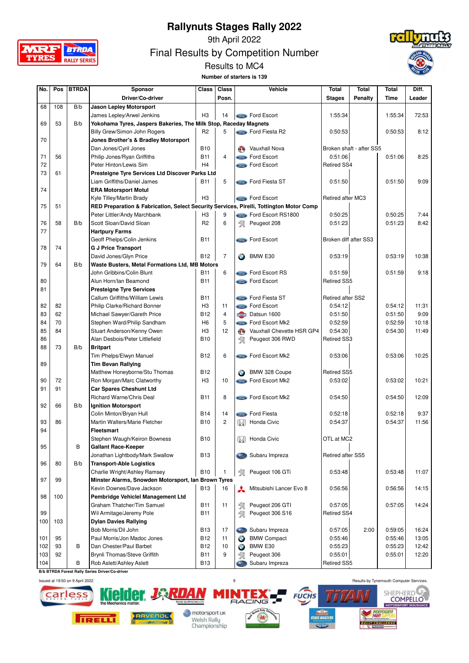

9th April 2022

Final Results by Competition Number





| No. | Pos | <b>BTRDA</b> | Sponsor                                                                                 | <b>Class</b>   | <b>Class</b>   |            | Vehicle                        | <b>Total</b>          | <b>Total</b>             | Total   | Diff.  |
|-----|-----|--------------|-----------------------------------------------------------------------------------------|----------------|----------------|------------|--------------------------------|-----------------------|--------------------------|---------|--------|
|     |     |              | Driver/Co-driver                                                                        |                | Posn.          |            |                                | <b>Stages</b>         | <b>Penalty</b>           | Time    | Leader |
| 68  | 108 | B/b          | <b>Jason Lepley Motorsport</b>                                                          |                |                |            |                                |                       |                          |         |        |
|     |     |              |                                                                                         |                |                |            |                                |                       |                          |         |        |
|     |     |              | James Lepley/Arwel Jenkins                                                              | H <sub>3</sub> | 14             |            | <b>Como Ford Escort</b>        | 1:55:34               |                          | 1:55:34 | 72:53  |
| 69  | 53  | B/b          | Yokohama Tyres, Jaspers Bakeries, The Milk Stop, Raceday Magnets                        |                |                |            |                                |                       |                          |         |        |
|     |     |              | Billy Grew/Simon John Rogers                                                            | R <sub>2</sub> | 5              |            | <b>Come</b> Ford Fiesta R2     | 0:50:53               |                          | 0:50:53 | 8:12   |
| 70  |     |              | Jones Brother's & Bradley Motorsport                                                    |                |                |            |                                |                       |                          |         |        |
|     |     |              | Dan Jones/Cyril Jones                                                                   | <b>B10</b>     |                | GO.        | Vauxhall Nova                  |                       | Broken shaft - after SS5 |         |        |
| 71  | 56  |              | Philip Jones/Ryan Griffiths                                                             | <b>B11</b>     | $\overline{4}$ |            | <b>Component Ford Escort</b>   | 0:51:06               |                          | 0:51:06 | 8:25   |
| 72  |     |              | Peter Hinton/Lewis Sim                                                                  | H <sub>4</sub> |                |            | <b>Come</b> Ford Escort        | <b>Retired SS4</b>    |                          |         |        |
| 73  | 61  |              | Presteigne Tyre Services Ltd Discover Parks Ltd                                         |                |                |            |                                |                       |                          |         |        |
|     |     |              | Liam Griffiths/Daniel James                                                             | <b>B11</b>     | 5              |            | Ford Fiesta ST                 | 0:51:50               |                          | 0:51:50 | 9:09   |
| 74  |     |              | <b>ERA Motorsport Motul</b>                                                             |                |                |            |                                |                       |                          |         |        |
|     |     |              | Kyle Tilley/Martin Brady                                                                | H <sub>3</sub> |                |            | <b>Come</b> Ford Escort        | Retired after MC3     |                          |         |        |
| 75  | 51  |              | RED Preparation & Fabrication, Select Security Services, Pirelli, Tottington Motor Comp |                |                |            |                                |                       |                          |         |        |
|     |     |              | Peter Littler/Andy Marchbank                                                            | H <sub>3</sub> | 9              |            | <b>Come</b> Ford Escort RS1800 | 0:50:25               |                          | 0:50:25 | 7:44   |
| 76  | 58  | B/b          | Scott Sloan/David Sloan                                                                 | R <sub>2</sub> | 6              | 憗          | Peugeot 208                    | 0:51:23               |                          | 0:51:23 | 8:42   |
| 77  |     |              | <b>Hartpury Farms</b>                                                                   |                |                |            |                                |                       |                          |         |        |
|     |     |              | Geoff Phelps/Colin Jenkins                                                              | <b>B11</b>     |                |            | <b>Component</b> Ford Escort   | Broken diff after SS3 |                          |         |        |
| 78  | 74  |              | <b>G J Price Transport</b>                                                              |                |                |            |                                |                       |                          |         |        |
|     |     |              | David Jones/Glyn Price                                                                  | <b>B12</b>     | $\overline{7}$ | $\bigodot$ | BMW E30                        | 0:53:19               |                          | 0:53:19 | 10:38  |
| 79  | 64  | B/b          | Waste Busters, Metal Formations Ltd, MB Motors                                          |                |                |            |                                |                       |                          |         |        |
|     |     |              | John Gribbins/Colin Blunt                                                               | <b>B11</b>     | 6              |            | <b>Compact Ford Escort RS</b>  | 0:51:59               |                          | 0:51:59 | 9:18   |
| 80  |     |              | Alun Horn/lan Beamond                                                                   | <b>B11</b>     |                |            | <b>Come</b> Ford Escort        | <b>Retired SS5</b>    |                          |         |        |
|     |     |              |                                                                                         |                |                |            |                                |                       |                          |         |        |
| 81  |     |              | <b>Presteigne Tyre Services</b>                                                         |                |                |            |                                |                       |                          |         |        |
|     |     |              | Callum Griffiths/William Lewis                                                          | <b>B11</b>     |                |            | <b>Compose</b> Ford Fiesta ST  | Retired after SS2     |                          |         |        |
| 82  | 82  |              | Philip Clarke/Richard Bonner                                                            | H <sub>3</sub> | 11             |            | <b>Come</b> Ford Escort        | 0:54:12               |                          | 0:54:12 | 11:31  |
| 83  | 62  |              | Michael Sawyer/Gareth Price                                                             | <b>B12</b>     | $\overline{4}$ |            | DATSUN Datsun 1600             | 0:51:50               |                          | 0:51:50 | 9:09   |
| 84  | 70  |              | Stephen Ward/Philip Sandham                                                             | H <sub>6</sub> | 5              |            | <b>Come</b> Ford Escort Mk2    | 0:52:59               |                          | 0:52:59 | 10:18  |
| 85  | 84  |              | Stuart Anderson/Kenny Owen                                                              | H <sub>3</sub> | 12             | G)         | Vauxhall Chevette HSR GP4      | 0:54:30               |                          | 0:54:30 | 11:49  |
| 86  |     |              | Alan Desbois/Peter Littlefield                                                          | <b>B10</b>     |                | 饗          | Peugeot 306 RWD                | Retired SS3           |                          |         |        |
| 88  | 73  | B/b          | <b>Britpart</b>                                                                         |                |                |            |                                |                       |                          |         |        |
|     |     |              | Tim Phelps/Elwyn Manuel                                                                 | <b>B12</b>     | 6              |            | <b>Come</b> Ford Escort Mk2    | 0:53:06               |                          | 0:53:06 | 10:25  |
| 89  |     |              | <b>Tim Bevan Rallying</b>                                                               |                |                |            |                                |                       |                          |         |        |
|     |     |              | Matthew Honeyborne/Stu Thomas                                                           | <b>B12</b>     |                |            | BMW 328 Coupe                  | <b>Retired SS5</b>    |                          |         |        |
| 90  | 72  |              | Ron Morgan/Marc Clatworthy                                                              | H <sub>3</sub> | 10             |            | Ford Escort Mk2                | 0:53:02               |                          | 0:53:02 | 10:21  |
| 91  | 91  |              | <b>Car Spares Cheshunt Ltd</b>                                                          |                |                |            |                                |                       |                          |         |        |
|     |     |              | <b>Richard Warne/Chris Deal</b>                                                         | <b>B11</b>     | 8              |            | Ford Escort Mk2                | 0:54:50               |                          | 0:54:50 | 12:09  |
| 92  | 66  | B/b          | <b>Ignition Motorsport</b>                                                              |                |                |            |                                |                       |                          |         |        |
|     |     |              | Colin Minton/Bryan Hull                                                                 | <b>B14</b>     | 14             |            | <b>Compo</b> Ford Fiesta       | 0:52:18               |                          | 0:52:18 | 9:37   |
| 93  | 86  |              | Martin Walters/Marie Fletcher                                                           | <b>B10</b>     | $\overline{c}$ | (M)        | Honda Civic                    | 0:54:37               |                          | 0:54:37 | 11:56  |
| 94  |     |              | <b>Fleetsmart</b>                                                                       |                |                |            |                                |                       |                          |         |        |
|     |     |              | Stephen Waugh/Keiron Bowness                                                            | B10            |                |            | <b>M</b> Honda Civic           | OTL at MC2            |                          |         |        |
| 95  |     | В            | <b>Gallant Race-Keeper</b>                                                              |                |                |            |                                |                       |                          |         |        |
|     |     |              | Jonathan Lightbody/Mark Swallow                                                         | <b>B13</b>     |                |            | Subaru Impreza                 | Retired after SS5     |                          |         |        |
|     |     |              |                                                                                         |                |                |            |                                |                       |                          |         |        |
| 96  | 80  | B/b          | <b>Transport-Able Logistics</b>                                                         |                |                |            |                                |                       |                          |         |        |
|     |     |              | Charlie Wright/Ashley Ramsey                                                            | <b>B10</b>     | 1              | 敎          | Peugeot 106 GTi                | 0:53:48               |                          | 0:53:48 | 11:07  |
| 97  | 99  |              | Minster Alarms, Snowden Motorsport, Ian Brown Tyres                                     |                |                |            |                                |                       |                          |         |        |
|     |     |              | Kevin Downes/Dave Jackson                                                               | <b>B13</b>     | 16             | ⋏          | Mitsubishi Lancer Evo 8        | 0:56:56               |                          | 0:56:56 | 14:15  |
| 98  | 100 |              | Pembridge Vehiclel Management Ltd                                                       |                |                |            |                                |                       |                          |         |        |
|     |     |              | Graham Thatcher/Tim Samuel                                                              | <b>B11</b>     | 11             | 絮          | Peugeot 206 GTI                | 0:57:05               |                          | 0:57:05 | 14:24  |
| 99  |     |              | Wil Armitage/Jeremy Pole                                                                | B11            |                | 溪          | Peugeot 306 S16                | Retired SS4           |                          |         |        |
| 100 | 103 |              | <b>Dylan Davies Rallying</b>                                                            |                |                |            |                                |                       |                          |         |        |
|     |     |              | Bob Morris/Dil John                                                                     | <b>B13</b>     | 17             |            | Subaru Impreza                 | 0:57:05               | 2:00                     | 0:59:05 | 16:24  |
| 101 | 95  |              | Paul Morris/Jon Madoc Jones                                                             | <b>B12</b>     | 11             | $\bigodot$ | <b>BMW Compact</b>             | 0:55:46               |                          | 0:55:46 | 13:05  |
| 102 | 93  | в            | Dan Chester/Paul Barbet                                                                 | <b>B12</b>     | 10             | $\bullet$  | BMW E30                        | 0:55:23               |                          | 0:55:23 | 12:42  |
| 103 | 92  |              | Brynli Thomas/Steve Griffith                                                            | <b>B11</b>     | 9              | 敎          | Peugeot 306                    | 0:55:01               |                          | 0:55:01 | 12:20  |
| 104 |     | В            | Rob Aslett/Ashley Aslett                                                                | <b>B13</b>     |                | 52.00      | Subaru Impreza                 | <b>Retired SS5</b>    |                          |         |        |

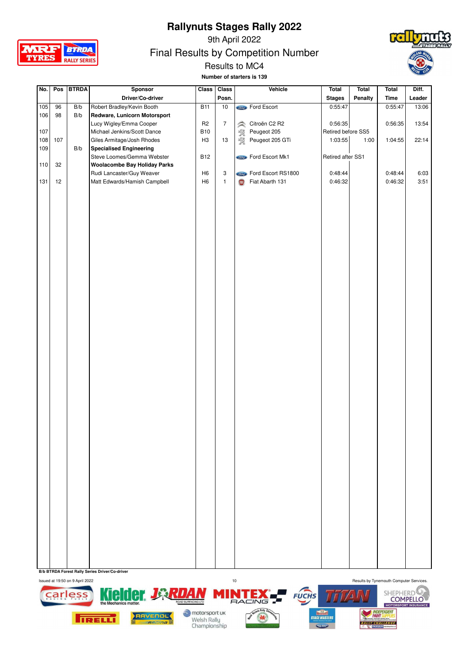

9th April 2022

Final Results by Competition Number



#### Results to MC4

**Number of starters is 139**

| No. | Pos | <b>BTRDA</b> | Sponsor                             | Class          | Class          | Vehicle                        | <b>Total</b>       | <b>Total</b> | <b>Total</b> | Diff.  |
|-----|-----|--------------|-------------------------------------|----------------|----------------|--------------------------------|--------------------|--------------|--------------|--------|
|     |     |              | Driver/Co-driver                    |                | Posn.          |                                | <b>Stages</b>      | Penalty      | <b>Time</b>  | Leader |
| 105 | 96  | B/b          | Robert Bradley/Kevin Booth          | <b>B11</b>     | 10             | <b>Compo Ford Escort</b>       | 0:55:47            |              | 0:55:47      | 13:06  |
| 106 | 98  | B/b          | Redware, Lunicorn Motorsport        |                |                |                                |                    |              |              |        |
|     |     |              | Lucy Wigley/Emma Cooper             | R <sub>2</sub> | $\overline{7}$ | Citroën C2 R2<br>$\hat{\succ}$ | 0:56:35            |              | 0:56:35      | 13:54  |
| 107 |     |              | Michael Jenkins/Scott Dance         | <b>B10</b>     |                | 敎<br>Peugeot 205               | Retired before SS5 |              |              |        |
| 108 | 107 |              | Giles Armitage/Josh Rhodes          | H <sub>3</sub> | 13             | 溪<br>Peugeot 205 GTi           | 1:03:55            | 1:00         | 1:04:55      | 22:14  |
| 109 |     | B/b          | <b>Specialised Engineering</b>      |                |                |                                |                    |              |              |        |
|     |     |              | Steve Loomes/Gemma Webster          | <b>B12</b>     |                | <b>Control</b> Ford Escort Mk1 | Retired after SS1  |              |              |        |
| 110 | 32  |              | <b>Woolacombe Bay Holiday Parks</b> |                |                |                                |                    |              |              |        |
|     |     |              | Rudi Lancaster/Guy Weaver           | H <sub>6</sub> | 3              | Ford Escort RS1800             | 0:48:44            |              | 0:48:44      | 6:03   |
| 131 | 12  |              | Matt Edwards/Hamish Campbell        | H <sub>6</sub> | $\mathbf{1}$   | Fiat Abarth 131<br>(FIRT)      | 0:46:32            |              | 0:46:32      | 3:51   |
|     |     |              |                                     |                |                |                                |                    |              |              |        |
|     |     |              |                                     |                |                |                                |                    |              |              |        |
|     |     |              |                                     |                |                |                                |                    |              |              |        |
|     |     |              |                                     |                |                |                                |                    |              |              |        |
|     |     |              |                                     |                |                |                                |                    |              |              |        |
|     |     |              |                                     |                |                |                                |                    |              |              |        |
|     |     |              |                                     |                |                |                                |                    |              |              |        |
|     |     |              |                                     |                |                |                                |                    |              |              |        |
|     |     |              |                                     |                |                |                                |                    |              |              |        |
|     |     |              |                                     |                |                |                                |                    |              |              |        |
|     |     |              |                                     |                |                |                                |                    |              |              |        |
|     |     |              |                                     |                |                |                                |                    |              |              |        |
|     |     |              |                                     |                |                |                                |                    |              |              |        |
|     |     |              |                                     |                |                |                                |                    |              |              |        |
|     |     |              |                                     |                |                |                                |                    |              |              |        |
|     |     |              |                                     |                |                |                                |                    |              |              |        |
|     |     |              |                                     |                |                |                                |                    |              |              |        |
|     |     |              |                                     |                |                |                                |                    |              |              |        |
|     |     |              |                                     |                |                |                                |                    |              |              |        |
|     |     |              |                                     |                |                |                                |                    |              |              |        |
|     |     |              |                                     |                |                |                                |                    |              |              |        |
|     |     |              |                                     |                |                |                                |                    |              |              |        |
|     |     |              |                                     |                |                |                                |                    |              |              |        |
|     |     |              |                                     |                |                |                                |                    |              |              |        |
|     |     |              |                                     |                |                |                                |                    |              |              |        |
|     |     |              |                                     |                |                |                                |                    |              |              |        |
|     |     |              |                                     |                |                |                                |                    |              |              |        |
|     |     |              |                                     |                |                |                                |                    |              |              |        |
|     |     |              |                                     |                |                |                                |                    |              |              |        |
|     |     |              |                                     |                |                |                                |                    |              |              |        |
|     |     |              |                                     |                |                |                                |                    |              |              |        |
|     |     |              |                                     |                |                |                                |                    |              |              |        |
|     |     |              |                                     |                |                |                                |                    |              |              |        |
|     |     |              |                                     |                |                |                                |                    |              |              |        |
|     |     |              |                                     |                |                |                                |                    |              |              |        |
|     |     |              |                                     |                |                |                                |                    |              |              |        |
|     |     |              |                                     |                |                |                                |                    |              |              |        |
|     |     |              |                                     |                |                |                                |                    |              |              |        |
|     |     |              |                                     |                |                |                                |                    |              |              |        |
|     |     |              |                                     |                |                |                                |                    |              |              |        |
|     |     |              |                                     |                |                |                                |                    |              |              |        |
|     |     |              |                                     |                |                |                                |                    |              |              |        |
|     |     |              |                                     |                |                |                                |                    |              |              |        |
|     |     |              |                                     |                |                |                                |                    |              |              |        |
|     |     |              |                                     |                |                |                                |                    |              |              |        |
|     |     |              |                                     |                |                |                                |                    |              |              |        |

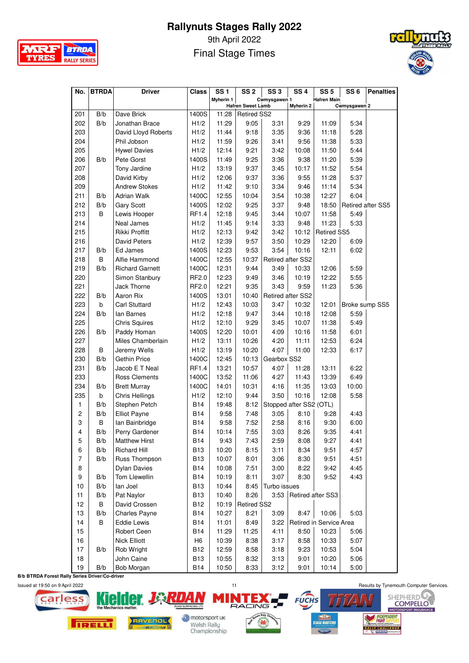

9th April 2022 Final Stage Times



| <b>Myherin 1</b><br>Cwmysgawen 1<br><b>Hafren Main</b><br><b>Hafren Sweet Lamb</b><br>Cwmysgawen 2<br>Myherin 2<br>Dave Brick<br>1400S<br>11:28<br>201<br>B/b<br><b>Retired SS2</b><br>202<br>B/b<br>Jonathan Brace<br>11:29<br>9:05<br>H1/2<br>3:31<br>9:29<br>11:09<br>5:34<br>9:36<br>203<br>11:44<br>9:18<br>3:35<br>11:18<br>5:28<br>David Lloyd Roberts<br>H1/2<br>204<br>Phil Jobson<br>11:59<br>9:26<br>9:56<br>11:38<br>5:33<br>H1/2<br>3:41<br>205<br>12:14<br>9:21<br>10:08<br>5:44<br><b>Hywel Davies</b><br>H1/2<br>3:42<br>11:50<br>206<br>11:49<br>9:25<br>3:36<br>9:38<br>5:39<br>B/b<br>Pete Gorst<br>1400S<br>11:20<br>207<br>13:19<br>9:37<br>10:17<br>11:52<br>5:54<br>Tony Jardine<br>H1/2<br>3:45<br>208<br>12:06<br>9:37<br>3:36<br>5:37<br>David Kirby<br>H1/2<br>9:55<br>11:28<br>209<br><b>Andrew Stokes</b><br>11:42<br>9:10<br>3:34<br>11:14<br>5:34<br>H1/2<br>9:46<br>211<br><b>Adrian Walk</b><br>1400C<br>12:55<br>10:04<br>3:54<br>10:38<br>12:27<br>6:04<br>B/b<br>212<br>B/b<br>12:02<br>9:25<br>3:37<br><b>Gary Scott</b><br>1400S<br>9:48<br>18:50<br><b>Retired after SS5</b><br>213<br>B<br>12:18<br>9:45<br>10:07<br>5:49<br>Lewis Hooper<br>RF1.4<br>3:44<br>11:58<br>9:14<br>3:33<br>214<br>Neal James<br>H1/2<br>11:45<br>9:48<br>11:23<br>5:33<br>215<br>Rikki Proffitt<br>12:13<br>10:12<br><b>Retired SS5</b><br>H1/2<br>9:42<br>3:42<br>216<br><b>David Peters</b><br>12:39<br>9:57<br>3:50<br>10:29<br>12:20<br>H1/2<br>6:09<br>9:53<br>217<br>B/b<br>Ed James<br>1400S<br>12:23<br>3:54<br>12:11<br>6:02<br>10:16<br>10:37<br>218<br>B<br>1400C<br>12:55<br>Retired after SS2<br>Alfie Hammond<br>12:31<br>9:44<br>3:49<br>10:33<br>5:59<br>219<br>B/b<br><b>Richard Garnett</b><br>1400C<br>12:06<br>220<br>RF2.0<br>12:23<br>9:49<br>3:46<br>10:19<br>12:22<br>5:55<br>Simon Stanbury<br>221<br><b>Jack Thorne</b><br>RF2.0<br>12:21<br>9:35<br>3:43<br>9:59<br>11:23<br>5:36<br>222<br>B/b<br>Aaron Rix<br>1400S<br>13:01<br>10:40<br>Retired after SS2<br>223<br><b>Carl Stuttard</b><br>12:43<br>10:03<br>3:47<br>10:32<br>b<br>H1/2<br>12:01<br>Broke sump SS5<br>224<br>B/b<br>lan Barnes<br>12:18<br>9:47<br>3:44<br>10:18<br>12:08<br>5:59<br>H1/2<br>9:29<br>225<br><b>Chris Squires</b><br>12:10<br>3:45<br>10:07<br>11:38<br>5:49<br>H1/2<br>226<br>B/b<br>Paddy Homan<br>12:20<br>10:01<br>4:09<br>11:58<br>6:01<br>1400S<br>10:16<br>227<br>Miles Chamberlain<br>13:11<br>10:26<br>4:20<br>11:11<br>12:53<br>6:24<br>H1/2<br>B<br>Jeremy Wells<br>13:19<br>10:20<br>4:07<br>228<br>H1/2<br>11:00<br>12:33<br>6:17<br>230<br>B/b<br><b>Gethin Price</b><br>12:45<br>10:13<br>Gearbox SS2<br>1400C<br>231<br>B/b<br>Jacob E T Neal<br>RF1.4<br>13:21<br>10:57<br>4:07<br>13:11<br>6:22<br>11:28<br>233<br>13:52<br>4:27<br>6:49<br>Ross Clements<br>1400C<br>11:06<br>11:43<br>13:39<br>14:01<br>10:00<br>234<br>B/b<br><b>Brett Murray</b><br>1400C<br>10:31<br>4:16<br>11:35<br>13:03<br>235<br>b<br>12:10<br>9:44<br>3:50<br>10:16<br>12:08<br>5:58<br>Chris Hellings<br>H1/2<br>B/b<br>Stephen Petch<br>B14<br>19:48<br>8:12<br>Stopped after SS2 (OTL)<br>1 |
|-------------------------------------------------------------------------------------------------------------------------------------------------------------------------------------------------------------------------------------------------------------------------------------------------------------------------------------------------------------------------------------------------------------------------------------------------------------------------------------------------------------------------------------------------------------------------------------------------------------------------------------------------------------------------------------------------------------------------------------------------------------------------------------------------------------------------------------------------------------------------------------------------------------------------------------------------------------------------------------------------------------------------------------------------------------------------------------------------------------------------------------------------------------------------------------------------------------------------------------------------------------------------------------------------------------------------------------------------------------------------------------------------------------------------------------------------------------------------------------------------------------------------------------------------------------------------------------------------------------------------------------------------------------------------------------------------------------------------------------------------------------------------------------------------------------------------------------------------------------------------------------------------------------------------------------------------------------------------------------------------------------------------------------------------------------------------------------------------------------------------------------------------------------------------------------------------------------------------------------------------------------------------------------------------------------------------------------------------------------------------------------------------------------------------------------------------------------------------------------------------------------------------------------------------------------------------------------------------------------------------------------------------------------------------------------------------------------------------------------------------------------------------------------------------------------------------------------------------------------------------------------------------------------------------------------------------------------------------------------------------------------------------------------------------------------------------------------------------------------------------------|
|                                                                                                                                                                                                                                                                                                                                                                                                                                                                                                                                                                                                                                                                                                                                                                                                                                                                                                                                                                                                                                                                                                                                                                                                                                                                                                                                                                                                                                                                                                                                                                                                                                                                                                                                                                                                                                                                                                                                                                                                                                                                                                                                                                                                                                                                                                                                                                                                                                                                                                                                                                                                                                                                                                                                                                                                                                                                                                                                                                                                                                                                                                                               |
|                                                                                                                                                                                                                                                                                                                                                                                                                                                                                                                                                                                                                                                                                                                                                                                                                                                                                                                                                                                                                                                                                                                                                                                                                                                                                                                                                                                                                                                                                                                                                                                                                                                                                                                                                                                                                                                                                                                                                                                                                                                                                                                                                                                                                                                                                                                                                                                                                                                                                                                                                                                                                                                                                                                                                                                                                                                                                                                                                                                                                                                                                                                               |
|                                                                                                                                                                                                                                                                                                                                                                                                                                                                                                                                                                                                                                                                                                                                                                                                                                                                                                                                                                                                                                                                                                                                                                                                                                                                                                                                                                                                                                                                                                                                                                                                                                                                                                                                                                                                                                                                                                                                                                                                                                                                                                                                                                                                                                                                                                                                                                                                                                                                                                                                                                                                                                                                                                                                                                                                                                                                                                                                                                                                                                                                                                                               |
|                                                                                                                                                                                                                                                                                                                                                                                                                                                                                                                                                                                                                                                                                                                                                                                                                                                                                                                                                                                                                                                                                                                                                                                                                                                                                                                                                                                                                                                                                                                                                                                                                                                                                                                                                                                                                                                                                                                                                                                                                                                                                                                                                                                                                                                                                                                                                                                                                                                                                                                                                                                                                                                                                                                                                                                                                                                                                                                                                                                                                                                                                                                               |
|                                                                                                                                                                                                                                                                                                                                                                                                                                                                                                                                                                                                                                                                                                                                                                                                                                                                                                                                                                                                                                                                                                                                                                                                                                                                                                                                                                                                                                                                                                                                                                                                                                                                                                                                                                                                                                                                                                                                                                                                                                                                                                                                                                                                                                                                                                                                                                                                                                                                                                                                                                                                                                                                                                                                                                                                                                                                                                                                                                                                                                                                                                                               |
|                                                                                                                                                                                                                                                                                                                                                                                                                                                                                                                                                                                                                                                                                                                                                                                                                                                                                                                                                                                                                                                                                                                                                                                                                                                                                                                                                                                                                                                                                                                                                                                                                                                                                                                                                                                                                                                                                                                                                                                                                                                                                                                                                                                                                                                                                                                                                                                                                                                                                                                                                                                                                                                                                                                                                                                                                                                                                                                                                                                                                                                                                                                               |
|                                                                                                                                                                                                                                                                                                                                                                                                                                                                                                                                                                                                                                                                                                                                                                                                                                                                                                                                                                                                                                                                                                                                                                                                                                                                                                                                                                                                                                                                                                                                                                                                                                                                                                                                                                                                                                                                                                                                                                                                                                                                                                                                                                                                                                                                                                                                                                                                                                                                                                                                                                                                                                                                                                                                                                                                                                                                                                                                                                                                                                                                                                                               |
|                                                                                                                                                                                                                                                                                                                                                                                                                                                                                                                                                                                                                                                                                                                                                                                                                                                                                                                                                                                                                                                                                                                                                                                                                                                                                                                                                                                                                                                                                                                                                                                                                                                                                                                                                                                                                                                                                                                                                                                                                                                                                                                                                                                                                                                                                                                                                                                                                                                                                                                                                                                                                                                                                                                                                                                                                                                                                                                                                                                                                                                                                                                               |
|                                                                                                                                                                                                                                                                                                                                                                                                                                                                                                                                                                                                                                                                                                                                                                                                                                                                                                                                                                                                                                                                                                                                                                                                                                                                                                                                                                                                                                                                                                                                                                                                                                                                                                                                                                                                                                                                                                                                                                                                                                                                                                                                                                                                                                                                                                                                                                                                                                                                                                                                                                                                                                                                                                                                                                                                                                                                                                                                                                                                                                                                                                                               |
|                                                                                                                                                                                                                                                                                                                                                                                                                                                                                                                                                                                                                                                                                                                                                                                                                                                                                                                                                                                                                                                                                                                                                                                                                                                                                                                                                                                                                                                                                                                                                                                                                                                                                                                                                                                                                                                                                                                                                                                                                                                                                                                                                                                                                                                                                                                                                                                                                                                                                                                                                                                                                                                                                                                                                                                                                                                                                                                                                                                                                                                                                                                               |
|                                                                                                                                                                                                                                                                                                                                                                                                                                                                                                                                                                                                                                                                                                                                                                                                                                                                                                                                                                                                                                                                                                                                                                                                                                                                                                                                                                                                                                                                                                                                                                                                                                                                                                                                                                                                                                                                                                                                                                                                                                                                                                                                                                                                                                                                                                                                                                                                                                                                                                                                                                                                                                                                                                                                                                                                                                                                                                                                                                                                                                                                                                                               |
|                                                                                                                                                                                                                                                                                                                                                                                                                                                                                                                                                                                                                                                                                                                                                                                                                                                                                                                                                                                                                                                                                                                                                                                                                                                                                                                                                                                                                                                                                                                                                                                                                                                                                                                                                                                                                                                                                                                                                                                                                                                                                                                                                                                                                                                                                                                                                                                                                                                                                                                                                                                                                                                                                                                                                                                                                                                                                                                                                                                                                                                                                                                               |
|                                                                                                                                                                                                                                                                                                                                                                                                                                                                                                                                                                                                                                                                                                                                                                                                                                                                                                                                                                                                                                                                                                                                                                                                                                                                                                                                                                                                                                                                                                                                                                                                                                                                                                                                                                                                                                                                                                                                                                                                                                                                                                                                                                                                                                                                                                                                                                                                                                                                                                                                                                                                                                                                                                                                                                                                                                                                                                                                                                                                                                                                                                                               |
|                                                                                                                                                                                                                                                                                                                                                                                                                                                                                                                                                                                                                                                                                                                                                                                                                                                                                                                                                                                                                                                                                                                                                                                                                                                                                                                                                                                                                                                                                                                                                                                                                                                                                                                                                                                                                                                                                                                                                                                                                                                                                                                                                                                                                                                                                                                                                                                                                                                                                                                                                                                                                                                                                                                                                                                                                                                                                                                                                                                                                                                                                                                               |
|                                                                                                                                                                                                                                                                                                                                                                                                                                                                                                                                                                                                                                                                                                                                                                                                                                                                                                                                                                                                                                                                                                                                                                                                                                                                                                                                                                                                                                                                                                                                                                                                                                                                                                                                                                                                                                                                                                                                                                                                                                                                                                                                                                                                                                                                                                                                                                                                                                                                                                                                                                                                                                                                                                                                                                                                                                                                                                                                                                                                                                                                                                                               |
|                                                                                                                                                                                                                                                                                                                                                                                                                                                                                                                                                                                                                                                                                                                                                                                                                                                                                                                                                                                                                                                                                                                                                                                                                                                                                                                                                                                                                                                                                                                                                                                                                                                                                                                                                                                                                                                                                                                                                                                                                                                                                                                                                                                                                                                                                                                                                                                                                                                                                                                                                                                                                                                                                                                                                                                                                                                                                                                                                                                                                                                                                                                               |
|                                                                                                                                                                                                                                                                                                                                                                                                                                                                                                                                                                                                                                                                                                                                                                                                                                                                                                                                                                                                                                                                                                                                                                                                                                                                                                                                                                                                                                                                                                                                                                                                                                                                                                                                                                                                                                                                                                                                                                                                                                                                                                                                                                                                                                                                                                                                                                                                                                                                                                                                                                                                                                                                                                                                                                                                                                                                                                                                                                                                                                                                                                                               |
|                                                                                                                                                                                                                                                                                                                                                                                                                                                                                                                                                                                                                                                                                                                                                                                                                                                                                                                                                                                                                                                                                                                                                                                                                                                                                                                                                                                                                                                                                                                                                                                                                                                                                                                                                                                                                                                                                                                                                                                                                                                                                                                                                                                                                                                                                                                                                                                                                                                                                                                                                                                                                                                                                                                                                                                                                                                                                                                                                                                                                                                                                                                               |
|                                                                                                                                                                                                                                                                                                                                                                                                                                                                                                                                                                                                                                                                                                                                                                                                                                                                                                                                                                                                                                                                                                                                                                                                                                                                                                                                                                                                                                                                                                                                                                                                                                                                                                                                                                                                                                                                                                                                                                                                                                                                                                                                                                                                                                                                                                                                                                                                                                                                                                                                                                                                                                                                                                                                                                                                                                                                                                                                                                                                                                                                                                                               |
|                                                                                                                                                                                                                                                                                                                                                                                                                                                                                                                                                                                                                                                                                                                                                                                                                                                                                                                                                                                                                                                                                                                                                                                                                                                                                                                                                                                                                                                                                                                                                                                                                                                                                                                                                                                                                                                                                                                                                                                                                                                                                                                                                                                                                                                                                                                                                                                                                                                                                                                                                                                                                                                                                                                                                                                                                                                                                                                                                                                                                                                                                                                               |
|                                                                                                                                                                                                                                                                                                                                                                                                                                                                                                                                                                                                                                                                                                                                                                                                                                                                                                                                                                                                                                                                                                                                                                                                                                                                                                                                                                                                                                                                                                                                                                                                                                                                                                                                                                                                                                                                                                                                                                                                                                                                                                                                                                                                                                                                                                                                                                                                                                                                                                                                                                                                                                                                                                                                                                                                                                                                                                                                                                                                                                                                                                                               |
|                                                                                                                                                                                                                                                                                                                                                                                                                                                                                                                                                                                                                                                                                                                                                                                                                                                                                                                                                                                                                                                                                                                                                                                                                                                                                                                                                                                                                                                                                                                                                                                                                                                                                                                                                                                                                                                                                                                                                                                                                                                                                                                                                                                                                                                                                                                                                                                                                                                                                                                                                                                                                                                                                                                                                                                                                                                                                                                                                                                                                                                                                                                               |
|                                                                                                                                                                                                                                                                                                                                                                                                                                                                                                                                                                                                                                                                                                                                                                                                                                                                                                                                                                                                                                                                                                                                                                                                                                                                                                                                                                                                                                                                                                                                                                                                                                                                                                                                                                                                                                                                                                                                                                                                                                                                                                                                                                                                                                                                                                                                                                                                                                                                                                                                                                                                                                                                                                                                                                                                                                                                                                                                                                                                                                                                                                                               |
|                                                                                                                                                                                                                                                                                                                                                                                                                                                                                                                                                                                                                                                                                                                                                                                                                                                                                                                                                                                                                                                                                                                                                                                                                                                                                                                                                                                                                                                                                                                                                                                                                                                                                                                                                                                                                                                                                                                                                                                                                                                                                                                                                                                                                                                                                                                                                                                                                                                                                                                                                                                                                                                                                                                                                                                                                                                                                                                                                                                                                                                                                                                               |
|                                                                                                                                                                                                                                                                                                                                                                                                                                                                                                                                                                                                                                                                                                                                                                                                                                                                                                                                                                                                                                                                                                                                                                                                                                                                                                                                                                                                                                                                                                                                                                                                                                                                                                                                                                                                                                                                                                                                                                                                                                                                                                                                                                                                                                                                                                                                                                                                                                                                                                                                                                                                                                                                                                                                                                                                                                                                                                                                                                                                                                                                                                                               |
|                                                                                                                                                                                                                                                                                                                                                                                                                                                                                                                                                                                                                                                                                                                                                                                                                                                                                                                                                                                                                                                                                                                                                                                                                                                                                                                                                                                                                                                                                                                                                                                                                                                                                                                                                                                                                                                                                                                                                                                                                                                                                                                                                                                                                                                                                                                                                                                                                                                                                                                                                                                                                                                                                                                                                                                                                                                                                                                                                                                                                                                                                                                               |
|                                                                                                                                                                                                                                                                                                                                                                                                                                                                                                                                                                                                                                                                                                                                                                                                                                                                                                                                                                                                                                                                                                                                                                                                                                                                                                                                                                                                                                                                                                                                                                                                                                                                                                                                                                                                                                                                                                                                                                                                                                                                                                                                                                                                                                                                                                                                                                                                                                                                                                                                                                                                                                                                                                                                                                                                                                                                                                                                                                                                                                                                                                                               |
|                                                                                                                                                                                                                                                                                                                                                                                                                                                                                                                                                                                                                                                                                                                                                                                                                                                                                                                                                                                                                                                                                                                                                                                                                                                                                                                                                                                                                                                                                                                                                                                                                                                                                                                                                                                                                                                                                                                                                                                                                                                                                                                                                                                                                                                                                                                                                                                                                                                                                                                                                                                                                                                                                                                                                                                                                                                                                                                                                                                                                                                                                                                               |
|                                                                                                                                                                                                                                                                                                                                                                                                                                                                                                                                                                                                                                                                                                                                                                                                                                                                                                                                                                                                                                                                                                                                                                                                                                                                                                                                                                                                                                                                                                                                                                                                                                                                                                                                                                                                                                                                                                                                                                                                                                                                                                                                                                                                                                                                                                                                                                                                                                                                                                                                                                                                                                                                                                                                                                                                                                                                                                                                                                                                                                                                                                                               |
|                                                                                                                                                                                                                                                                                                                                                                                                                                                                                                                                                                                                                                                                                                                                                                                                                                                                                                                                                                                                                                                                                                                                                                                                                                                                                                                                                                                                                                                                                                                                                                                                                                                                                                                                                                                                                                                                                                                                                                                                                                                                                                                                                                                                                                                                                                                                                                                                                                                                                                                                                                                                                                                                                                                                                                                                                                                                                                                                                                                                                                                                                                                               |
|                                                                                                                                                                                                                                                                                                                                                                                                                                                                                                                                                                                                                                                                                                                                                                                                                                                                                                                                                                                                                                                                                                                                                                                                                                                                                                                                                                                                                                                                                                                                                                                                                                                                                                                                                                                                                                                                                                                                                                                                                                                                                                                                                                                                                                                                                                                                                                                                                                                                                                                                                                                                                                                                                                                                                                                                                                                                                                                                                                                                                                                                                                                               |
|                                                                                                                                                                                                                                                                                                                                                                                                                                                                                                                                                                                                                                                                                                                                                                                                                                                                                                                                                                                                                                                                                                                                                                                                                                                                                                                                                                                                                                                                                                                                                                                                                                                                                                                                                                                                                                                                                                                                                                                                                                                                                                                                                                                                                                                                                                                                                                                                                                                                                                                                                                                                                                                                                                                                                                                                                                                                                                                                                                                                                                                                                                                               |
|                                                                                                                                                                                                                                                                                                                                                                                                                                                                                                                                                                                                                                                                                                                                                                                                                                                                                                                                                                                                                                                                                                                                                                                                                                                                                                                                                                                                                                                                                                                                                                                                                                                                                                                                                                                                                                                                                                                                                                                                                                                                                                                                                                                                                                                                                                                                                                                                                                                                                                                                                                                                                                                                                                                                                                                                                                                                                                                                                                                                                                                                                                                               |
|                                                                                                                                                                                                                                                                                                                                                                                                                                                                                                                                                                                                                                                                                                                                                                                                                                                                                                                                                                                                                                                                                                                                                                                                                                                                                                                                                                                                                                                                                                                                                                                                                                                                                                                                                                                                                                                                                                                                                                                                                                                                                                                                                                                                                                                                                                                                                                                                                                                                                                                                                                                                                                                                                                                                                                                                                                                                                                                                                                                                                                                                                                                               |
|                                                                                                                                                                                                                                                                                                                                                                                                                                                                                                                                                                                                                                                                                                                                                                                                                                                                                                                                                                                                                                                                                                                                                                                                                                                                                                                                                                                                                                                                                                                                                                                                                                                                                                                                                                                                                                                                                                                                                                                                                                                                                                                                                                                                                                                                                                                                                                                                                                                                                                                                                                                                                                                                                                                                                                                                                                                                                                                                                                                                                                                                                                                               |
| 2<br>9:58<br>3:05<br>8:10<br>B/b<br><b>Elliot Payne</b><br>B14<br>7:48<br>9:28<br>4:43                                                                                                                                                                                                                                                                                                                                                                                                                                                                                                                                                                                                                                                                                                                                                                                                                                                                                                                                                                                                                                                                                                                                                                                                                                                                                                                                                                                                                                                                                                                                                                                                                                                                                                                                                                                                                                                                                                                                                                                                                                                                                                                                                                                                                                                                                                                                                                                                                                                                                                                                                                                                                                                                                                                                                                                                                                                                                                                                                                                                                                        |
| 3<br>B<br>9:58<br>7:52<br>2:58<br>9:30<br>6:00<br>Ian Bainbridge<br><b>B14</b><br>8:16                                                                                                                                                                                                                                                                                                                                                                                                                                                                                                                                                                                                                                                                                                                                                                                                                                                                                                                                                                                                                                                                                                                                                                                                                                                                                                                                                                                                                                                                                                                                                                                                                                                                                                                                                                                                                                                                                                                                                                                                                                                                                                                                                                                                                                                                                                                                                                                                                                                                                                                                                                                                                                                                                                                                                                                                                                                                                                                                                                                                                                        |
| 4<br>B/b<br>Perry Gardener<br>7:55<br>3:03<br>8:26<br>9:35<br>4:41<br><b>B14</b><br>10:14                                                                                                                                                                                                                                                                                                                                                                                                                                                                                                                                                                                                                                                                                                                                                                                                                                                                                                                                                                                                                                                                                                                                                                                                                                                                                                                                                                                                                                                                                                                                                                                                                                                                                                                                                                                                                                                                                                                                                                                                                                                                                                                                                                                                                                                                                                                                                                                                                                                                                                                                                                                                                                                                                                                                                                                                                                                                                                                                                                                                                                     |
| 5<br>B/b<br><b>Matthew Hirst</b><br>B14<br>9:43<br>7:43<br>2:59<br>8:08<br>9:27<br>4:41                                                                                                                                                                                                                                                                                                                                                                                                                                                                                                                                                                                                                                                                                                                                                                                                                                                                                                                                                                                                                                                                                                                                                                                                                                                                                                                                                                                                                                                                                                                                                                                                                                                                                                                                                                                                                                                                                                                                                                                                                                                                                                                                                                                                                                                                                                                                                                                                                                                                                                                                                                                                                                                                                                                                                                                                                                                                                                                                                                                                                                       |
| 6<br>B/b<br><b>Richard Hill</b><br><b>B13</b><br>10:20<br>8:15<br>3:11<br>8:34<br>9:51<br>4:57                                                                                                                                                                                                                                                                                                                                                                                                                                                                                                                                                                                                                                                                                                                                                                                                                                                                                                                                                                                                                                                                                                                                                                                                                                                                                                                                                                                                                                                                                                                                                                                                                                                                                                                                                                                                                                                                                                                                                                                                                                                                                                                                                                                                                                                                                                                                                                                                                                                                                                                                                                                                                                                                                                                                                                                                                                                                                                                                                                                                                                |
| $\overline{7}$<br>B/b<br>Russ Thompson<br><b>B13</b><br>10:07<br>8:01<br>3:06<br>8:30<br>9:51<br>4:51                                                                                                                                                                                                                                                                                                                                                                                                                                                                                                                                                                                                                                                                                                                                                                                                                                                                                                                                                                                                                                                                                                                                                                                                                                                                                                                                                                                                                                                                                                                                                                                                                                                                                                                                                                                                                                                                                                                                                                                                                                                                                                                                                                                                                                                                                                                                                                                                                                                                                                                                                                                                                                                                                                                                                                                                                                                                                                                                                                                                                         |
| 8<br><b>Dylan Davies</b><br><b>B14</b><br>10:08<br>7:51<br>3:00<br>8:22<br>4:45<br>9:42                                                                                                                                                                                                                                                                                                                                                                                                                                                                                                                                                                                                                                                                                                                                                                                                                                                                                                                                                                                                                                                                                                                                                                                                                                                                                                                                                                                                                                                                                                                                                                                                                                                                                                                                                                                                                                                                                                                                                                                                                                                                                                                                                                                                                                                                                                                                                                                                                                                                                                                                                                                                                                                                                                                                                                                                                                                                                                                                                                                                                                       |
| 3:07<br>9<br>B/b<br>Tom Llewellin<br><b>B14</b><br>10:19<br>8:11<br>8:30<br>9:52<br>4:43                                                                                                                                                                                                                                                                                                                                                                                                                                                                                                                                                                                                                                                                                                                                                                                                                                                                                                                                                                                                                                                                                                                                                                                                                                                                                                                                                                                                                                                                                                                                                                                                                                                                                                                                                                                                                                                                                                                                                                                                                                                                                                                                                                                                                                                                                                                                                                                                                                                                                                                                                                                                                                                                                                                                                                                                                                                                                                                                                                                                                                      |
| 10<br>B/b<br>lan Joel<br><b>B13</b><br>10:44<br>8:45<br>Turbo issues                                                                                                                                                                                                                                                                                                                                                                                                                                                                                                                                                                                                                                                                                                                                                                                                                                                                                                                                                                                                                                                                                                                                                                                                                                                                                                                                                                                                                                                                                                                                                                                                                                                                                                                                                                                                                                                                                                                                                                                                                                                                                                                                                                                                                                                                                                                                                                                                                                                                                                                                                                                                                                                                                                                                                                                                                                                                                                                                                                                                                                                          |
| 8:26<br>3:53<br>Retired after SS3<br>Pat Naylor<br><b>B13</b><br>10:40<br>11<br>B/b                                                                                                                                                                                                                                                                                                                                                                                                                                                                                                                                                                                                                                                                                                                                                                                                                                                                                                                                                                                                                                                                                                                                                                                                                                                                                                                                                                                                                                                                                                                                                                                                                                                                                                                                                                                                                                                                                                                                                                                                                                                                                                                                                                                                                                                                                                                                                                                                                                                                                                                                                                                                                                                                                                                                                                                                                                                                                                                                                                                                                                           |
| 12<br>В<br><b>B12</b><br>10:19<br><b>Retired SS2</b><br>David Crossen                                                                                                                                                                                                                                                                                                                                                                                                                                                                                                                                                                                                                                                                                                                                                                                                                                                                                                                                                                                                                                                                                                                                                                                                                                                                                                                                                                                                                                                                                                                                                                                                                                                                                                                                                                                                                                                                                                                                                                                                                                                                                                                                                                                                                                                                                                                                                                                                                                                                                                                                                                                                                                                                                                                                                                                                                                                                                                                                                                                                                                                         |
| 13<br>B/b<br><b>B14</b><br>10:27<br>8:21<br>3:09<br>10:06<br>5:03<br><b>Charles Payne</b><br>8:47                                                                                                                                                                                                                                                                                                                                                                                                                                                                                                                                                                                                                                                                                                                                                                                                                                                                                                                                                                                                                                                                                                                                                                                                                                                                                                                                                                                                                                                                                                                                                                                                                                                                                                                                                                                                                                                                                                                                                                                                                                                                                                                                                                                                                                                                                                                                                                                                                                                                                                                                                                                                                                                                                                                                                                                                                                                                                                                                                                                                                             |
| 14<br>B<br><b>Eddie Lewis</b><br><b>B14</b><br>11:01<br>8:49<br>3:22<br>Retired in Service Area                                                                                                                                                                                                                                                                                                                                                                                                                                                                                                                                                                                                                                                                                                                                                                                                                                                                                                                                                                                                                                                                                                                                                                                                                                                                                                                                                                                                                                                                                                                                                                                                                                                                                                                                                                                                                                                                                                                                                                                                                                                                                                                                                                                                                                                                                                                                                                                                                                                                                                                                                                                                                                                                                                                                                                                                                                                                                                                                                                                                                               |
| 10:23<br>15<br><b>B14</b><br>11:29<br>11:25<br>4:11<br>8:50<br>5:06<br>Robert Ceen                                                                                                                                                                                                                                                                                                                                                                                                                                                                                                                                                                                                                                                                                                                                                                                                                                                                                                                                                                                                                                                                                                                                                                                                                                                                                                                                                                                                                                                                                                                                                                                                                                                                                                                                                                                                                                                                                                                                                                                                                                                                                                                                                                                                                                                                                                                                                                                                                                                                                                                                                                                                                                                                                                                                                                                                                                                                                                                                                                                                                                            |
| 16<br>Nick Elliott<br>H <sub>6</sub><br>10:39<br>8:38<br>3:17<br>8:58<br>5:07                                                                                                                                                                                                                                                                                                                                                                                                                                                                                                                                                                                                                                                                                                                                                                                                                                                                                                                                                                                                                                                                                                                                                                                                                                                                                                                                                                                                                                                                                                                                                                                                                                                                                                                                                                                                                                                                                                                                                                                                                                                                                                                                                                                                                                                                                                                                                                                                                                                                                                                                                                                                                                                                                                                                                                                                                                                                                                                                                                                                                                                 |
| 10:33                                                                                                                                                                                                                                                                                                                                                                                                                                                                                                                                                                                                                                                                                                                                                                                                                                                                                                                                                                                                                                                                                                                                                                                                                                                                                                                                                                                                                                                                                                                                                                                                                                                                                                                                                                                                                                                                                                                                                                                                                                                                                                                                                                                                                                                                                                                                                                                                                                                                                                                                                                                                                                                                                                                                                                                                                                                                                                                                                                                                                                                                                                                         |
| 17<br>B/b<br><b>B12</b><br>12:59<br>8:58<br>3:18<br>9:23<br>5:04<br>Rob Wright<br>10:53                                                                                                                                                                                                                                                                                                                                                                                                                                                                                                                                                                                                                                                                                                                                                                                                                                                                                                                                                                                                                                                                                                                                                                                                                                                                                                                                                                                                                                                                                                                                                                                                                                                                                                                                                                                                                                                                                                                                                                                                                                                                                                                                                                                                                                                                                                                                                                                                                                                                                                                                                                                                                                                                                                                                                                                                                                                                                                                                                                                                                                       |
| 18<br>John Caine<br><b>B13</b><br>10:55<br>8:32<br>3:13<br>9:01<br>5:06<br>10:20<br>19<br>B/b<br>Bob Morgan<br><b>B14</b><br>10:50<br>8:33<br>3:12<br>9:01<br>10:14<br>5:00                                                                                                                                                                                                                                                                                                                                                                                                                                                                                                                                                                                                                                                                                                                                                                                                                                                                                                                                                                                                                                                                                                                                                                                                                                                                                                                                                                                                                                                                                                                                                                                                                                                                                                                                                                                                                                                                                                                                                                                                                                                                                                                                                                                                                                                                                                                                                                                                                                                                                                                                                                                                                                                                                                                                                                                                                                                                                                                                                   |

**B/b BTRDA Forest Rally Series Driver/Co-driver**



motorsport uk Welsh Rally<br>Championship





Ά

Issued at 19:50 on 9 April 2022 **11 11 11 Results by Tynemouth Computer Services.** 

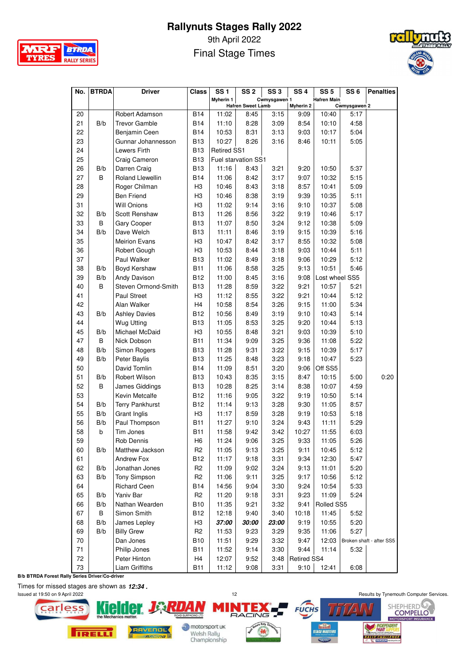

9th April 2022 Final Stage Times



| No.      | <b>BTRDA</b> | <b>Driver</b>                       | <b>Class</b>   | <b>SS1</b>         | SS 2                     | SS <sub>3</sub> | <b>SS4</b>        | SS <sub>5</sub>    | SS <sub>6</sub>      | <b>Penalties</b>         |
|----------|--------------|-------------------------------------|----------------|--------------------|--------------------------|-----------------|-------------------|--------------------|----------------------|--------------------------|
|          |              |                                     |                | <b>Myherin 1</b>   |                          | Cwmysgawen 1    |                   | <b>Hafren Main</b> |                      |                          |
|          |              | Robert Adamson                      | <b>B14</b>     |                    | <b>Hafren Sweet Lamb</b> | 3:15            | Myherin 2<br>9:09 | 10:40              | Cwmysgawen 2<br>5:17 |                          |
| 20<br>21 | B/b          | <b>Trevor Gamble</b>                | <b>B14</b>     | 11:02<br>11:10     | 8:45<br>8:28             |                 | 8:54              |                    | 4:58                 |                          |
| 22       |              |                                     | <b>B14</b>     | 10:53              | 8:31                     | 3:09<br>3:13    | 9:03              | 10:10<br>10:17     | 5:04                 |                          |
| 23       |              | Benjamin Ceen<br>Gunnar Johannesson | <b>B13</b>     | 10:27              | 8:26                     | 3:16            | 8:46              | 10:11              | 5:05                 |                          |
| 24       |              | Lewers Firth                        | <b>B13</b>     | <b>Retired SS1</b> |                          |                 |                   |                    |                      |                          |
| 25       |              | Craig Cameron                       | <b>B13</b>     |                    | Fuel starvation SS1      |                 |                   |                    |                      |                          |
| 26       | B/b          | Darren Craig                        | <b>B13</b>     | 11:16              | 8:43                     | 3:21            | 9:20              | 10:50              | 5:37                 |                          |
| 27       | B            | <b>Roland Llewellin</b>             | <b>B14</b>     | 11:06              | 8:42                     | 3:17            | 9:07              | 10:32              | 5:15                 |                          |
| 28       |              | Roger Chilman                       | H <sub>3</sub> | 10:46              | 8:43                     | 3:18            | 8:57              | 10:41              | 5:09                 |                          |
| 29       |              | <b>Ben Friend</b>                   | H <sub>3</sub> | 10:46              | 8:38                     | 3:19            | 9:39              | 10:35              | 5:11                 |                          |
| 31       |              | <b>Will Onions</b>                  | H <sub>3</sub> | 11:02              | 9:14                     | 3:16            | 9:10              | 10:37              | 5:08                 |                          |
| 32       | B/b          | <b>Scott Renshaw</b>                | <b>B13</b>     | 11:26              | 8:56                     | 3:22            | 9:19              | 10:46              | 5:17                 |                          |
| 33       | B            | Gary Cooper                         | <b>B13</b>     | 11:07              | 8:50                     | 3:24            | 9:12              | 10:38              | 5:09                 |                          |
| 34       | B/b          | Dave Welch                          | <b>B13</b>     | 11:11              | 8:46                     | 3:19            | 9:15              | 10:39              | 5:16                 |                          |
| 35       |              | <b>Meirion Evans</b>                | H <sub>3</sub> | 10:47              | 8:42                     | 3:17            | 8:55              | 10:32              | 5:08                 |                          |
| 36       |              | Robert Gough                        | H <sub>3</sub> | 10:53              | 8:44                     | 3:18            | 9:03              | 10:44              | 5:11                 |                          |
| 37       |              | Paul Walker                         | <b>B13</b>     | 11:02              | 8:49                     | 3:18            | 9:06              | 10:29              | 5:12                 |                          |
| 38       | B/b          | Boyd Kershaw                        | <b>B11</b>     | 11:06              | 8:58                     | 3:25            | 9:13              | 10:51              | 5:46                 |                          |
| 39       | B/b          | Andy Davison                        | <b>B12</b>     | 11:00              | 8:45                     | 3:16            | 9:08              | Lost wheel SS5     |                      |                          |
| 40       | B            | Steven Ormond-Smith                 | <b>B13</b>     | 11:28              | 8:59                     | 3:22            | 9:21              | 10:57              | 5:21                 |                          |
| 41       |              | <b>Paul Street</b>                  | H <sub>3</sub> | 11:12              | 8:55                     | 3:22            | 9:21              | 10:44              | 5:12                 |                          |
| 42       |              | Alan Walker                         | H <sub>4</sub> | 10:58              | 8:54                     | 3:26            | 9:15              | 11:00              | 5:34                 |                          |
| 43       | B/b          | <b>Ashley Davies</b>                | <b>B12</b>     | 10:56              | 8:49                     | 3:19            | 9:10              | 10:43              | 5:14                 |                          |
| 44       |              | Wug Utting                          | B13            | 11:05              | 8:53                     | 3:25            | 9:20              | 10:44              | 5:13                 |                          |
| 45       | B/b          | Michael McDaid                      | H <sub>3</sub> | 10:55              | 8:48                     | 3:21            | 9:03              | 10:39              | 5:10                 |                          |
| 47       | B            | Nick Dobson                         | <b>B11</b>     | 11:34              | 9:09                     | 3:25            | 9:36              | 11:08              | 5:22                 |                          |
| 48       | B/b          | Simon Rogers                        | <b>B13</b>     | 11:28              | 9:31                     | 3:22            | 9:15              | 10:39              | 5:17                 |                          |
| 49       | B/b          | Peter Baylis                        | <b>B13</b>     | 11:25              | 8:48                     | 3:23            | 9:18              | 10:47              | 5:23                 |                          |
| 50       |              | David Tomlin                        | <b>B14</b>     | 11:09              | 8:51                     | 3:20            | 9:06              | Off SS5            |                      |                          |
| 51       | B/b          | Robert Wilson                       | <b>B13</b>     | 10:43              | 8:35                     | 3:15            | 8:47              | 10:15              | 5:00                 | 0:20                     |
| 52       | B            | James Giddings                      | <b>B13</b>     | 10:28              | 8:25                     | 3:14            | 8:38              | 10:07              | 4:59                 |                          |
| 53       |              | Kevin Metcalfe                      | <b>B12</b>     | 11:16              | 9:05                     | 3:22            | 9:19              | 10:50              | 5:14                 |                          |
| 54       | B/b          | <b>Terry Pankhurst</b>              | B12            | 11:14              | 9:13                     | 3:28            | 9:30              | 11:05              | 8:57                 |                          |
| 55       | B/b          | Grant Inglis                        | H <sub>3</sub> | 11:17              | 8:59                     | 3:28            | 9:19              | 10:53              | 5:18                 |                          |
| 56       | B/b          | Paul Thompson                       | <b>B11</b>     | 11:27              | 9:10                     | 3:24            | 9:43              | 11:11              | 5:29                 |                          |
| 58       | b            | Tim Jones                           | B11            | 11:58              | 9:42                     | 3:42            | 10:27             | 11:55              | 6:03                 |                          |
| 59       |              | Rob Dennis                          | H6             | 11:24              | 9:06                     | 3:25            | 9:33              | 11:05              | 5:26                 |                          |
| 60       | B/b          | Matthew Jackson                     | R <sub>2</sub> | 11:05              | 9:13                     | 3:25            | 9:11              | 10:45              | 5:12                 |                          |
| 61       |              | Andrew Fox                          | <b>B12</b>     | 11:17              | 9:18                     | 3:31            | 9:34              | 12:30              | 5:47                 |                          |
| 62       | B/b          | Jonathan Jones                      | R <sub>2</sub> | 11:09              | 9:02                     | 3:24            | 9:13              | 11:01              | 5:20                 |                          |
| 63       | B/b          | Tony Simpson                        | R <sub>2</sub> | 11:06              | 9:11                     | 3:25            | 9:17              | 10:56              | 5:12                 |                          |
| 64       |              | <b>Richard Ceen</b>                 | B14            | 14:56              | 9:04                     | 3:30            | 9:24              | 10:54              | 5:33                 |                          |
| 65       | B/b          | Yaniv Bar                           | R <sub>2</sub> | 11:20              | 9:18                     | 3:31            | 9:23              | 11:09              | 5:24                 |                          |
| 66       | B/b          | Nathan Wearden                      | <b>B10</b>     | 11:35              | 9:21                     | 3:32            | 9:41              | Rolled SS5         |                      |                          |
| 67       | B            | Simon Smith                         | <b>B12</b>     | 12:18              | 9:40                     | 3:40            | 10:18             | 11:45              | 5:52                 |                          |
| 68       | B/b          | James Lepley                        | H <sub>3</sub> | 37:00              | 30:00                    | 23:00           | 9:19              | 10:55              | 5:20                 |                          |
| 69       | B/b          | <b>Billy Grew</b>                   | R <sub>2</sub> | 11:53              | 9:23                     | 3:29            | 9:35              | 11:06              | 5:27                 |                          |
| 70       |              | Dan Jones                           | <b>B10</b>     | 11:51              | 9:29                     | 3:32            | 9:47              | 12:03              |                      | Broken shaft - after SS5 |
| 71       |              | Philip Jones                        | <b>B11</b>     | 11:52              | 9:14                     | 3:30            | 9:44              | 11:14              | 5:32                 |                          |
| 72       |              | Peter Hinton                        | H4             | 12:07              | 9:52                     | 3:48            | Retired SS4       |                    |                      |                          |
| 73       |              | Liam Griffiths                      | <b>B11</b>     | 11:12              | 9:08                     | 3:31            | 9:10              | 12:41              | 6:08                 |                          |

**B/b BTRDA Forest Rally Series Driver/Co-driver**

Times for missed stages are shown as *12:34 .* 



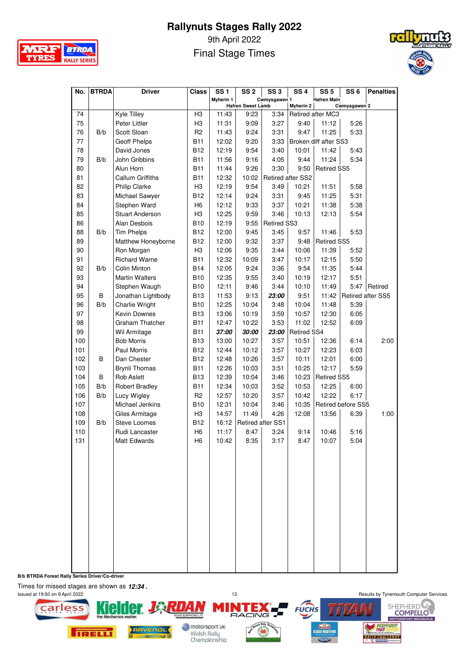

9th April 2022 Final Stage Times



| No. | <b>BTRDA</b> | <b>Driver</b>           | <b>Class</b>   | <b>SS1</b>       | SS 2                             | SS <sub>3</sub>   | SS <sub>4</sub>   | SS <sub>5</sub>       | SS <sub>6</sub>           | <b>Penalties</b>  |
|-----|--------------|-------------------------|----------------|------------------|----------------------------------|-------------------|-------------------|-----------------------|---------------------------|-------------------|
|     |              |                         |                | <b>Myherin 1</b> |                                  | Cwmysgawen 1      |                   | <b>Hafren Main</b>    |                           |                   |
| 74  |              | Kyle Tilley             | H <sub>3</sub> | 11:43            | <b>Hafren Sweet Lamb</b><br>9:23 | 3:34              | <b>Myherin 2</b>  | Retired after MC3     | Cwmysgawen 2              |                   |
| 75  |              | Peter Littler           | H <sub>3</sub> | 11:31            | 9:09                             | 3:27              | 9:40              | 11:12                 | 5:26                      |                   |
| 76  | B/b          | Scott Sloan             | R <sub>2</sub> | 11:43            | 9:24                             | 3:31              | 9:47              | 11:25                 | 5:33                      |                   |
| 77  |              | <b>Geoff Phelps</b>     | B11            | 12:02            | 9:20                             | 3:33              |                   | Broken diff after SS3 |                           |                   |
| 78  |              | David Jones             | B12            | 12:19            | 9:54                             | 3:40              | 10:01             | 11:42                 | 5:43                      |                   |
| 79  | B/b          | John Gribbins           | <b>B11</b>     | 11:56            | 9:16                             | 4:05              | 9:44              | 11:24                 | 5:34                      |                   |
| 80  |              | Alun Horn               | <b>B11</b>     | 11:44            | 9:26                             | 3:30              | 9:50              | <b>Retired SS5</b>    |                           |                   |
| 81  |              | <b>Callum Griffiths</b> | <b>B11</b>     | 12:32            | 10:02                            |                   | Retired after SS2 |                       |                           |                   |
| 82  |              | <b>Philip Clarke</b>    | H <sub>3</sub> | 12:19            | 9:54                             | 3:49              | 10:21             | 11:51                 | 5:58                      |                   |
| 83  |              | Michael Sawyer          | <b>B12</b>     | 12:14            | 9:24                             | 3:31              | 9:45              | 11:25                 | 5:31                      |                   |
| 84  |              | Stephen Ward            | H6             | 12:12            | 9:33                             | 3:37              | 10:21             | 11:38                 | 5:38                      |                   |
| 85  |              | <b>Stuart Anderson</b>  | H <sub>3</sub> | 12:25            | 9:59                             | 3:46              | 10:13             | 12:13                 | 5:54                      |                   |
| 86  |              | Alan Desbois            | <b>B10</b>     | 12:19            | 9:55                             | Retired SS3       |                   |                       |                           |                   |
| 88  | B/b          | <b>Tim Phelps</b>       | <b>B12</b>     | 12:00            | 9:45                             | 3:45              | 9:57              | 11:46                 | 5:53                      |                   |
| 89  |              | Matthew Honeyborne      | <b>B12</b>     | 12:00            | 9:32                             | 3:37              | 9:48              | Retired SS5           |                           |                   |
| 90  |              | Ron Morgan              | H <sub>3</sub> | 12:06            | 9:35                             | 3:44              | 10:06             | 11:39                 | 5:52                      |                   |
| 91  |              | <b>Richard Warne</b>    | <b>B11</b>     | 12:32            | 10:09                            | 3:47              | 10:17             | 12:15                 | 5:50                      |                   |
| 92  | B/b          | Colin Minton            | <b>B14</b>     | 12:05            | 9:24                             | 3:36              | 9:54              | 11:35                 | 5:44                      |                   |
| 93  |              | <b>Martin Walters</b>   | <b>B10</b>     | 12:35            | 9:55                             | 3:40              | 10:19             | 12:17                 | 5:51                      |                   |
| 94  |              | Stephen Waugh           | <b>B10</b>     | 12:11            | 9:46                             | 3:44              | 10:10             | 11:49                 |                           | 5:47   Retired    |
| 95  | B            | Jonathan Lightbody      | <b>B13</b>     | 11:53            | 9:13                             | 23:00             | 9:51              | 11:42                 |                           | Retired after SS5 |
| 96  | B/b          | Charlie Wright          | <b>B10</b>     | 12:25            | 10:04                            | 3:48              | 10:04             | 11:48                 | 5:39                      |                   |
| 97  |              | <b>Kevin Downes</b>     | <b>B13</b>     | 13:06            | 10:19                            | 3:59              | 10:57             | 12:30                 | 6:05                      |                   |
| 98  |              | Graham Thatcher         | <b>B11</b>     | 12:47            | 10:22                            | 3:53              | 11:02             | 12:52                 | 6:09                      |                   |
| 99  |              | Wil Armitage            | <b>B11</b>     | 37:00            | 30:00                            | 23:00             | Retired SS4       |                       |                           |                   |
| 100 |              | <b>Bob Morris</b>       | <b>B13</b>     | 13:00            | 10:27                            | 3:57              | 10:51             | 12:36                 | 6:14                      | 2:00              |
| 101 |              | Paul Morris             | <b>B12</b>     | 12:44            | 10:12                            | 3:57              | 10:27             | 12:23                 | 6:03                      |                   |
| 102 | В            | Dan Chester             | <b>B12</b>     | 12:48            | 10:26                            | 3:57              | 10:11             | 12:01                 | 6:00                      |                   |
| 103 |              | <b>Brynli Thomas</b>    | <b>B11</b>     | 12:26            | 10:03                            | 3:51              | 10:25             | 12:17                 | 5:59                      |                   |
| 104 | B            | <b>Rob Aslett</b>       | <b>B13</b>     | 12:39            | 10:04                            | 3:46              | 10:23             | <b>Retired SS5</b>    |                           |                   |
| 105 | B/b          | Robert Bradley          | <b>B11</b>     | 12:34            | 10:03                            | 3:52              | 10:53             | 12:25                 | 6:00                      |                   |
| 106 | B/b          | Lucy Wigley             | R <sub>2</sub> | 12:57            | 10:20                            | 3:57              | 10:42             | 12:22                 | 6:17                      |                   |
| 107 |              | Michael Jenkins         | B10            | 12:31            | 10:04                            | 3:46              | 10:35             |                       | <b>Retired before SS5</b> |                   |
| 108 |              | Giles Armitage          | H <sub>3</sub> | 14:57            | 11:49                            | 4:26              | 12:08             | 13:56                 | 6:39                      | 1:00              |
| 109 | B/b          | <b>Steve Loomes</b>     | <b>B12</b>     | 16:12            |                                  | Retired after SS1 |                   |                       |                           |                   |
| 110 |              | Rudi Lancaster          | H6             | 11:17            | 8:47                             | 3:24              | 9:14              | 10:46                 | 5:16                      |                   |
| 131 |              | Matt Edwards            | H <sub>6</sub> | 10:42            | 8:35                             | 3:17              | 8:47              | 10:07                 | 5:04                      |                   |
|     |              |                         |                |                  |                                  |                   |                   |                       |                           |                   |
|     |              |                         |                |                  |                                  |                   |                   |                       |                           |                   |
|     |              |                         |                |                  |                                  |                   |                   |                       |                           |                   |
|     |              |                         |                |                  |                                  |                   |                   |                       |                           |                   |
|     |              |                         |                |                  |                                  |                   |                   |                       |                           |                   |
|     |              |                         |                |                  |                                  |                   |                   |                       |                           |                   |
|     |              |                         |                |                  |                                  |                   |                   |                       |                           |                   |
|     |              |                         |                |                  |                                  |                   |                   |                       |                           |                   |
|     |              |                         |                |                  |                                  |                   |                   |                       |                           |                   |
|     |              |                         |                |                  |                                  |                   |                   |                       |                           |                   |
|     |              |                         |                |                  |                                  |                   |                   |                       |                           |                   |
|     |              |                         |                |                  |                                  |                   |                   |                       |                           |                   |
|     |              |                         |                |                  |                                  |                   |                   |                       |                           |                   |

I **B/b BTRDA Forest Rally Series Driver/Co-driver**

Times for missed stages are shown as *12:34 .* 

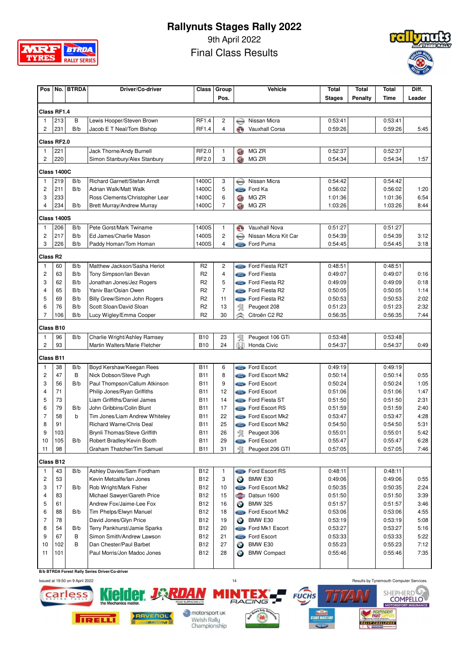

9th April 2022

Final Class Results



| Pos                 |                    | No. BTRDA | Driver/Co-driver                   | Class          | Group          |                                       | Vehicle                      | <b>Total</b>  | Total   | <b>Total</b> | Diff.  |
|---------------------|--------------------|-----------|------------------------------------|----------------|----------------|---------------------------------------|------------------------------|---------------|---------|--------------|--------|
|                     |                    |           |                                    |                | Pos.           |                                       |                              | <b>Stages</b> | Penalty | Time         | Leader |
|                     | Class RF1.4        |           |                                    |                |                |                                       |                              |               |         |              |        |
| 1                   | 213                | B         | Lewis Hooper/Steven Brown          | <b>RF1.4</b>   | 2              | $\bigoplus$                           | Nissan Micra                 | 0:53:41       |         | 0:53:41      |        |
| $\overline{c}$      | 231                | B/b       | Jacob E T Neal/Tom Bishop          | RF1.4          | 4              | O)                                    | Vauxhall Corsa               | 0:59:26       |         | 0:59:26      | 5:45   |
|                     | Class RF2.0        |           |                                    |                |                |                                       |                              |               |         |              |        |
| 1                   | 221                |           | Jack Thorne/Andy Burnell           | RF2.0          | 1              | O                                     | MG ZR                        | 0:52:37       |         | 0:52:37      |        |
| 2                   | 220                |           | Simon Stanbury/Alex Stanbury       | RF2.0          | 3              | <b>OD</b>                             | MG ZR                        | 0:54:34       |         | 0:54:34      | 1:57   |
|                     | <b>Class 1400C</b> |           |                                    |                |                |                                       |                              |               |         |              |        |
| 1                   | 219                | B/b       | Richard Garnett/Stefan Arndt       | 1400C          | 3              | $\color{red} \bigoplus$               | Nissan Micra                 | 0:54:42       |         | 0:54:42      |        |
| $\overline{c}$      | 211                | B/b       | Adrian Walk/Matt Walk              | 1400C          | 5              |                                       | Ford Ka                      | 0:56:02       |         | 0:56:02      | 1:20   |
| 3                   | 233                |           | Ross Clements/Christopher Lear     | 1400C          | 6              | <b>CD</b>                             | MG ZR                        | 1:01:36       |         | 1:01:36      | 6:54   |
| 4                   | 234                | B/b       | <b>Brett Murray/Andrew Murray</b>  | 1400C          | 7              | <b>GB</b>                             | MG ZR                        | 1:03:26       |         | 1:03:26      | 8:44   |
|                     | <b>Class 1400S</b> |           |                                    |                |                |                                       |                              |               |         |              |        |
| 1                   | 206                | B/b       | Pete Gorst/Mark Twiname            | 1400S          | 1              | $\odot$                               | Vauxhall Nova                | 0:51:27       |         | 0:51:27      |        |
| 2                   | 217                | B/b       | Ed James/Charlie Mason             | 1400S          | 2              | $\color{red} \color{black} \bigoplus$ | Nissan Micra Kit Car         | 0:54:39       |         | 0:54:39      | 3:12   |
| 3                   | 226                | B/b       | Paddy Homan/Tom Homan              | 1400S          | 4              |                                       | <b>Compo</b> Ford Puma       | 0:54:45       |         | 0:54:45      | 3:18   |
| Class <sub>R2</sub> |                    |           |                                    |                |                |                                       |                              |               |         |              |        |
| 1                   | 60                 | B/b       | Matthew Jackson/Sasha Heriot       | R <sub>2</sub> | 2              |                                       | Ford Fiesta R2T              | 0:48:51       |         | 0:48:51      |        |
| $\overline{c}$      | 63                 | B/b       | Tony Simpson/lan Bevan             | R <sub>2</sub> | 4              |                                       | <b>Compo</b> Ford Fiesta     | 0:49:07       |         | 0:49:07      | 0:16   |
| 3                   | 62                 | B/b       | Jonathan Jones/Jez Rogers          | R <sub>2</sub> | 5              |                                       | <b>Comp</b> Ford Fiesta R2   | 0:49:09       |         | 0:49:09      | 0:18   |
| 4                   | 65                 | B/b       | Yaniv Bar/Osian Owen               | R <sub>2</sub> | $\overline{7}$ |                                       | Ford Fiesta R2               | 0:50:05       |         | 0:50:05      | 1:14   |
| 5                   | 69                 | B/b       | Billy Grew/Simon John Rogers       | R <sub>2</sub> | 11             |                                       | <b>Come</b> Ford Fiesta R2   | 0:50:53       |         | 0:50:53      | 2:02   |
| 6                   | 76                 | B/b       | Scott Sloan/David Sloan            | R <sub>2</sub> | 13             | 寰                                     | Peugeot 208                  | 0:51:23       |         | 0:51:23      | 2:32   |
| $\overline{7}$      | 106                | B/b       | Lucy Wigley/Emma Cooper            | R <sub>2</sub> | 30             | $\hat{\,\,}$                          | Citroën C2 R2                | 0:56:35       |         | 0:56:35      | 7:44   |
|                     | Class B10          |           |                                    |                |                |                                       |                              |               |         |              |        |
| 1                   | 96                 | B/b       | Charlie Wright/Ashley Ramsey       | <b>B10</b>     | 23             | 寰                                     | Peugeot 106 GTi              | 0:53:48       |         | 0:53:48      |        |
| $\overline{c}$      | 93                 |           | Martin Walters/Marie Fletcher      | <b>B10</b>     | 24             | M                                     | Honda Civic                  | 0:54:37       |         | 0:54:37      | 0:49   |
|                     | Class B11          |           |                                    |                |                |                                       |                              |               |         |              |        |
| -1                  | 38                 | B/b       | Boyd Kershaw/Keegan Rees           | <b>B11</b>     | 6              |                                       | <b>Come</b> Ford Escort      | 0:49:19       |         | 0:49:19      |        |
| $\overline{c}$      | 47                 | B         | Nick Dobson/Steve Pugh             | <b>B11</b>     | 8              |                                       | <b>Come</b> Ford Escort Mk2  | 0:50:14       |         | 0:50:14      | 0:55   |
| 3                   | 56                 | B/b       | Paul Thompson/Callum Atkinson      | <b>B11</b>     | 9              |                                       | <b>Contact Ford Escort</b>   | 0:50:24       |         | 0:50:24      | 1:05   |
| 4                   | 71                 |           | Philip Jones/Ryan Griffiths        | <b>B11</b>     | 12             |                                       | <b>Contact Ford Escort</b>   | 0:51:06       |         | 0:51:06      | 1:47   |
| 5                   | 73                 |           | <b>Liam Griffiths/Daniel James</b> | <b>B11</b>     | 14             |                                       | <b>Come</b> Ford Fiesta ST   | 0:51:50       |         | 0:51:50      | 2:31   |
| 6                   | 79                 | B/b       | John Gribbins/Colin Blunt          | <b>B11</b>     | 17             |                                       | <b>Compa</b> Ford Escort RS  | 0:51:59       |         | 0:51:59      | 2:40   |
| 7                   | 58                 | b         | Tim Jones/Liam Andrew Whiteley     | <b>B11</b>     | 22             |                                       | Ford Escort Mk2              | 0:53:47       |         | 0:53:47      | 4:28   |
| 8                   | 91                 |           | Richard Warne/Chris Deal           | <b>B11</b>     | 25             |                                       | <b>Come</b> Ford Escort Mk2  | 0:54:50       |         | 0:54:50      | 5:31   |
| 9                   | 103                |           | Brynli Thomas/Steve Griffith       | <b>B11</b>     | 26             | 寰                                     | Peugeot 306                  | 0:55:01       |         | 0:55:01      | 5:42   |
| 10                  | 105                | B/b       | Robert Bradley/Kevin Booth         | B11            | 29             |                                       | <b>Cond</b> Ford Escort      | 0:55:47       |         | 0:55:47      | 6:28   |
| 11                  | 98                 |           | Graham Thatcher/Tim Samuel         | <b>B11</b>     | 31             | 啜                                     | Peugeot 206 GTI              | 0:57:05       |         | 0:57:05      | 7:46   |
|                     | Class B12          |           |                                    |                |                |                                       |                              |               |         |              |        |
| $\mathbf{1}$        | 43                 | B/b       | Ashley Davies/Sam Fordham          | <b>B12</b>     | 1              |                                       | Store Ford Escort RS         | 0:48:11       |         | 0:48:11      |        |
| $\overline{c}$      | 53                 |           | Kevin Metcalfe/lan Jones           | <b>B12</b>     | 3              | $\bigodot$                            | BMW E30                      | 0:49:06       |         | 0:49:06      | 0:55   |
| 3                   | 17                 | B/b       | Rob Wright/Mark Fisher             | <b>B12</b>     | 10             |                                       | <b>Come</b> Ford Escort Mk2  | 0:50:35       |         | 0:50:35      | 2:24   |
| 4                   | 83                 |           | Michael Sawyer/Gareth Price        | <b>B12</b>     | 15             |                                       | DATSUN Datsun 1600           | 0:51:50       |         | 0:51:50      | 3:39   |
| 5                   | 61                 |           | Andrew Fox/Jaime-Lee Fox           | <b>B12</b>     | 16             | $\bullet$                             | <b>BMW 325</b>               | 0:51:57       |         | 0:51:57      | 3:46   |
| 6                   | 88                 | B/b       | Tim Phelps/Elwyn Manuel            | <b>B12</b>     | 18             |                                       | Come Ford Escort Mk2         | 0:53:06       |         | 0:53:06      | 4:55   |
| 7                   | 78                 |           | David Jones/Glyn Price             | <b>B12</b>     | 19             | $\bullet$                             | BMW E30                      | 0:53:19       |         | 0:53:19      | 5:08   |
| 8                   | 54                 | B/b       | Terry Pankhurst/Jamie Sparks       | <b>B12</b>     | 20             |                                       | <b>State</b> Ford Mk1 Escort | 0:53:27       |         | 0:53:27      | 5:16   |
| 9                   | 67                 | В         | Simon Smith/Andrew Lawson          | <b>B12</b>     | 21             |                                       | <b>Contact Ford Escort</b>   | 0:53:33       |         | 0:53:33      | 5:22   |
| 10                  | 102                | B         | Dan Chester/Paul Barbet            | <b>B12</b>     | 27             | $\bullet$                             | BMW E30                      | 0:55:23       |         | 0:55:23      | 7:12   |
| 11                  | 101                |           | Paul Morris/Jon Madoc Jones        | B12            | 28             | $\bigodot$                            | <b>BMW Compact</b>           | 0:55:46       |         | 0:55:46      | 7:35   |
|                     |                    |           |                                    |                |                |                                       |                              |               |         |              |        |

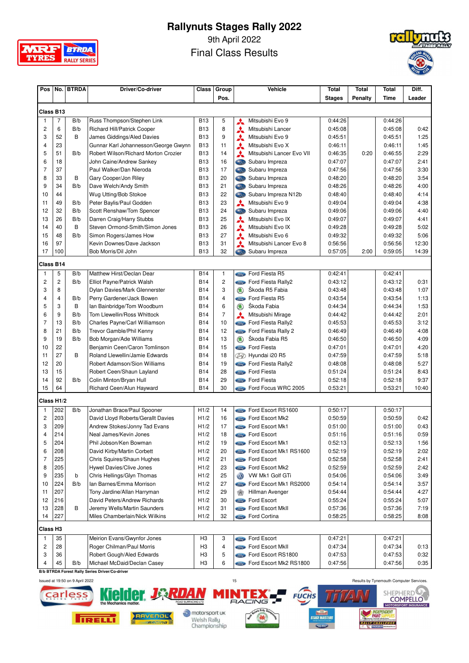

9th April 2022

Final Class Results



| Pos                  | No.            | <b>BTRDA</b> | Driver/Co-driver                                        | Class          | Group          |                            | <b>Vehicle</b>                                         | <b>Total</b>       | Total | Total              | Diff.        |
|----------------------|----------------|--------------|---------------------------------------------------------|----------------|----------------|----------------------------|--------------------------------------------------------|--------------------|-------|--------------------|--------------|
|                      |                | Pos.         |                                                         |                | <b>Stages</b>  | Penalty                    | Time                                                   | Leader             |       |                    |              |
| Class B13            |                |              |                                                         |                |                |                            |                                                        |                    |       |                    |              |
| 1                    | 7              | B/b          | Russ Thompson/Stephen Link                              | <b>B13</b>     | 5              |                            | Mitsubishi Evo 9                                       | 0:44:26            |       | 0:44:26            |              |
| 2                    | 6              | B/b          | <b>Richard Hill/Patrick Cooper</b>                      | <b>B13</b>     | 8              | ⋏                          | Mitsubishi Lancer                                      | 0:45:08            |       | 0:45:08            | 0:42         |
| 3                    | 52             | B            | James Giddings/Aled Davies                              | <b>B13</b>     | 9              | ⋏<br>٨                     | Mitsubishi Evo 9                                       | 0:45:51            |       | 0:45:51            | 1:25         |
| 4                    | 23             |              | Gunnar Karl Johannesson/George Gwynn                    | <b>B13</b>     | 11             | ⋏                          | Mitsubishi Evo X                                       | 0:46:11            |       | 0:46:11            | 1:45         |
| 5                    | 51             | B/b          | Robert Wilson/Richard Morton Crozier                    | <b>B13</b>     | 14             | A                          | Mitsubishi Lancer Evo VII                              | 0:46:35            | 0:20  | 0:46:55            | 2:29         |
| 6                    | 18             |              | John Caine/Andrew Sankey                                | <b>B13</b>     | 16             | Cas                        | Subaru Impreza                                         | 0:47:07            |       | 0:47:07            | 2:41         |
| $\overline{7}$       | 37             |              | Paul Walker/Dan Nieroda                                 | <b>B13</b>     | 17             |                            | Subaru Impreza                                         | 0:47:56            |       | 0:47:56            | 3:30         |
| 8                    | 33             | В            | Gary Cooper/Jon Riley                                   | <b>B13</b>     | 20             |                            | Subaru Impreza                                         | 0:48:20            |       | 0:48:20            | 3:54         |
| 9                    | 34             | B/b          | Dave Welch/Andy Smith                                   | <b>B13</b>     | 21             |                            | Subaru Impreza                                         | 0:48:26            |       | 0:48:26            | 4:00         |
| 10                   | 44             |              | Wug Utting/Bob Stokoe                                   | <b>B13</b>     | 22             | Cast                       | Subaru Impreza N12b                                    | 0:48:40            |       | 0:48:40            | 4:14         |
| 11                   | 49             | B/b          | Peter Baylis/Paul Godden                                | <b>B13</b>     | 23             | $\boldsymbol{\star}$       | Mitsubishi Evo 9                                       | 0:49:04            |       | 0:49:04            | 4:38         |
| 12                   | 32             | B/b          | Scott Renshaw/Tom Spencer                               | <b>B13</b>     | 24             | Cast                       | Subaru Impreza                                         | 0:49:06            |       | 0:49:06            | 4:40         |
| 13                   | 26             | B/b          | Darren Craig/Harry Stubbs                               | <b>B13</b>     | 25             | ٨                          | Mitsubishi Evo IX                                      | 0:49:07            |       | 0:49:07            | 4:41         |
| 14                   | 40             | B            | Steven Ormond-Smith/Simon Jones                         | <b>B13</b>     | 26             | ⋏                          | Mitsubishi Evo IX                                      | 0:49:28            |       | 0:49:28            | 5:02         |
| 15                   | 48             | B/b          | Simon Rogers/James How                                  | <b>B13</b>     | 27             | ⋏                          | Mitsubishi Evo 6                                       | 0:49:32            |       | 0:49:32            | 5:06         |
| 16                   | 97             |              | Kevin Downes/Dave Jackson                               | <b>B13</b>     | 31             | ⋏                          | Mitsubishi Lancer Evo 8                                | 0:56:56            |       | 0:56:56            | 12:30        |
| 17                   | 100            |              | Bob Morris/Dil John                                     | <b>B13</b>     | 32             | Card                       | Subaru Impreza                                         | 0:57:05            | 2:00  | 0:59:05            | 14:39        |
|                      |                |              |                                                         |                |                |                            |                                                        |                    |       |                    |              |
| Class B14<br>1       | 5              | B/b          | Matthew Hirst/Declan Dear                               | <b>B14</b>     | $\mathbf{1}$   |                            | <b>Compo</b> Ford Fiesta R5                            | 0:42:41            |       | 0:42:41            |              |
| 2                    | $\overline{c}$ | B/b          | Elliot Payne/Patrick Walsh                              | <b>B14</b>     | $\overline{c}$ |                            |                                                        | 0:43:12            |       | 0:43:12            | 0:31         |
| 3                    | 8              |              | Dylan Davies/Mark Glennerster                           | <b>B14</b>     | 3              |                            | <b>Stine</b> Ford Fiesta Rally2<br>Škoda R5 Fabia      | 0:43:48            |       | 0:43:48            | 1:07         |
| 4                    | $\overline{4}$ | B/b          | Perry Gardener/Jack Bowen                               | <b>B14</b>     | $\overline{4}$ | $\circledast$              | Come Ford Fiesta R5                                    | 0:43:54            |       | 0:43:54            | 1:13         |
| 5                    | 3              | В            | lan Bainbridge/Tom Woodburn                             | <b>B14</b>     | 6              | $\circledast$              | Škoda Fabia                                            | 0:44:34            |       | 0:44:34            | 1:53         |
| 6                    | 9              | B/b          | Tom Llewellin/Ross Whittock                             | <b>B14</b>     | $\overline{7}$ |                            | Mitsubishi Mirage                                      | 0:44:42            |       | 0:44:42            | 2:01         |
| $\overline{7}$       | 13             | B/b          | Charles Payne/Carl Williamson                           | <b>B14</b>     | 10             | $\boldsymbol{\mathcal{X}}$ | <b>Comp</b> Ford Fiesta Rally2                         | 0:45:53            |       | 0:45:53            | 3:12         |
| 8                    | 21             | B/b          | Trevor Gamble/Phil Kenny                                | <b>B14</b>     | 12             |                            | <b>Come</b> Ford Fiesta Rally 2                        | 0:46:49            |       | 0:46:49            | 4:08         |
| 9                    | 19             | B/b          | Bob Morgan/Ade Williams                                 | <b>B14</b>     | 13             | $\circledast$              | Škoda Fabia R5                                         | 0:46:50            |       | 0:46:50            | 4:09         |
| 10                   | 22             |              | Benjamin Ceen/Caron Tomlinson                           | <b>B14</b>     | 15             |                            | <b>Come</b> Ford Fiesta                                | 0:47:01            |       | 0:47:01            | 4:20         |
| 11                   | 27             | B            | Roland Llewellin/Jamie Edwards                          | <b>B14</b>     | 18             |                            | 50 Hyundai i20 R5                                      | 0:47:59            |       | 0:47:59            | 5:18         |
| 12                   | 20             |              | Robert Adamson/Sion Williams                            | <b>B14</b>     | 19             |                            | <b>Stine</b> Ford Fiesta Rally2                        | 0:48:08            |       | 0:48:08            | 5:27         |
| 13                   | 15             |              | Robert Ceen/Shaun Layland                               | <b>B14</b>     | 28             |                            | <b>Ford Fiesta</b>                                     | 0:51:24            |       | 0:51:24            | 8:43         |
| 14                   | 92             | B/b          | Colin Minton/Bryan Hull                                 | <b>B14</b>     | 29             |                            | <b>Cond</b> Ford Fiesta                                | 0:52:18            |       | 0:52:18            | 9:37         |
| 15                   | 64             |              | Richard Ceen/Alun Hayward                               | <b>B14</b>     | 30             |                            | Come Ford Focus WRC 2005                               | 0:53:21            |       | 0:53:21            | 10:40        |
|                      |                |              |                                                         |                |                |                            |                                                        |                    |       |                    |              |
| Class H1/2           |                |              |                                                         |                |                |                            |                                                        |                    |       |                    |              |
| $\mathbf{1}$         | 202            | B/b          | Jonathan Brace/Paul Spooner                             | H1/2           | 14             |                            | Ford Escort RS1600                                     | 0:50:17            |       | 0:50:17            |              |
| $\overline{2}$       | 203            |              | David Lloyd Roberts/Gerallt Davies                      | H1/2           | 16             |                            | Ford Escort Mk2                                        | 0:50:59            |       | 0:50:59            | 0:42         |
| 3                    | 209            |              | Andrew Stokes/Jonny Tad Evans                           | H1/2           | 17             |                            | <b>Come</b> Ford Escort Mk1<br><b>Sond</b> Ford Escort | 0:51:00            |       | 0:51:00            | 0:43<br>0:59 |
| 4                    | 214            |              | Neal James/Kevin Jones                                  | H1/2           | 18             |                            |                                                        | 0:51:16            |       | 0:51:16            |              |
| 5                    | 204            |              | Phil Jobson/Ken Bowman                                  | H1/2           | 19             |                            | <b>State</b> Ford Escort Mk1                           | 0:52:13            |       | 0:52:13            | 1:56         |
| 6<br>7               | 208<br>225     |              | David Kirby/Martin Corbett                              | H1/2<br>H1/2   | 20<br>21       |                            | <b>Como Ford Escort Mk1 RS1600</b>                     | 0:52:19<br>0:52:58 |       | 0:52:19<br>0:52:58 | 2:02<br>2:41 |
| 8                    | 205            |              | Chris Squires/Shaun Hughes<br>Hywel Davies/Clive Jones  | H1/2           | 23             |                            | <b>Come</b> Ford Escort<br>Ford Escort Mk2             | 0:52:59            |       | 0:52:59            | 2:42         |
| 9                    | 235            |              | Chris Hellings/Glyn Thomas                              |                | 25             |                            | VW Mk1 Golf GTi                                        | 0:54:06            |       |                    | 3:49         |
|                      | 224            | b<br>B/b     |                                                         | H1/2           |                | <b>OB</b>                  |                                                        |                    |       | 0:54:06            | 3:57         |
| 10<br>11             | 207            |              | Ian Barnes/Emma Morrison<br>Tony Jardine/Allan Harryman | H1/2<br>H1/2   | 27<br>29       |                            | <b>Compo</b> Ford Escort Mk1 RS2000<br>Hillman Avenger | 0:54:14<br>0:54:44 |       | 0:54:14<br>0:54:44 | 4:27         |
| 12                   | 216            |              | David Peters/Andrew Richards                            | H1/2           | 30             | $\star$                    | Sond Ford Escort                                       | 0:55:24            |       | 0:55:24            | 5:07         |
| 13                   | 228            | B            | Jeremy Wells/Martin Saunders                            | H1/2           | 31             |                            | <b>Come</b> Ford Escort MkII                           | 0:57:36            |       | 0:57:36            | 7:19         |
| 14                   | 227            |              | Miles Chamberlain/Nick Wilkins                          | H1/2           | 32             |                            | <b>Compte Ford Cortina</b>                             | 0:58:25            |       | 0:58:25            | 8:08         |
|                      |                |              |                                                         |                |                |                            |                                                        |                    |       |                    |              |
| Class H <sub>3</sub> |                |              |                                                         |                |                |                            |                                                        |                    |       |                    |              |
| -1                   | 35             |              | Meirion Evans/Gwynfor Jones                             | H3             | 3              |                            | <b>Come</b> Ford Escort                                | 0:47:21            |       | 0:47:21            |              |
| 2                    | 28             |              | Roger Chilman/Paul Morris                               | H <sub>3</sub> | 4              |                            | <b>Come</b> Ford Escort MkII                           | 0:47:34            |       | 0:47:34            | 0:13         |
| 3                    | 36             |              | Robert Gough/Aled Edwards                               | H3             | 5              |                            | Ford Escort RS1800                                     | 0:47:53            |       | 0:47:53            | 0:32         |
|                      | 45             | B/b          | Michael McDaid/Declan Casey                             | HЗ             | 6              |                            | <b>Come</b> Ford Escort Mk2 RS1800                     | 0:47:56            |       | 0:47:56            | 0:35         |
|                      |                |              | B/b BTRDA Forest Rally Series Driver/Co-driver          |                |                |                            |                                                        |                    |       |                    |              |

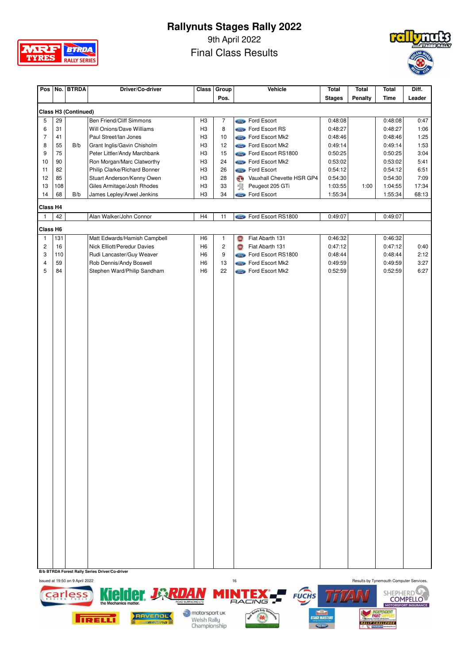

9th April 2022

Final Class Results



| Pos            |     | No. BTRDA                   | Driver/Co-driver             | Class          | Group          |            | Vehicle                     | Total         | <b>Total</b> | <b>Total</b> | Diff.  |
|----------------|-----|-----------------------------|------------------------------|----------------|----------------|------------|-----------------------------|---------------|--------------|--------------|--------|
|                |     |                             |                              |                | Pos.           |            |                             | <b>Stages</b> | Penalty      | <b>Time</b>  | Leader |
|                |     | <b>Class H3 (Continued)</b> |                              |                |                |            |                             |               |              |              |        |
| 5              | 29  |                             | Ben Friend/Cliff Simmons     | H <sub>3</sub> | $\overline{7}$ |            | Sind Ford Escort            | 0:48:08       |              | 0:48:08      | 0:47   |
| 6              | 31  |                             | Will Onions/Dave Williams    | H <sub>3</sub> | 8              |            | Come Ford Escort RS         | 0:48:27       |              | 0:48:27      | 1:06   |
| 7              | 41  |                             | Paul Street/Ian Jones        | H <sub>3</sub> | $10$           |            | <b>Come</b> Ford Escort Mk2 | 0:48:46       |              | 0:48:46      | 1:25   |
| 8              | 55  | B/b                         | Grant Inglis/Gavin Chisholm  | H <sub>3</sub> | 12             |            | <b>Come</b> Ford Escort Mk2 | 0:49:14       |              | 0:49:14      | 1:53   |
| 9              | 75  |                             | Peter Littler/Andy Marchbank | H <sub>3</sub> | 15             |            | Control Escort RS1800       | 0:50:25       |              | 0:50:25      | 3:04   |
| 10             | 90  |                             | Ron Morgan/Marc Clatworthy   | H <sub>3</sub> | 24             |            | Come Ford Escort Mk2        | 0:53:02       |              | 0:53:02      | 5:41   |
| 11             | 82  |                             | Philip Clarke/Richard Bonner | H <sub>3</sub> | 26             |            | <b>Compo</b> Ford Escort    | 0:54:12       |              | 0:54:12      | 6:51   |
| 12             | 85  |                             | Stuart Anderson/Kenny Owen   | H <sub>3</sub> | 28             | $\bullet$  | Vauxhall Chevette HSR GP4   | 0:54:30       |              | 0:54:30      | 7:09   |
| 13             | 108 |                             | Giles Armitage/Josh Rhodes   | H <sub>3</sub> | 33             | 餐          | Peugeot 205 GTi             | 1:03:55       | 1:00         | 1:04:55      | 17:34  |
| 14             | 68  | B/b                         | James Lepley/Arwel Jenkins   | H <sub>3</sub> | 34             |            | Compo Ford Escort           | 1:55:34       |              | 1:55:34      | 68:13  |
|                |     |                             |                              |                |                |            |                             |               |              |              |        |
| Class H4       |     |                             |                              |                |                |            |                             |               |              |              |        |
| $\mathbf{1}$   | 42  |                             | Alan Walker/John Connor      | H4             | 11             |            | Como Ford Escort RS1800     | 0:49:07       |              | 0:49:07      |        |
| Class H6       |     |                             |                              |                |                |            |                             |               |              |              |        |
| $\mathbf{1}$   | 131 |                             | Matt Edwards/Hamish Campbell | H <sub>6</sub> | $\mathbf{1}$   | <b>IBJ</b> | Fiat Abarth 131             | 0:46:32       |              | 0:46:32      |        |
| $\overline{c}$ | 16  |                             | Nick Elliott/Peredur Davies  | H <sub>6</sub> | $\overline{c}$ | <b>IBJ</b> | Fiat Abarth 131             | 0:47:12       |              | 0:47:12      | 0:40   |
| 3              | 110 |                             | Rudi Lancaster/Guy Weaver    | H <sub>6</sub> | 9              |            | Come Ford Escort RS1800     | 0:48:44       |              | 0:48:44      | 2:12   |
| 4              | 59  |                             | Rob Dennis/Andy Boswell      | H <sub>6</sub> | 13             |            | <b>Como</b> Ford Escort Mk2 | 0:49:59       |              | 0:49:59      | 3:27   |
| 5              | 84  |                             | Stephen Ward/Philip Sandham  | H <sub>6</sub> | 22             |            | <b>Come</b> Ford Escort Mk2 | 0:52:59       |              | 0:52:59      | 6:27   |
|                |     |                             |                              |                |                |            |                             |               |              |              |        |
|                |     |                             |                              |                |                |            |                             |               |              |              |        |

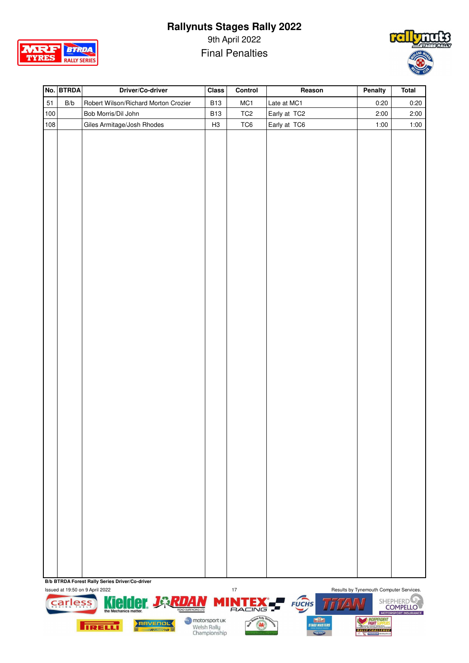

9th April 2022 Final Penalties



|     | No. BTRDA               | Driver/Co-driver                     | <b>Class</b> | Control         | Reason       | Penalty | <b>Total</b> |
|-----|-------------------------|--------------------------------------|--------------|-----------------|--------------|---------|--------------|
| 51  | $\mathsf{B}/\mathsf{b}$ | Robert Wilson/Richard Morton Crozier | <b>B13</b>   | MC1             | Late at MC1  | 0:20    | 0:20         |
| 100 |                         | Bob Morris/Dil John                  | <b>B13</b>   | TC <sub>2</sub> | Early at TC2 | 2:00    | 2:00         |
| 108 |                         | Giles Armitage/Josh Rhodes           | H3           | TC6             | Early at TC6 | 1:00    | 1:00         |
|     |                         |                                      |              |                 |              |         |              |
|     |                         |                                      |              |                 |              |         |              |
|     |                         |                                      |              |                 |              |         |              |
|     |                         |                                      |              |                 |              |         |              |
|     |                         |                                      |              |                 |              |         |              |
|     |                         |                                      |              |                 |              |         |              |
|     |                         |                                      |              |                 |              |         |              |
|     |                         |                                      |              |                 |              |         |              |
|     |                         |                                      |              |                 |              |         |              |
|     |                         |                                      |              |                 |              |         |              |
|     |                         |                                      |              |                 |              |         |              |
|     |                         |                                      |              |                 |              |         |              |
|     |                         |                                      |              |                 |              |         |              |
|     |                         |                                      |              |                 |              |         |              |
|     |                         |                                      |              |                 |              |         |              |
|     |                         |                                      |              |                 |              |         |              |
|     |                         |                                      |              |                 |              |         |              |
|     |                         |                                      |              |                 |              |         |              |
|     |                         |                                      |              |                 |              |         |              |
|     |                         |                                      |              |                 |              |         |              |
|     |                         |                                      |              |                 |              |         |              |
|     |                         |                                      |              |                 |              |         |              |
|     |                         |                                      |              |                 |              |         |              |
|     |                         |                                      |              |                 |              |         |              |
|     |                         |                                      |              |                 |              |         |              |
|     |                         |                                      |              |                 |              |         |              |
|     |                         |                                      |              |                 |              |         |              |
|     |                         |                                      |              |                 |              |         |              |
|     |                         |                                      |              |                 |              |         |              |
|     |                         |                                      |              |                 |              |         |              |
|     |                         |                                      |              |                 |              |         |              |
|     |                         |                                      |              |                 |              |         |              |
|     |                         |                                      |              |                 |              |         |              |
|     |                         |                                      |              |                 |              |         |              |
|     |                         |                                      |              |                 |              |         |              |
|     |                         |                                      |              |                 |              |         |              |
|     |                         |                                      |              |                 |              |         |              |



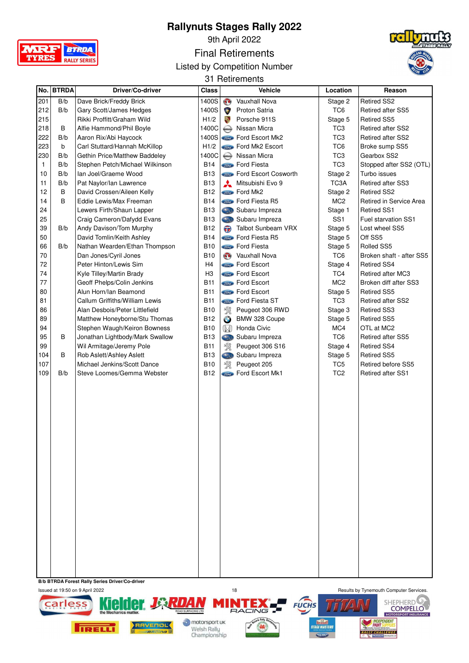

9th April 2022

Final Retirements

Listed by Competition Number



31 Retirements

|     | No. BTRDA | Driver/Co-driver                | Class          |              | <b>Vehicle</b>                 | Location        | Reason                   |
|-----|-----------|---------------------------------|----------------|--------------|--------------------------------|-----------------|--------------------------|
| 201 | B/b       | Dave Brick/Freddy Brick         | 1400S          | $\mathbf{C}$ | Vauxhall Nova                  | Stage 2         | <b>Retired SS2</b>       |
| 212 | B/b       | Gary Scott/James Hedges         | 1400S          |              | Proton Satria                  | TC <sub>6</sub> | <b>Retired after SS5</b> |
| 215 |           | Rikki Proffitt/Graham Wild      | H1/2           | ą,           | Porsche 911S                   | Stage 5         | <b>Retired SS5</b>       |
| 218 | В         | Alfie Hammond/Phil Boyle        | 1400C          |              | Nissan Micra                   | TC <sub>3</sub> | Retired after SS2        |
| 222 | B/b       | Aaron Rix/Abi Haycock           | 1400S          |              | <b>Content</b> Ford Escort Mk2 | TC <sub>3</sub> | <b>Retired after SS2</b> |
| 223 | b         | Carl Stuttard/Hannah McKillop   | H1/2           |              | <b>State</b> Ford Mk2 Escort   | TC <sub>6</sub> | Broke sump SS5           |
| 230 | B/b       | Gethin Price/Matthew Baddeley   | 1400C          |              | Nissan Micra                   | TC <sub>3</sub> | Gearbox SS2              |
| 1   | B/b       | Stephen Petch/Michael Wilkinson | <b>B14</b>     |              | <b>State</b> Ford Fiesta       | TC <sub>3</sub> | Stopped after SS2 (OTL)  |
| 10  | B/b       | Ian Joel/Graeme Wood            | B13            |              | Ford Escort Cosworth           | Stage 2         | Turbo issues             |
| 11  | B/b       | Pat Naylor/Ian Lawrence         | <b>B13</b>     | A            | Mitsubishi Evo 9               | TC3A            | Retired after SS3        |
| 12  | B         | David Crossen/Aileen Kelly      | <b>B12</b>     |              | <b>Stand</b> Ford Mk2          | Stage 2         | <b>Retired SS2</b>       |
| 14  | В         | Eddie Lewis/Max Freeman         | <b>B14</b>     |              | Ford Fiesta R5                 | MC <sub>2</sub> | Retired in Service Area  |
| 24  |           | Lewers Firth/Shaun Lapper       | <b>B13</b>     |              | Subaru Impreza                 | Stage 1         | <b>Retired SS1</b>       |
| 25  |           | Craig Cameron/Dafydd Evans      | <b>B13</b>     |              | Subaru Impreza                 | SS <sub>1</sub> | Fuel starvation SS1      |
| 39  | B/b       | Andy Davison/Tom Murphy         | <b>B12</b>     | $\bigodot$   | Talbot Sunbeam VRX             | Stage 5         | Lost wheel SS5           |
| 50  |           | David Tomlin/Keith Ashley       | <b>B14</b>     |              | <b>Stind</b> Ford Fiesta R5    | Stage 5         | Off SS5                  |
| 66  | B/b       | Nathan Wearden/Ethan Thompson   | B10            |              | <b>State</b> Ford Fiesta       | Stage 5         | Rolled SS5               |
| 70  |           | Dan Jones/Cyril Jones           | B10            | $\mathbf{O}$ | Vauxhall Nova                  | TC <sub>6</sub> | Broken shaft - after SS5 |
| 72  |           | Peter Hinton/Lewis Sim          | H <sub>4</sub> |              | <b>State</b> Ford Escort       | Stage 4         | <b>Retired SS4</b>       |
| 74  |           | Kyle Tilley/Martin Brady        | H <sub>3</sub> |              | <b>Stand</b> Ford Escort       | TC4             | <b>Retired after MC3</b> |
| 77  |           | Geoff Phelps/Colin Jenkins      | <b>B11</b>     |              | <b>Sime</b> Ford Escort        | MC <sub>2</sub> | Broken diff after SS3    |
| 80  |           | Alun Horn/Ian Beamond           | <b>B11</b>     |              | <b>Conta</b> Ford Escort       | Stage 5         | <b>Retired SS5</b>       |
| 81  |           | Callum Griffiths/William Lewis  | <b>B11</b>     |              | <b>Come</b> Ford Fiesta ST     | TC <sub>3</sub> | Retired after SS2        |
| 86  |           | Alan Desbois/Peter Littlefield  | <b>B10</b>     | 溪            | Peugeot 306 RWD                | Stage 3         | <b>Retired SS3</b>       |
| 89  |           | Matthew Honeyborne/Stu Thomas   | <b>B12</b>     | $\bigodot$   | BMW 328 Coupe                  | Stage 5         | <b>Retired SS5</b>       |
| 94  |           | Stephen Waugh/Keiron Bowness    | <b>B10</b>     | $\mathbb{W}$ | Honda Civic                    | MC4             | OTL at MC2               |
| 95  | В         | Jonathan Lightbody/Mark Swallow | <b>B13</b>     |              | Subaru Impreza                 | TC <sub>6</sub> | <b>Retired after SS5</b> |
| 99  |           | Wil Armitage/Jeremy Pole        | B11            | 溪            | Peugeot 306 S16                | Stage 4         | <b>Retired SS4</b>       |
| 104 | B         | Rob Aslett/Ashley Aslett        | <b>B13</b>     | Cas          | Subaru Impreza                 | Stage 5         | <b>Retired SS5</b>       |
| 107 |           | Michael Jenkins/Scott Dance     | B10            | 溪            | Peugeot 205                    | TC <sub>5</sub> | Retired before SS5       |
| 109 | B/b       | Steve Loomes/Gemma Webster      | <b>B12</b>     |              | <b>State</b> Ford Escort Mk1   | TC <sub>2</sub> | <b>Retired after SS1</b> |
|     |           |                                 |                |              |                                |                 |                          |
|     |           |                                 |                |              |                                |                 |                          |
|     |           |                                 |                |              |                                |                 |                          |
|     |           |                                 |                |              |                                |                 |                          |
|     |           |                                 |                |              |                                |                 |                          |
|     |           |                                 |                |              |                                |                 |                          |
|     |           |                                 |                |              |                                |                 |                          |
|     |           |                                 |                |              |                                |                 |                          |
|     |           |                                 |                |              |                                |                 |                          |
|     |           |                                 |                |              |                                |                 |                          |
|     |           |                                 |                |              |                                |                 |                          |
|     |           |                                 |                |              |                                |                 |                          |
|     |           |                                 |                |              |                                |                 |                          |
|     |           |                                 |                |              |                                |                 |                          |
|     |           |                                 |                |              |                                |                 |                          |
|     |           |                                 |                |              |                                |                 |                          |
|     |           |                                 |                |              |                                |                 |                          |
|     |           |                                 |                |              |                                |                 |                          |
|     |           |                                 |                |              |                                |                 |                          |
|     |           |                                 |                |              |                                |                 |                          |
|     |           |                                 |                |              |                                |                 |                          |
|     |           |                                 |                |              |                                |                 |                          |



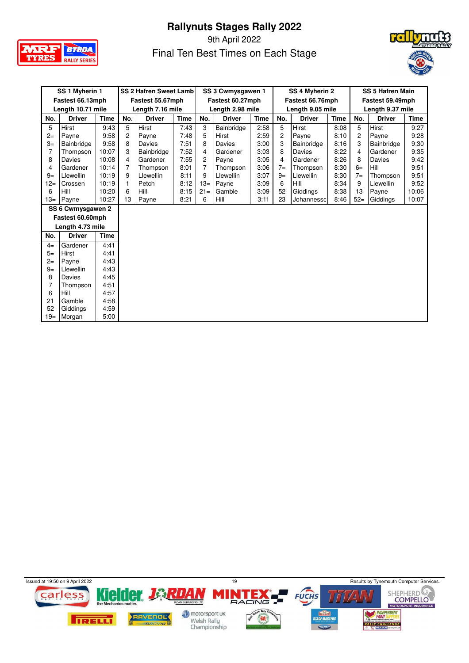

9th April 2022 Final Ten Best Times on Each Stage



| SS 1 Myherin 1 |                   |             | <b>SS 2 Hafren Sweet Lamb</b> |                  |             | SS 3 Cwmysgawen 1 |                  | SS 4 Myherin 2 |       |                  | <b>SS 5 Hafren Main</b> |       |                  |             |
|----------------|-------------------|-------------|-------------------------------|------------------|-------------|-------------------|------------------|----------------|-------|------------------|-------------------------|-------|------------------|-------------|
|                | Fastest 66.13mph  |             |                               | Fastest 55.67mph |             |                   | Fastest 60.27mph |                |       | Fastest 66.76mph |                         |       | Fastest 59.49mph |             |
|                | Length 10.71 mile |             |                               | Length 7.16 mile |             |                   | Length 2.98 mile |                |       | Length 9.05 mile |                         |       | Length 9.37 mile |             |
| No.            | <b>Driver</b>     | <b>Time</b> | No.                           | <b>Driver</b>    | <b>Time</b> | No.               | <b>Driver</b>    | <b>Time</b>    | No.   | <b>Driver</b>    | <b>Time</b>             | No.   | <b>Driver</b>    | <b>Time</b> |
| 5              | Hirst             | 9:43        | 5                             | Hirst            | 7:43        | 3                 | Bainbridge       | 2:58           | 5     | Hirst            | 8:08                    | 5     | <b>Hirst</b>     | 9:27        |
| $2 =$          | Payne             | 9:58        | 2                             | Payne            | 7:48        | 5                 | Hirst            | 2:59           | 2     | Payne            | 8:10                    | 2     | Payne            | 9:28        |
| $3=$           | Bainbridge        | 9:58        | 8                             | Davies           | 7:51        | 8                 | Davies           | 3:00           | 3     | Bainbridge       | 8:16                    | 3     | Bainbridge       | 9:30        |
| 7              | Thompson          | 10:07       | 3                             | Bainbridge       | 7:52        | 4                 | Gardener         | 3:03           | 8     | Davies           | 8:22                    | 4     | Gardener         | 9:35        |
| 8              | Davies            | 10:08       | 4                             | Gardener         | 7:55        | 2                 | Payne            | 3:05           | 4     | Gardener         | 8:26                    | 8     | Davies           | 9:42        |
| 4              | Gardener          | 10:14       | 7                             | Thompson         | 8:01        | $\overline{7}$    | Thompson         | 3:06           | $7 =$ | Thompson         | 8:30                    | $6=$  | Hill             | 9:51        |
| $9 =$          | Llewellin         | 10:19       | 9                             | Llewellin        | 8:11        | 9                 | Llewellin        | 3:07           | $9=$  | Llewellin        | 8:30                    | $7=$  | Thompson         | 9:51        |
| $12 =$         | Crossen           | 10:19       | 1                             | Petch            | 8:12        | $13=$             | Payne            | 3:09           | 6     | Hill             | 8:34                    | 9     | Llewellin        | 9:52        |
| 6              | Hill              | 10:20       | 6                             | Hill             | 8:15        | $21 =$            | Gamble           | 3:09           | 52    | Giddings         | 8:38                    | 13    | Payne            | 10:06       |
| $13=$          | Payne             | 10:27       | 13                            | Payne            | 8:21        | 6                 | Hill             | 3:11           | 23    | Johannessc       | 8:46                    | $52=$ | Giddings         | 10:07       |
|                | SS 6 Cwmysgawen 2 |             |                               |                  |             |                   |                  |                |       |                  |                         |       |                  |             |
|                | Fastest 60.60mph  |             |                               |                  |             |                   |                  |                |       |                  |                         |       |                  |             |
|                | Length 4.73 mile  |             |                               |                  |             |                   |                  |                |       |                  |                         |       |                  |             |
| No.            | <b>Driver</b>     | <b>Time</b> |                               |                  |             |                   |                  |                |       |                  |                         |       |                  |             |
| $4=$           | Gardener          | 4:41        |                               |                  |             |                   |                  |                |       |                  |                         |       |                  |             |
| $5=$           | Hirst             | 4:41        |                               |                  |             |                   |                  |                |       |                  |                         |       |                  |             |
| $2 =$          | Payne             | 4:43        |                               |                  |             |                   |                  |                |       |                  |                         |       |                  |             |
| $9=$           | Llewellin         | 4:43        |                               |                  |             |                   |                  |                |       |                  |                         |       |                  |             |
| 8              | Davies            | 4:45        |                               |                  |             |                   |                  |                |       |                  |                         |       |                  |             |
| 7              | Thompson          | 4:51        |                               |                  |             |                   |                  |                |       |                  |                         |       |                  |             |
| 6              | Hill              | 4:57        |                               |                  |             |                   |                  |                |       |                  |                         |       |                  |             |
| 21             | Gamble            | 4:58        |                               |                  |             |                   |                  |                |       |                  |                         |       |                  |             |
| 52             | Giddings          | 4:59        |                               |                  |             |                   |                  |                |       |                  |                         |       |                  |             |
| $19=$          | Morgan            | 5:00        |                               |                  |             |                   |                  |                |       |                  |                         |       |                  |             |

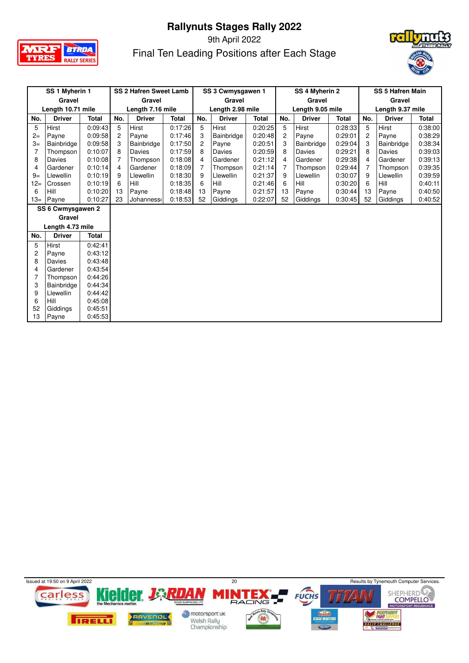

# 9th April 2022



| Final Ten Leading Positions after Each Stage |  |
|----------------------------------------------|--|

| SS 1 Myherin 1 |                   | <b>SS 2 Hafren Sweet Lamb</b> |                |                  | SS 3 Cwmysgawen 1 |                | SS 4 Myherin 2   |              |                | <b>SS 5 Hafren Main</b> |         |                |                  |              |
|----------------|-------------------|-------------------------------|----------------|------------------|-------------------|----------------|------------------|--------------|----------------|-------------------------|---------|----------------|------------------|--------------|
|                | Gravel            |                               |                | Gravel           |                   |                | Gravel           |              |                | Gravel                  |         |                | Gravel           |              |
|                | Length 10.71 mile |                               |                | Length 7.16 mile |                   |                | Length 2.98 mile |              |                | Length 9.05 mile        |         |                | Length 9.37 mile |              |
| No.            | <b>Driver</b>     | <b>Total</b>                  | No.            | <b>Driver</b>    | <b>Total</b>      | No.            | <b>Driver</b>    | <b>Total</b> | No.            | <b>Driver</b>           | Total   | No.            | <b>Driver</b>    | <b>Total</b> |
| 5              | Hirst             | 0:09:43                       | 5              | Hirst            | 0:17:26           | 5              | Hirst            | 0:20:25      | 5              | Hirst                   | 0:28:33 | 5              | Hirst            | 0:38:00      |
| $2=$           | Payne             | 0:09:58                       | $\overline{2}$ | Payne            | 0:17:46           | 3              | Bainbridge       | 0:20:48      | $\overline{2}$ | Payne                   | 0:29:01 | $\overline{c}$ | Payne            | 0:38:29      |
| $3=$           | Bainbridge        | 0:09:58                       | 3              | Bainbridge       | 0:17:50           | $\overline{c}$ | Payne            | 0:20:51      | 3              | Bainbridge              | 0:29:04 | 3              | Bainbridge       | 0:38:34      |
|                | Thompson          | 0:10:07                       | 8              | Davies           | 0:17:59           | 8              | Davies           | 0:20:59      | 8              | Davies                  | 0:29:21 | 8              | Davies           | 0:39:03      |
| 8              | Davies            | 0:10:08                       | $\overline{7}$ | Thompson         | 0:18:08           | 4              | Gardener         | 0:21:12      | 4              | Gardener                | 0:29:38 | 4              | Gardener         | 0:39:13      |
| 4              | Gardener          | 0:10:14                       | 4              | Gardener         | 0:18:09           | $\overline{7}$ | Thompson         | 0:21:14      | 7              | Thompson                | 0:29:44 | 7              | Thompson         | 0:39:35      |
| $9=$           | Llewellin         | 0:10:19                       | 9              | <b>Llewellin</b> | 0:18:30           | 9              | Llewellin        | 0:21:37      | 9              | Llewellin               | 0:30:07 | 9              | Llewellin        | 0:39:59      |
| $12 =$         | Crossen           | 0:10:19                       | 6              | Hill             | 0:18:35           | 6              | Hill             | 0:21:46      | 6              | Hill                    | 0:30:20 | 6              | Hill             | 0:40:11      |
| 6              | Hill              | 0:10:20                       | 13             | Payne            | 0:18:48           | 13             | Payne            | 0:21:57      | 13             | Payne                   | 0:30:44 | 13             | Payne            | 0:40:50      |
| 13=            | Payne             | 0:10:27                       | 23             | Johanness        | 0:18:53           | 52             | Giddings         | 0:22:07      | 52             | Giddings                | 0:30:45 | 52             | Giddings         | 0:40:52      |
|                | SS 6 Cwmysgawen 2 |                               |                |                  |                   |                |                  |              |                |                         |         |                |                  |              |
|                | Gravel            |                               |                |                  |                   |                |                  |              |                |                         |         |                |                  |              |
|                | Length 4.73 mile  |                               |                |                  |                   |                |                  |              |                |                         |         |                |                  |              |
| No.            | <b>Driver</b>     | <b>Total</b>                  |                |                  |                   |                |                  |              |                |                         |         |                |                  |              |
| 5              | <b>Hirst</b>      | 0:42:41                       |                |                  |                   |                |                  |              |                |                         |         |                |                  |              |
| 2              | Payne             | 0:43:12                       |                |                  |                   |                |                  |              |                |                         |         |                |                  |              |
| 8              | Davies            | 0:43:48                       |                |                  |                   |                |                  |              |                |                         |         |                |                  |              |
| 4              | Gardener          | 0:43:54                       |                |                  |                   |                |                  |              |                |                         |         |                |                  |              |
|                | Thompson          | 0:44:26                       |                |                  |                   |                |                  |              |                |                         |         |                |                  |              |
| 3              | Bainbridge        | 0:44:34                       |                |                  |                   |                |                  |              |                |                         |         |                |                  |              |
| 9              | Llewellin         | 0:44:42                       |                |                  |                   |                |                  |              |                |                         |         |                |                  |              |
| 6              | Hill              | 0:45:08                       |                |                  |                   |                |                  |              |                |                         |         |                |                  |              |
| 52             | Giddings          | 0:45:51                       |                |                  |                   |                |                  |              |                |                         |         |                |                  |              |
| 13             | Payne             | 0:45:53                       |                |                  |                   |                |                  |              |                |                         |         |                |                  |              |

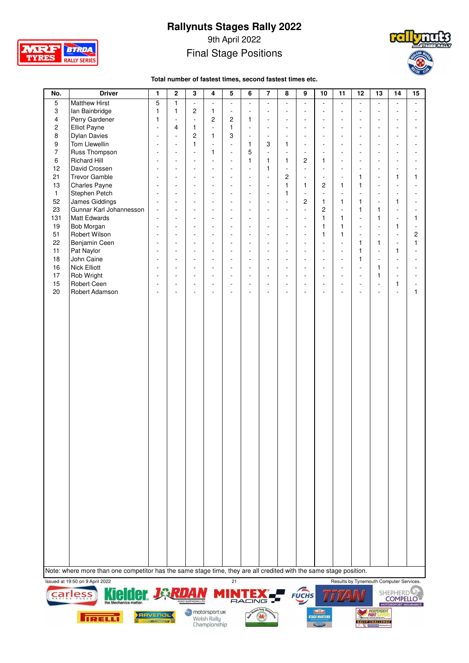

9th April 2022 Final Stage Positions



**Total number of fastest times, second fastest times etc.**

| 5<br>No.<br><b>Driver</b><br>$\mathbf{1}$<br>$\mathbf 2$<br>3<br>4<br>6<br>$\overline{7}$<br>10<br>11<br>8<br>9<br>$\overline{5}$<br><b>Matthew Hirst</b><br>5<br>$\mathbf{1}$<br>$\overline{\phantom{a}}$<br>L.<br>$\mathbb{Z}^2$<br>$\Box$<br>$\sim$<br>L.<br>$\mathbf{r}$<br>L.<br>$\overline{\phantom{a}}$ |                                                                                                                   |                                                      |                          |                                    |                                                      |                                  |                          | 12                             | 13                             | 14                       | 15                                     |                          |                                         |                                            |                                    |                          |
|----------------------------------------------------------------------------------------------------------------------------------------------------------------------------------------------------------------------------------------------------------------------------------------------------------------|-------------------------------------------------------------------------------------------------------------------|------------------------------------------------------|--------------------------|------------------------------------|------------------------------------------------------|----------------------------------|--------------------------|--------------------------------|--------------------------------|--------------------------|----------------------------------------|--------------------------|-----------------------------------------|--------------------------------------------|------------------------------------|--------------------------|
|                                                                                                                                                                                                                                                                                                                |                                                                                                                   |                                                      |                          |                                    |                                                      |                                  |                          |                                |                                |                          |                                        |                          | L.                                      | $\mathbf{r}$                               | $\mathbf{r}$                       | $\overline{a}$           |
| 3                                                                                                                                                                                                                                                                                                              | Ian Bainbridge                                                                                                    | 1                                                    | $\mathbf{1}$             | $\overline{c}$                     | 1                                                    | $\blacksquare$                   | ÷,                       | $\overline{a}$                 | $\sim$                         | ÷,                       | $\blacksquare$                         | $\overline{\phantom{a}}$ | ÷.                                      | ÷,                                         | ÷                                  | $\blacksquare$           |
| 4                                                                                                                                                                                                                                                                                                              | Perry Gardener                                                                                                    | 1                                                    | ÷,                       | $\overline{\phantom{a}}$           | $\overline{c}$                                       | $\overline{c}$                   | $\mathbf{1}$             | ÷,                             | $\sim$                         | ۰                        | $\blacksquare$                         | ÷.                       | $\sim$                                  | ä,                                         |                                    | ä,                       |
| $\overline{\mathbf{c}}$                                                                                                                                                                                                                                                                                        | Elliot Payne                                                                                                      | ÷,                                                   | 4                        | 1                                  | ÷,                                                   | $\mathbf{1}$                     | ÷,                       | $\overline{\phantom{a}}$       | $\sim$                         | ÷,                       | $\overline{\phantom{a}}$               | $\overline{\phantom{a}}$ | $\sim$                                  | ä,                                         | ÷.                                 | $\overline{\phantom{a}}$ |
| 8                                                                                                                                                                                                                                                                                                              | <b>Dylan Davies</b>                                                                                               | $\overline{\phantom{a}}$                             | $\overline{\phantom{a}}$ | $\overline{c}$                     | $\mathbf{1}$                                         | 3                                | $\blacksquare$           | $\overline{\phantom{a}}$       | $\sim$                         | ÷,                       | $\blacksquare$                         | $\overline{\phantom{a}}$ | $\sim$                                  | $\mathbf{r}$                               | L,                                 | $\overline{\phantom{a}}$ |
| 9                                                                                                                                                                                                                                                                                                              | Tom Llewellin                                                                                                     | $\overline{\phantom{a}}$                             | ÷.                       | $\mathbf{1}$                       | ÷,                                                   | $\blacksquare$                   | 1                        | 3                              | 1                              | $\overline{\phantom{a}}$ | $\overline{\phantom{a}}$               | ÷.                       | $\sim$                                  | ä,                                         | L,                                 | ÷,                       |
| $\overline{7}$                                                                                                                                                                                                                                                                                                 | Russ Thompson                                                                                                     | ÷.                                                   | ÷,                       | ÷,                                 | $\mathbf{1}$                                         | $\blacksquare$                   | 5                        | ÷,                             | $\overline{\phantom{a}}$       | $\overline{a}$           | $\sim$                                 | $\overline{\phantom{a}}$ | ÷.                                      | ÷,                                         | L,                                 | ä,                       |
| 6                                                                                                                                                                                                                                                                                                              | <b>Richard Hill</b>                                                                                               | $\overline{\phantom{a}}$                             | ä,                       | ä,                                 | ÷,                                                   | ä,                               | $\mathbf{1}$             | 1                              | $\mathbf{1}$                   | $\overline{c}$           | 1                                      | $\overline{\phantom{a}}$ | $\sim$                                  | ä,                                         | ÷.                                 | ÷.                       |
| 12                                                                                                                                                                                                                                                                                                             | David Crossen                                                                                                     | $\overline{\phantom{a}}$                             | ÷,                       | $\blacksquare$                     | $\overline{\phantom{a}}$                             | $\blacksquare$                   | ÷,                       | 1                              | ä,                             | L.                       | $\overline{\phantom{a}}$               | ÷,                       | $\overline{\phantom{a}}$                | $\blacksquare$                             | ÷,                                 | $\blacksquare$           |
| 21                                                                                                                                                                                                                                                                                                             | <b>Trevor Gamble</b>                                                                                              | ÷,                                                   | ÷,<br>÷,                 | $\overline{\phantom{a}}$           | ÷,                                                   | $\overline{\phantom{a}}$         | $\overline{\phantom{a}}$ | ÷,                             | $\overline{c}$<br>$\mathbf{1}$ | ÷,<br>$\mathbf{1}$       | $\overline{\phantom{a}}$               | ÷,<br>$\mathbf{1}$       | $\mathbf{1}$<br>$\mathbf{1}$            | $\blacksquare$                             | 1<br>L.                            | 1<br>$\overline{a}$      |
| 13<br>$\mathbf{1}$                                                                                                                                                                                                                                                                                             | Charles Payne<br>Stephen Petch                                                                                    | $\overline{\phantom{a}}$<br>$\overline{\phantom{a}}$ | $\overline{\phantom{a}}$ | $\overline{\phantom{a}}$<br>$\sim$ | $\overline{\phantom{a}}$<br>$\overline{\phantom{a}}$ | $\blacksquare$<br>$\blacksquare$ | ÷,<br>÷,                 | ÷,<br>$\overline{\phantom{a}}$ | 1                              | ÷,                       | 2<br>$\overline{\phantom{a}}$          | $\overline{\phantom{a}}$ | $\overline{\phantom{a}}$                | $\frac{1}{2}$<br>÷,                        | ÷.                                 | $\overline{\phantom{a}}$ |
| 52                                                                                                                                                                                                                                                                                                             | James Giddings                                                                                                    | ÷,                                                   | $\blacksquare$           | $\blacksquare$                     | ÷,                                                   | $\blacksquare$                   | ÷,                       | $\overline{\phantom{a}}$       | ÷,                             | $\overline{2}$           | 1                                      | $\mathbf{1}$             | $\mathbf{1}$                            | $\blacksquare$                             | 1                                  | $\blacksquare$           |
| 23                                                                                                                                                                                                                                                                                                             | Gunnar Karl Johannesson                                                                                           | ÷,                                                   | ÷,                       | $\blacksquare$                     | ÷,                                                   | $\blacksquare$                   | $\overline{\phantom{a}}$ | ÷,                             | $\overline{\phantom{a}}$       | ÷,                       | $\overline{c}$                         | $\overline{\phantom{a}}$ | $\mathbf{1}$                            | $\mathbf{1}$                               | L.                                 | ÷,                       |
| 131                                                                                                                                                                                                                                                                                                            | Matt Edwards                                                                                                      | ÷,                                                   | ÷,                       | $\blacksquare$                     | ÷,                                                   | $\overline{\phantom{a}}$         | ÷,                       | ÷,                             | $\overline{\phantom{a}}$       | ÷,                       | $\mathbf{1}$                           | $\mathbf{1}$             | $\Box$                                  | $\mathbf{1}$                               | ÷,                                 | 1                        |
| 19                                                                                                                                                                                                                                                                                                             | <b>Bob Morgan</b>                                                                                                 | ÷,                                                   | $\blacksquare$           | $\overline{\phantom{a}}$           | ÷,                                                   | $\blacksquare$                   | $\overline{\phantom{a}}$ | $\overline{\phantom{a}}$       | $\overline{\phantom{a}}$       | $\overline{\phantom{a}}$ | 1                                      | $\mathbf{1}$             | $\blacksquare$                          | ä,                                         | 1                                  | $\blacksquare$           |
| 51                                                                                                                                                                                                                                                                                                             | Robert Wilson                                                                                                     | $\blacksquare$                                       | ÷,                       | $\overline{\phantom{a}}$           | $\overline{\phantom{a}}$                             | $\overline{\phantom{a}}$         | $\blacksquare$           | $\overline{\phantom{a}}$       | $\overline{\phantom{a}}$       | $\overline{\phantom{a}}$ | 1                                      | $\mathbf{1}$             | $\overline{\phantom{a}}$                | $\blacksquare$                             | L.                                 | $\overline{c}$           |
| 22                                                                                                                                                                                                                                                                                                             | Benjamin Ceen                                                                                                     | ÷,                                                   | $\frac{1}{2}$            | $\overline{\phantom{a}}$           | $\overline{\phantom{a}}$                             | $\overline{\phantom{a}}$         | $\overline{\phantom{a}}$ | $\overline{a}$                 | $\overline{\phantom{a}}$       | $\overline{\phantom{a}}$ | $\blacksquare$                         | $\overline{\phantom{a}}$ | $\mathbf{1}$                            | $\mathbf{1}$                               | ä,                                 | $\mathbf{1}$             |
| 11                                                                                                                                                                                                                                                                                                             | Pat Naylor                                                                                                        | $\overline{\phantom{a}}$                             | ÷,                       | $\overline{\phantom{a}}$           | ÷,                                                   | $\blacksquare$                   | $\blacksquare$           | $\overline{\phantom{a}}$       | $\overline{\phantom{a}}$       | ÷,                       | $\blacksquare$                         | $\blacksquare$           | $\mathbf{1}$                            | ä,                                         | 1                                  | ÷,                       |
| 18                                                                                                                                                                                                                                                                                                             | John Caine                                                                                                        | ÷,                                                   | $\frac{1}{2}$            | $\overline{\phantom{a}}$           | $\overline{\phantom{a}}$                             | $\overline{\phantom{a}}$         | $\overline{\phantom{a}}$ | $\overline{\phantom{a}}$       | $\overline{\phantom{a}}$       | $\overline{\phantom{a}}$ | $\blacksquare$                         | $\blacksquare$           | $\mathbf{1}$                            | $\overline{a}$                             | $\blacksquare$                     | $\blacksquare$           |
| 16                                                                                                                                                                                                                                                                                                             | <b>Nick Elliott</b>                                                                                               | $\blacksquare$                                       | $\frac{1}{2}$            | $\overline{\phantom{a}}$           | $\overline{\phantom{a}}$                             | $\overline{\phantom{a}}$         | $\overline{\phantom{a}}$ | $\overline{\phantom{a}}$       | $\overline{\phantom{a}}$       | $\blacksquare$           | $\overline{\phantom{a}}$               | $\blacksquare$           | $\overline{\phantom{a}}$                | $\mathbf{1}$                               | $\frac{1}{2}$                      | $\blacksquare$           |
| 17                                                                                                                                                                                                                                                                                                             | Rob Wright                                                                                                        | ÷.                                                   | $\sim$                   | $\sim$                             | ÷.                                                   | $\sim$                           | $\bar{a}$                | ×.                             | $\sim$                         | $\overline{a}$           | $\sim$                                 | $\sim$                   | $\sim$                                  | $\mathbf{1}$                               | $\blacksquare$                     | $\blacksquare$           |
| 15                                                                                                                                                                                                                                                                                                             | Robert Ceen                                                                                                       | $\overline{\phantom{a}}$                             | $\sim$                   | $\overline{\phantom{a}}$           | ÷.                                                   | $\sim$                           | $\bar{a}$                | ×.                             | $\sim$                         | ÷,                       | $\mathbf{r}$                           | $\sim$                   | $\sim$                                  | L.                                         | 1                                  | $\overline{\phantom{a}}$ |
| 20                                                                                                                                                                                                                                                                                                             | Robert Adamson                                                                                                    | ÷.                                                   | $\sim$                   | $\overline{\phantom{a}}$           | $\sim$                                               | $\blacksquare$                   | $\overline{a}$           | $\sim$                         | ä,                             | $\overline{a}$           | $\overline{\phantom{a}}$               | ÷.                       | $\overline{\phantom{a}}$                | $\blacksquare$                             | ä,                                 | $\mathbf{1}$             |
|                                                                                                                                                                                                                                                                                                                |                                                                                                                   |                                                      |                          |                                    |                                                      |                                  |                          |                                |                                |                          |                                        |                          |                                         |                                            |                                    |                          |
|                                                                                                                                                                                                                                                                                                                | Note: where more than one competitor has the same stage time, they are all credited with the same stage position. |                                                      |                          |                                    |                                                      |                                  |                          |                                |                                |                          |                                        |                          |                                         |                                            |                                    |                          |
|                                                                                                                                                                                                                                                                                                                | Issued at 19:50 on 9 April 2022                                                                                   |                                                      |                          |                                    |                                                      | 21                               |                          |                                |                                |                          |                                        |                          | Results by Tynemouth Computer Services. |                                            |                                    |                          |
|                                                                                                                                                                                                                                                                                                                | <b>Kielder</b> .<br>arless<br>the Mechanics matter.                                                               |                                                      | <b>E-RDA</b>             | ROAD SURFACING LTD                 | motorsport uk                                        |                                  | <b>RACING -</b>          |                                |                                | <i><b>FUCHS</b></i>      | <b>Marchites!</b>                      |                          |                                         | <b>INDEPENDENT</b><br>PAINT SUPPLIE        | COMPELI<br><b>MOTORSPORT INSUE</b> |                          |
|                                                                                                                                                                                                                                                                                                                | <b>IRELLI</b>                                                                                                     | <b>RAVENOL</b><br><b>RACING</b>                      |                          |                                    | Welsh Rally<br>Championship                          |                                  |                          |                                |                                |                          | <b>STAGE MASTERS</b><br><b>CONTROL</b> |                          |                                         | <b>RALLY CHALLENGE</b><br>PRESERVES MANAGE |                                    |                          |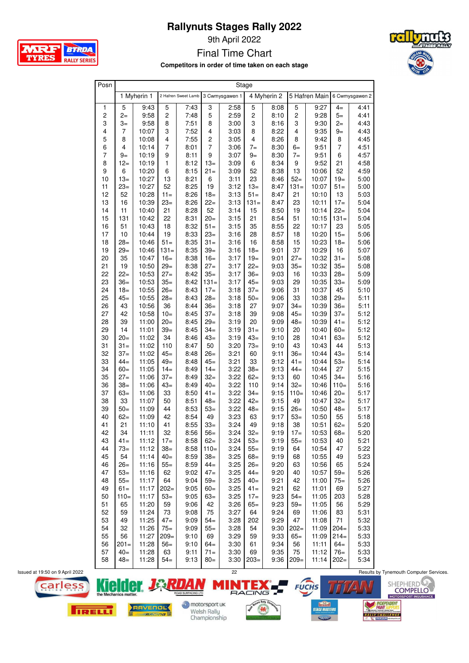9th April 2022

Final Time Chart

**Competitors in order of time taken on each stage**

| Posn                    |                |             |                         |                                    |                |      |                         | Stage       |                |               |                |                |  |
|-------------------------|----------------|-------------|-------------------------|------------------------------------|----------------|------|-------------------------|-------------|----------------|---------------|----------------|----------------|--|
|                         |                | 1 Myherin 1 |                         | 2 Hafren Sweet Lamb 3 Cwmysgawen 1 |                |      |                         | 4 Myherin 2 |                | 5 Hafren Main |                | 6 Cwmysgawen 2 |  |
| $\mathbf{1}$            | 5              | 9:43        | 5                       | 7:43                               | 3              | 2:58 | 5                       | 8:08        | 5              | 9:27          | $4=$           | 4:41           |  |
| $\overline{c}$          | $2 =$          | 9:58        | $\overline{\mathbf{c}}$ | 7:48                               | 5              | 2:59 | $\overline{\mathbf{c}}$ | 8:10        | $\overline{c}$ | 9:28          | $5=$           | 4:41           |  |
| 3                       | $3=$           | 9:58        | 8                       | 7:51                               | 8              | 3:00 | 3                       | 8:16        | 3              | 9:30          | $2 =$          | 4:43           |  |
| $\overline{\mathbf{4}}$ | $\overline{7}$ | 10:07       | 3                       | 7:52                               | 4              | 3:03 | 8                       | 8:22        | 4              | 9:35          | $9=$           | 4:43           |  |
| 5                       | 8              | 10:08       | 4                       | 7:55                               | $\overline{c}$ | 3:05 | 4                       | 8:26        | 8              | 9:42          | 8              | 4:45           |  |
| 6                       | 4              | 10:14       | $\overline{7}$          | 8:01                               | $\overline{7}$ | 3:06 | $7 =$                   | 8:30        | $6=$           | 9:51          | $\overline{7}$ | 4:51           |  |
| $\overline{7}$          | $9-$           | 10:19       | 9                       | 8:11                               | 9              | 3:07 | $9-$                    | 8:30        | $7 =$          | 9:51          | 6              | 4:57           |  |
| 8                       | $12=$          | 10:19       | $\mathbf{1}$            | 8:12                               | $13=$          | 3:09 | 6                       | 8:34        | 9              | 9:52          | 21             | 4:58           |  |
| 9                       | 6              | 10:20       | 6                       | 8:15                               | $21 =$         | 3:09 | 52                      | 8:38        | 13             | 10:06         | 52             | 4:59           |  |
| 10                      | $13=$          | 10:27       | 13                      | 8:21                               | 6              | 3:11 | 23                      | 8:46        | $52=$          | 10:07         | $19 =$         | 5:00           |  |
| 11                      | $23=$          | 10:27       | 52                      | 8:25                               | 19             | 3:12 | $13=$                   | 8:47        | 131=           | 10:07         | $51 =$         | 5:00           |  |
| 12                      | 52             | 10:28       | $11 =$                  | 8:26                               | $18 =$         | 3:13 | $51 =$                  | 8:47        | 21             | 10:10         | 13             | 5:03           |  |
| 13                      | 16             | 10:39       | $23=$                   | 8:26                               | $22=$          | 3:13 | $131 =$                 | 8:47        | 23             | 10:11         | $17 =$         | 5:04           |  |
| 14                      | 11             | 10:40       | 21                      | 8:28                               | 52             | 3:14 | 15                      | 8:50        | 19             | 10:14         | $22 =$         | 5:04           |  |
| 15                      | 131            | 10:42       | 22                      | 8:31                               | $20=$          | 3:15 | 21                      | 8:54        | 51             | 10:15         | $131 =$        | 5:04           |  |
| 16                      | 51             | 10:43       | 18                      | 8:32                               | $51 =$         | 3:15 | 35                      | 8:55        | 22             | 10:17         | 23             | 5:05           |  |
| 17                      | 10             | 10:44       | 19                      | 8:33                               | $23=$          | 3:16 | 28                      | 8:57        | 18             | 10:20         | $15 =$         | 5:06           |  |
| 18                      | $28=$          | 10:46       | $51 =$                  | 8:35                               | $31 =$         | 3:16 | 16                      | 8:58        | 15             | 10:23         | $18 =$         | 5:06           |  |
| 19                      | $29=$          | 10:46       | $131 =$                 | 8:35                               | $39=$          | 3:16 | $18 =$                  | 9:01        | 37             | 10:29         | 16             | 5:07           |  |
| 20                      | 35             | 10:47       | $16=$                   | 8:38                               | $16=$          | 3:17 | $19 =$                  | 9:01        | $27 =$         | 10:32         | $31 =$         | 5:08           |  |
| 21                      | 19             | 10:50       | $29=$                   | 8:38                               | $27 =$         | 3:17 | $22=$                   | 9:03        | $35=$          | 10:32         | $35=$          | 5:08           |  |
| 22                      | $22=$          | 10:53       | $27=$                   | 8:42                               | $35=$          | 3:17 | $36=$                   | 9:03        | 16             | 10:33         | $28=$          | 5:09           |  |
| 23                      | $36=$          | 10:53       | $35=$                   | 8:42                               | $131 =$        | 3:17 | $45=$                   | 9:03        | 29             | 10:35         | $33=$          | 5:09           |  |
| 24                      | $18 =$         | 10:55       | $26=$                   | 8:43                               | $17=$          | 3:18 | $37=$                   | 9:06        | 31             | 10:37         | 45             | 5:10           |  |
| 25                      | $45=$          | 10:55       | $28 =$                  | 8:43                               | $28=$          | 3:18 | $50=$                   | 9:06        | 33             | 10:38         | $29=$          | 5:11           |  |
| 26                      | 43             | 10:56       | 36                      | 8:44                               | $36=$          | 3:18 | 27                      | 9:07        | $34=$          | 10:39         | $36=$          | 5:11           |  |
| 27                      | 42             | 10:58       | $10=$                   | 8:45                               | $37=$          | 3:18 | 39                      | 9:08        | $45=$          | 10:39         | $37=$          | 5:12           |  |
| 28                      | 39             | 11:00       | $20 =$                  | 8:45                               | $29=$          | 3:19 | 20                      | 9:09        | $48 =$         | 10:39         | $41 =$         | 5:12           |  |
| 29                      | 14             | 11:01       | $39=$                   | 8:45                               | $34=$          | 3:19 | $31 =$                  | 9:10        | 20             | 10:40         | $60=$          | 5:12           |  |
| 30                      | $20=$          | 11:02       | 34                      | 8:46                               | $43=$          | 3:19 | $43=$                   | 9:10        | 28             | 10:41         | 63=            | 5:12           |  |
| 31                      | $31 =$         | 11:02       | 110                     | 8:47                               | 50             | 3:20 | $73 =$                  | 9:10        | 43             | 10:43         | 44             | 5:13           |  |
| 32                      | $37=$          | 11:02       | $45=$                   | 8:48                               | $26=$          | 3:21 | 60                      | 9:11        | $36=$          | 10:44         | $43=$          | 5:14           |  |
| 33                      | $44=$          | 11:05       | $49=$                   | 8:48                               | $45=$          | 3:21 | 33                      | 9:12        | $41 =$         | 10:44         | $53=$          | 5:14           |  |
| 34                      | $60 =$         | 11:05       | $14=$                   | 8:49                               | $14=$          | 3:22 | $38 =$                  | 9:13        | $44=$          | 10:44         | 27             | 5:15           |  |
| 35                      | $27 =$         | 11:06       | $37=$                   | 8:49                               | $32=$          | 3:22 | $62=$                   | 9:13        | 60             | 10:45         | $34=$          | 5:16           |  |
| 36                      | $38=$          | 11:06       | $43=$                   | 8:49                               | $40=$          | 3:22 | 110                     | 9:14        | $32=$          | 10:46         | $110=$         | 5:16           |  |
| 37                      | $63=$          | 11:06       | 33                      | 8:50                               | $41 =$         | 3:22 | 34=                     | 9:15        | $110=$         | 10:46         | $20=$          | 5:17           |  |
| 38                      | 33             | 11:07       | 50                      | 8:51                               | $48 =$         | 3:22 | $42=$                   | 9:15        | 49             | 10:47         | $32 =$         | 5:17           |  |
| 39                      | $50 =$         | 11:09       | 44                      | 8:53                               | $53=$          | 3:22 | $48 =$                  | 9:15        | $26=$          | 10:50         | $48 =$         | 5:17           |  |
| 40                      | $62 =$         | 11:09       | 42                      | 8:54                               | 49             | 3:23 | 63                      | 9:17        | $53=$          | 10:50         | 55             | 5:18           |  |
| 41                      | 21             | 11:10       | 41                      | 8:55                               | $33=$          | 3:24 | 49                      | 9:18        | 38             | 10:51         | $62 =$         | 5:20           |  |
| 42                      | 34             | 11:11       | 32                      | 8:56                               | $56=$          | 3:24 | $32=$                   | 9:19        | $17=$          | 10:53         | $68 -$         | 5:20           |  |
| 43                      | $41 =$         | 11:12       | $17=$                   | 8:58                               | $62 =$         | 3:24 | $53=$                   | 9:19        | $55=$          | 10:53         | 40             | 5:21           |  |
| 44                      | $73=$          | 11:12       | $38 -$                  | 8:58                               | $110=$         | 3:24 | $55=$                   | 9:19        | 64             | 10:54         | 47             | 5:22           |  |
| 45                      | 54             | 11:14       | $40=$                   | 8:59                               | $38=$          | 3:25 | $68 -$                  | 9:19        | 68             | 10:55         | 49             | 5:23           |  |
| 46                      | $26=$          | 11:16       | $55=$                   | 8:59                               | $44-$          | 3:25 | $26=$                   | 9:20        | 63             | 10:56         | 65             | 5:24           |  |
| 47                      | $53=$          | 11:16       | 62                      | 9:02                               | $47=$          | 3:25 | $44=$                   | 9:20        | 40             | 10:57         | $59=$          | 5:26           |  |
| 48                      | $55=$          | 11:17       | 64                      | 9:04                               | $59-$          | 3:25 | $40=$                   | 9:21        | 42             | 11:00         | $75 =$         | 5:26           |  |
| 49                      | $61 =$         | 11:17       | $202=$                  | 9:05                               | $60 =$         | 3:25 | $41 =$                  | 9:21        | 62             | 11:01         | 69             | 5:27           |  |
| 50                      | $110=$         | 11:17       | $53=$                   | 9:05                               | $63 =$         | 3:25 | $17=$                   | 9:23        | $54=$          | 11:05         | 203            | 5:28           |  |
| 51                      | 65             | 11:20       | 59                      | 9:06                               | 42             | 3:26 | $65 =$                  | 9:23        | $59=$          | 11:05         | 56             | 5:29           |  |
| 52                      | 59             | 11:24       | 73                      | 9:08                               | 75             | 3:27 | 64                      | 9:24        | 69             | 11:06         | 83             | 5:31           |  |
| 53                      | 49             | 11:25       | $47=$                   | 9:09                               | $54=$          | 3:28 | 202                     | 9:29        | 47             | 11:08         | 71             | 5:32           |  |
| 54                      | 32             | 11:26       | $75 =$                  | 9:09                               | $55=$          | 3:28 | 54                      | 9:30        | $202=$         | 11:09         | $204=$         | 5:33           |  |
| 55                      | 56             | 11:27       | $209=$                  | 9:10                               | 69             | 3:29 | 59                      | 9:33        | $65=$          | 11:09         | $214=$         | 5:33           |  |
| 56                      | $201 =$        | 11:28       | $56=$                   | 9:10                               | $64-$          | 3:30 | 61                      | 9:34        | 56             | 11:11         | $64=$          | 5:33           |  |
| 57                      | $40=$          | 11:28       | 63                      | 9:11                               | $71 =$         | 3:30 | 69                      | 9:35        | 75             | $11:12$ 76=   |                | 5:33           |  |
| 58                      | $48 =$         | 11:28       | $54=$                   | 9:13                               | $80=$          | 3:30 | $203=$                  | 9:36        | $209=$         | $11:14$ 202=  |                | 5:34           |  |





motorsport uk Welsh Rally<br>Championship









**ARE** BTRDA **TYRES RALLY SERIES**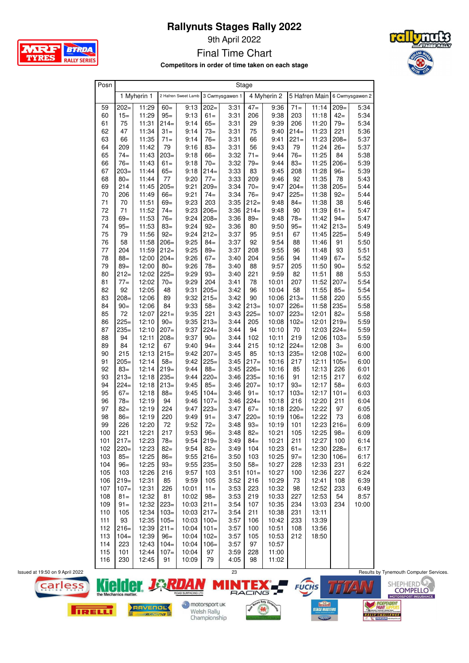9th April 2022

Final Time Chart

**Competitors in order of time taken on each stage**

| Posn     |           |                |              |                     |                  |                | Stage     |                |               |                |                 |                |
|----------|-----------|----------------|--------------|---------------------|------------------|----------------|-----------|----------------|---------------|----------------|-----------------|----------------|
|          |           | 1 Myherin 1    |              | 2 Hafren Sweet Lamb |                  | 3 Cwmysgawen 1 |           | 4 Myherin 2    |               | 5 Hafren Main  |                 | 6 Cwmysgawen 2 |
| 59       | $202=$    | 11:29          | $60 =$       | 9:13                | $202=$           | 3:31           | $47-$     | 9:36           | $71 =$        | 11:14          | $209=$          | 5:34           |
| 60       | $15=$     | 11:29          | $95 =$       | 9:13                | $61 =$           | 3:31           | 206       | 9:38           | 203           | 11:18          | $42 =$          | 5:34           |
| 61       | 75        | 11:31          | $214=$       | 9:14                | $65 =$           | 3:31           | 29        | 9:39           | 206           | 11:20          | $79 =$          | 5:34           |
| 62       | 47        | 11:34          | $31 =$       | 9:14                | $73=$            | 3:31           | 75        | 9:40           | $214=$        | 11:23          | 221             | 5:36           |
| 63       | 66        | 11:35          | $71 =$       | 9:14                | $76=$            | 3:31           | 66        | 9:41           | $221 =$       | 11:23          | $208 =$         | 5:37           |
| 64       | 209       | 11:42          | 79           | 9:16                | $83 =$           | 3:31           | 56        | 9:43           | 79            | 11:24          | $26=$           | 5:37           |
| 65       | $74 =$    | 11:43          | $203=$       | 9:18                | $66=$            | 3:32           | $71 =$    | 9:44           | $76=$         | 11:25          | 84              | 5:38           |
| 66       | $76=$     | 11:43          | $61 =$       | 9:18                | $70 =$           | 3:32           | $79=$     | 9:44           | $83 =$        | 11:25          | $206 =$         | 5:39           |
| 67       | $203=$    | 11:44          | $65=$        | 9:18                | $214=$           | 3:33           | 83        | 9:45           | 208           | 11:28          | $96 =$          | 5:39           |
| 68       | $80=$     | 11:44          | 77           | 9:20                | $77 =$           | 3:33           | 209       | 9:46           | 92            | 11:35          | 78              | 5:43           |
| 69       | 214       | 11:45          | $205=$       | 9:21                | $209=$           | 3:34           | $70 =$    | 9:47           | $204=$        | 11:38          | $205=$          | 5:44           |
| 70       | 206       | 11:49          | $66=$        | 9:21                | $74=$            | 3:34           | $76=$     | 9:47           | $225=$        | 11:38          | $92 =$          | 5:44           |
| 71       | 70        | 11:51          | $69 =$       | 9:23                | 203              | 3:35           | $212=$    | 9:48           | $84 =$        | 11:38          | 38              | 5:46           |
| 72       | 71        | 11:52          | $74=$        | 9:23                | $206=$           | 3:36           | $214=$    | 9:48           | 90            | 11:39          | $61 =$          | 5:47           |
| 73       | $69=$     | 11:53          | $76=$        | 9:24                | $208 =$          | 3:36           | $89=$     | 9:48           | $78 =$        | 11:42          | $94 =$          | 5:47           |
| 74       | $95 =$    | 11:53          | $83 =$       | 9:24                | $92 =$           | 3:36           | 80        | 9:50           | $95 =$        | 11:42          | $213=$          | 5:49           |
| 75       | 79        | 11:56          | $92 =$       | 9:24                | $212=$           | 3:37           | 95        | 9:51           | 67            | 11:45          | $225=$          | 5:49           |
| 76       | 58        | 11:58          | $206 =$      | 9:25                | $84 =$           | 3:37           | 92        | 9:54           | 88            | 11:46          | 91              | 5:50           |
| 77       | 204       | 11:59          | $212=$       | 9:25                | $89 =$           | 3:37           | 208       | 9:55           | 96            | 11:48          | 93              | 5:51           |
| 78       | $88 =$    | 12:00          | $204=$       | 9:26                | $67=$            | 3:40           | 204       | 9:56           | 94            | 11:49          | $67=$           | 5:52           |
| 79       | $89=$     | 12:00          | $80 =$       | 9:26                | $78 =$           | 3:40           | 88        | 9:57           | 205           | 11:50          | $90 =$          | 5:52           |
| 80       | $212=$    | 12:02          | $225=$       | 9:29                | $93=$            | 3:40           | 221       | 9:59           | 82            | 11:51          | 88              | 5:53           |
| 81       | $77=$     | 12:02          | $70 =$       | 9:29                | 204              | 3:41           | 78        | 10:01          | 207           | 11:52          | $207=$          | 5:54           |
| 82       | 92        | 12:05          | 48           | 9:31                | $205 -$          | 3:42           | 96        | 10:04          | 58            | 11:55          | $85 =$          | 5:54           |
| 83       | $208=$    | 12:06          | 89           | 9:32                | $215=$           | 3:42           | 90        | 10:06          | $213=$        | 11:58          | 220             | 5:55           |
| 84       | $90 =$    | 12:06          | 84           | 9:33                | $58=$            | 3:42           | $213=$    | 10:07          | $226=$        | 11:58          | $235=$          | 5:58           |
| 85       | 72        | 12:07          | $221 =$      | 9:35                | 221              | 3:43           | $225=$    | 10:07          | $223=$        | 12:01          | $82 =$          | 5:58           |
| 86       | $225=$    | 12:10          | $90=$        | 9:35                | $213=$           | 3:44           | 205       | 10:08          | $102 =$       | 12:01          | $219=$          | 5:59           |
| 87       | $235=$    | 12:10          | $207=$       | 9:37                | $224=$           | 3:44           | 94        | 10:10          | 70            | 12:03          | $224=$          | 5:59           |
| 88       | 94        | 12:11          | $208 -$      | 9:37                | $90 =$           | 3:44           | 102       | 10:11          | 219           | 12:06          | $103=$          | 5:59           |
| 89       | 84<br>215 | 12:12<br>12:13 | 67<br>$215=$ | 9:40                | $94=$            | 3:44           | 215<br>85 | 10:12<br>10:13 | $224=$        | 12:08          | $3=$<br>$102 =$ | 6:00           |
| 90<br>91 | $205=$    | 12:14          | $58=$        | 9:42<br>9:42        | $207=$<br>$225=$ | 3:45<br>3:45   | $217=$    | 10:16          | $235=$<br>217 | 12:08<br>12:11 | $105 =$         | 6:00<br>6:00   |
| 92       | $83=$     | 12:14          | $219=$       | 9:44                | $88 =$           | 3:45           | $226=$    | 10:16          | 85            | 12:13          | 226             | 6:01           |
| 93       | $213=$    | 12:18          | $235=$       | 9:44                | $220 =$          | 3:46           | $235=$    | 10:16          | 91            | 12:15          | 217             | 6:02           |
| 94       | $224=$    | 12:18          | $213=$       | 9:45                | $85 =$           | 3:46           | $207=$    | 10:17          | $93 =$        | 12:17          | $58=$           | 6:03           |
| 95       | $67=$     | 12:18          | $88 =$       | 9:45                | $104=$           | 3:46           | $91 =$    | 10:17          | $103 =$       | 12:17          | $101 =$         | 6:03           |
| 96       | $78 =$    | 12:19          | 94           | 9:46                | $107 =$          | 3:46           | $224=$    | 10:18          | 216           | 12:20          | 211             | 6:04           |
| 97       | $82 =$    | 12:19          | 224          | 9:47                | $223=$           | 3:47           | $67=$     | 10:18          | $220=$        | 12:22          | 97              | 6:05           |
| 98       | $86=$     | 12:19          | 220          | 9:49                | $91 =$           | 3:47           | $220=$    | 10:19          | $106 =$       | 12:22          | 73              | 6:08           |
| 99       | 226       | 12:20          | 72           | 9:52                | $72 =$           | 3:48           | $93=$     | 10:19          | 101           | 12:23          | $216=$          | 6:09           |
| 100      | 221       | 12:21          | 217          | 9:53                | $96 =$           | 3:48           | $82-$     | 10:21          | 105           | 12:25          | $98 =$          | 6:09           |
| 101      | $217=$    | 12:23          | $78 =$       | 9:54                | $219=$           | 3:49           | $84=$     | 10:21          | 211           | 12:27          | 100             | 6:14           |
| 102      | $220=$    | 12:23          | $82 =$       | 9:54                | $82 =$           | 3:49           | 104       | 10:23          | $61 =$        | 12:30          | $228=$          | 6:17           |
| 103      | $85 =$    | 12:25          | $86=$        | 9:55                | $216=$           | 3:50           | 103       | 10:25          | $97 =$        | 12:30          | $106 =$         | 6:17           |
| 104      | $96 =$    | 12:25          | $93 =$       | 9:55                | $235=$           | 3:50           | $58 =$    | 10:27          | 228           | 12:33          | 231             | 6:22           |
| 105      | 103       | 12:26          | 216          | 9:57                | 103              | 3:51           | $101 =$   | 10:27          | 100           | 12:36          | 227             | 6:24           |
| 106      | $219=$    | 12:31          | 85           | 9:59                | 105              | 3:52           | 216       | 10:29          | 73            | 12:41          | 108             | 6:39           |
| 107      | $107=$    | 12:31          | 226          | 10:01               | $11 =$           | 3:53           | 223       | 10:32          | 98            | 12:52          | 233             | 6:49           |
| 108      | $81 =$    | 12:32          | 81           | 10:02               | $98 =$           | 3:53           | 219       | 10:33          | 227           | 12:53          | 54              | 8:57           |
| 109      | $91 =$    | 12:32          | $223=$       | 10:03               | $211 =$          | 3:54           | 107       | 10:35          | 234           | 13:03          | 234             | 10:00          |
| 110      | 105       | 12:34          | $103=$       | 10:03               | $217=$           | 3:54           | 211       | 10:38          | 231           | 13:11          |                 |                |
| 111      | 93        | 12:35          | $105 =$      | 10:03               | $100=$           | 3:57           | 106       | 10:42          | 233           | 13:39          |                 |                |
| 112      | $216=$    | 12:39          | $211 =$      | 10:04               | $101 =$          | 3:57           | 100       | 10:51          | 108           | 13:56          |                 |                |
| 113      | $104=$    | 12:39          | $96=$        | 10:04               | $102 =$          | 3:57           | 105       | 10:53          | 212           | 18:50          |                 |                |
| 114      | 223       | 12:43          | $104=$       | 10:04               | $106=$           | 3:57           | 97        | 10:57          |               |                |                 |                |
| 115      | 101       | 12:44          | $107 =$      | 10:04               | 97               | 3:59           | 228       | 11:00          |               |                |                 |                |
| 116      | 230       | 12:45          | 91           | 10:09               | 79               | 4:05           | 98        | 11:02          |               |                |                 |                |

**MRF** 

**TYRES** 

BTRDA

**RALLY SERIES** 





motorsport uk Welsh Rally<br>Championship

 $\mathsf{R}$ 







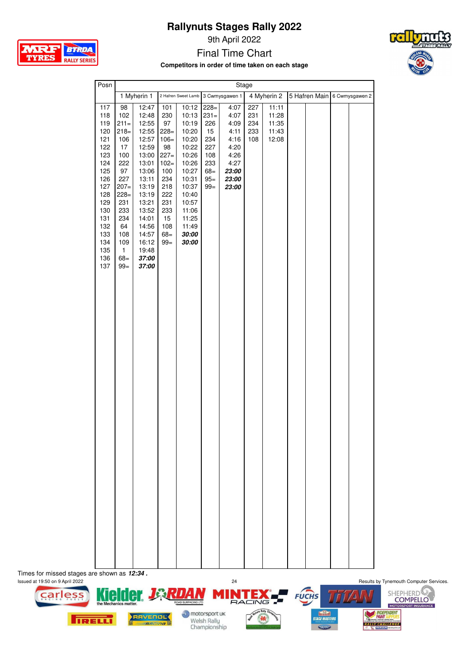9th April 2022



**Competitors in order of time taken on each stage**



| 5 Hafren Main 6 Cwmysgawen 2<br>1 Myherin 1<br>2 Hafren Sweet Lamb 3 Cwmysgawen 1<br>4 Myherin 2<br>117<br>12:47<br>10:12<br>$228=$<br>4:07<br>227<br>11:11<br>98<br>101<br>118<br>102<br>230<br>$231 =$<br>4:07<br>231<br>12:48<br>10:13<br>11:28<br>119<br>$211 =$<br>12:55<br>97<br>10:19<br>226<br>234<br>11:35<br>4:09<br>233<br>120<br>$218=$<br>12:55<br>$228=$<br>10:20<br>15<br>4:11<br>11:43<br>121<br>12:57<br>$106 =$<br>10:20<br>234<br>106<br>4:16<br>108<br>12:08<br>122<br>12:59<br>98<br>10:22<br>227<br>4:20<br>17<br>123<br>100<br>13:00<br>$227=$<br>10:26<br>108<br>4:26<br>124<br>222<br>233<br>4:27<br>13:01<br>$102 =$<br>10:26<br>125<br>13:06<br>10:27<br>23:00<br>97<br>100<br>$68 =$<br>126<br>13:11<br>234<br>23:00<br>227<br>10:31<br>$95 =$<br>13:19<br>218<br>127<br>$207 =$<br>10:37<br>$99 =$<br>23:00<br>128<br>13:19<br>222<br>$228=$<br>10:40<br>129<br>13:21<br>231<br>231<br>10:57<br>130<br>233<br>13:52<br>233<br>11:06<br>131<br>234<br>14:01<br>15<br>11:25<br>132<br>64<br>14:56<br>108<br>11:49<br>133<br>$68 =$<br>30:00<br>108<br>14:57<br>134<br>109<br>16:12<br>$99 =$<br>30:00<br>135<br>$\mathbf{1}$<br>19:48<br>$68 =$<br>136<br>37:00<br>137<br>$99 =$<br>37:00 |
|----------------------------------------------------------------------------------------------------------------------------------------------------------------------------------------------------------------------------------------------------------------------------------------------------------------------------------------------------------------------------------------------------------------------------------------------------------------------------------------------------------------------------------------------------------------------------------------------------------------------------------------------------------------------------------------------------------------------------------------------------------------------------------------------------------------------------------------------------------------------------------------------------------------------------------------------------------------------------------------------------------------------------------------------------------------------------------------------------------------------------------------------------------------------------------------------------------------------|
|                                                                                                                                                                                                                                                                                                                                                                                                                                                                                                                                                                                                                                                                                                                                                                                                                                                                                                                                                                                                                                                                                                                                                                                                                      |
|                                                                                                                                                                                                                                                                                                                                                                                                                                                                                                                                                                                                                                                                                                                                                                                                                                                                                                                                                                                                                                                                                                                                                                                                                      |

Times for missed stages are shown as **12:34.**<br>Issued at 19:50 on 9 April 2022



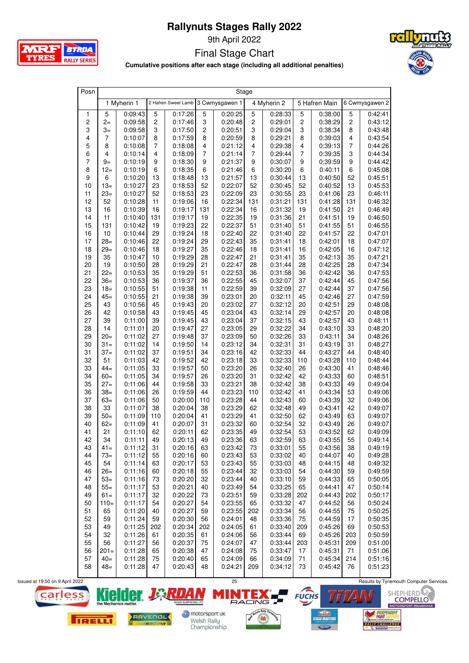

9th April 2022

Final Stage Chart



**Cumulative positions after each stage (including all additional penalties)**

| Posn                    |                |                    |                |                                    |                | Stage              |                         |                    |                         |                    |                         |                    |
|-------------------------|----------------|--------------------|----------------|------------------------------------|----------------|--------------------|-------------------------|--------------------|-------------------------|--------------------|-------------------------|--------------------|
|                         |                | 1 Myherin 1        |                | 2 Hafren Sweet Lamb 3 Cwmysgawen 1 |                |                    |                         | 4 Myherin 2        |                         | 5 Hafren Main      |                         | 6 Cwmysgawen 2     |
| $\mathbf{1}$            | 5              | 0:09:43            | 5              | 0:17:26                            | 5              | 0:20:25            | 5                       | 0:28:33            | 5                       | 0:38:00            | 5                       | 0:42:41            |
| $\boldsymbol{2}$        | $2-$           | 0:09:58            | $\overline{c}$ | 0:17:46                            | 3              | 0:20:48            | $\overline{c}$          | 0:29:01            | $\overline{\mathbf{c}}$ | 0:38:29            | $\overline{\mathbf{c}}$ | 0:43:12            |
| 3                       | $3=$           | 0:09:58            | 3              | 0:17:50                            | $\mathbf 2$    | 0:20:51            | 3                       | 0:29:04            | 3                       | 0:38:34            | 8                       | 0:43:48            |
| $\overline{\mathbf{4}}$ | $\overline{7}$ | 0:10:07            | 8              | 0:17:59                            | 8              | 0:20:59            | 8                       | 0:29:21            | 8                       | 0:39:03            | 4                       | 0:43:54            |
| 5                       | 8              | 0:10:08            | 7              | 0:18:08                            | 4              | 0:21:12            | $\overline{\mathbf{4}}$ | 0:29:38            | 4                       | 0:39:13            | 7                       | 0:44:26            |
| 6                       | $\overline{4}$ | 0:10:14            | 4              | 0:18:09                            | $\overline{7}$ | 0:21:14            | $\overline{7}$          | 0:29:44            | $\overline{7}$          | 0:39:35            | 3                       | 0:44:34            |
| $\overline{7}$          | $9=$           | 0:10:19            | 9              | 0:18:30                            | 9              | 0:21:37            | 9                       | 0:30:07            | 9                       | 0:39:59            | 9                       | 0:44:42            |
| 8                       | $12 =$         | 0:10:19            | 6              | 0:18:35                            | 6              | 0:21:46            | 6                       | 0:30:20            | 6                       | 0:40:11            | 6                       | 0:45:08            |
| 9                       | 6              | 0:10:20            | 13             | 0:18:48                            | 13             | 0:21:57            | 13                      | 0:30:44            | 13                      | 0:40:50            | 52                      | 0:45:51            |
| 10                      | $13=$          | 0:10:27            | 23             | 0:18:53                            | 52             | 0:22:07            | 52                      | 0:30:45            | 52                      | 0:40:52            | 13                      | 0:45:53            |
| 11                      | $23=$          | 0:10:27            | 52             | 0:18:53                            | 23             | 0:22:09            | 23                      | 0:30:55            | 23                      | 0:41:06            | 23                      | 0:46:11            |
| 12                      | 52             | 0:10:28            | 11             | 0:19:06                            | 16             | 0:22:34            | 131                     | 0:31:21            | 131                     | 0:41:28            | 131                     | 0:46:32            |
| 13                      | 16             | 0:10:39            | 16             | 0:19:17                            | 131            | 0:22:34            | 16                      | 0:31:32            | 19                      | 0:41:50            | 21                      | 0:46:49            |
| 14                      | 11             | 0:10:40            | 131            | 0:19:17                            | 19             | 0:22:35            | 19                      | 0:31:36            | 21                      | 0:41:51            | 19                      | 0:46:50            |
| 15                      | 131            | 0:10:42            | 19             | 0:19:23                            | 22             | 0:22:37            | 51                      | 0:31:40            | 51                      | 0:41:55            | 51                      | 0:46:55            |
| 16                      | 10             | 0:10:44            | 29             | 0:19:24                            | 18             | 0:22:40            | 22                      | 0:31:40            | 22                      | 0:41:57            | 22                      | 0:47:01            |
| 17                      | $28=$          | 0:10:46            | 22             | 0:19:24                            | 29             | 0:22:43            | 35                      | 0:31:41            | 18                      | 0:42:01            | 18                      | 0:47:07            |
| 18                      | $29=$          | 0:10:46            | 18             | 0:19:27                            | 35             | 0:22:46            | 18                      | 0:31:41            | 16                      | 0:42:05            | 16                      | 0:47:12            |
| 19                      | 35             | 0:10:47            | 10             | 0:19:29                            | 28             | 0:22:47            | 21                      | 0:31:41            | 35                      | 0:42:13            | 35                      | 0:47:21            |
| 20                      | 19             | 0:10:50            | 28             | 0:19:29                            | 21             | 0:22:47            | 28                      | 0:31:44            | 28                      | 0:42:25            | 28                      | 0:47:34            |
| 21                      | $22 =$         | 0:10:53            | 35             | 0:19:29                            | 51             | 0:22:53            | 36                      | 0:31:58            | 36                      | 0:42:42            | 36                      | 0:47:53            |
| 22                      | $36=$          | 0:10:53            | 36             | 0:19:37                            | 36             | 0:22:55            | 45                      | 0:32:07            | 37                      | 0:42:44            | 45                      | 0:47:56            |
| 23                      | $18=$          | 0:10:55            | 51             | 0:19:38                            | 11             | 0:22:59            | 39                      | 0:32:09            | 27                      | 0:42:44            | 37                      | 0:47:56            |
| 24                      | $45=$          | 0:10:55            | 21             | 0:19:38                            | 39             | 0:23:01            | 20                      | 0:32:11            | 45                      | 0:42:46            | 27                      | 0:47:59            |
| 25                      | 43             | 0:10:56            | 45             | 0:19:43                            | 20             | 0:23:02            | 27                      | 0:32:12            | 20                      | 0:42:51            | 29                      | 0:48:08            |
| 26                      | 42             | 0:10:58            | 43             | 0:19:45                            | 45             | 0:23:04            | 43                      | 0:32:14            | 29                      | 0:42:57            | 20                      | 0:48:08            |
| 27                      | 39             | 0:11:00            | 39             | 0:19:45                            | 43             | 0:23:04            | 37                      | 0:32:15            | 43                      | 0:42:57            | 43                      | 0:48:11            |
| 28                      | 14             | 0:11:01            | 20             | 0:19:47                            | 27             | 0:23:05            | 29                      | 0:32:22            | 34                      | 0:43:10            | 33                      | 0:48:20            |
| 29                      | $20 =$         | 0:11:02            | 27             | 0:19:48                            | 37             | 0:23:09            | 50                      | 0:32:26            | 33                      | 0:43:11            | 34                      | 0:48:26            |
| 30                      | $31 =$         | 0:11:02            | 14             | 0:19:50                            | 14             | 0:23:12            | 34                      | 0:32:31            | 31                      | 0:43:19            | 31                      | 0:48:27            |
| 31                      | $37=$          | 0:11:02            | 37             | 0:19:51                            | 34             | 0:23:16            | 42                      | 0:32:33            | 44                      | 0:43:27            | 44                      | 0:48:40            |
| 32<br>33                | 51<br>$44=$    | 0:11:03<br>0:11:05 | 42<br>33       | 0:19:52<br>0:19:57                 | 42<br>50       | 0:23:18<br>0:23:20 | 33<br>26                | 0:32:33<br>0:32:40 | 110<br>26               | 0:43:28<br>0:43:30 | 110<br>41               | 0:48:44<br>0:48:46 |
| 34                      | $60 =$         | 0:11:05            | 34             | 0:19:57                            | 26             | 0:23:20            | 31                      | 0:32:42            | 42                      | 0:43:33            | 60                      | 0:48:51            |
| 35                      | $27 =$         | 0:11:06            | 44             | 0:19:58                            | 33             | 0:23:21            | 38                      | 0:32:42            | 38                      | 0:43:33            | 49                      | 0:49:04            |
| 36                      | $38 =$         | 0:11:06            | 26             | 0:19:59                            | 44             | 0:23:23            | 110                     | 0:32:42            | 41                      | 0:43:34            | 53                      | 0:49:06            |
| 37                      | $63=$          | 0:11:06            | 50             | 0:20:00                            | 110            | 0:23:28            | 44                      | 0:32:43            | 60                      | 0:43:39            | 32                      | 0:49:06            |
| 38                      | 33             | 0:11:07            | 38             | 0:20:04                            | 38             | 0:23:29            | 62                      | 0:32:48            | 49                      | 0:43:41            | 42                      | 0:49:07            |
| 39                      | $50=$          | 0:11:09            | 110            | 0:20:04                            | 41             | 0:23:29            | 41                      | 0:32:50            | 62                      | 0:43:49            | 63                      | 0:49:07            |
| 40                      | $62 =$         | 0:11:09            | 41             | 0:20:07                            | 31             | 0:23:32            | 60                      | 0:32:54            | 32                      | 0:43:49            | 26                      | 0:49:07            |
| 41                      | 21             | 0:11:10            | 62             | 0:20:11                            | 62             | 0:23:35            | 49                      | 0:32:54            | 53                      | 0:43:52            | 62                      | 0:49:09            |
| 42                      | 34             | 0:11:11            | 49             | 0:20:13                            | 49             | 0:23:36            | 63                      | 0:32:59            | 63                      | 0:43:55            | 55                      | 0:49:14            |
| 43                      | $41 =$         | 0:11:12            | 31             | 0:20:16                            | 63             | 0:23:42            | 73                      | 0:33:01            | 55                      | 0:43:56            | 38                      | 0:49:19            |
| 44                      | $73 =$         | 0:11:12            | 55             | 0:20:16                            | 60             | 0:23:43            | 53                      | 0:33:02            | 40                      | 0:44:07            | 40                      | 0:49:28            |
| 45                      | 54             | 0:11:14            | 63             | 0:20:17                            | 53             | 0:23:43            | 55                      | 0:33:03            | 48                      | 0:44:15            | 48                      | 0:49:32            |
| 46                      | $26=$          | 0:11:16            | 60             | 0:20:18                            | 55             | 0:23:44            | 32                      | 0:33:03            | 54                      | 0:44:30            | 59                      | 0:49:59            |
| 47                      | $53=$          | 0:11:16            | 73             | 0:20:20                            | 32             | 0:23:44            | 40                      | 0:33:10            | 59                      | 0:44:33            | 65                      | 0:50:05            |
| 48                      | $55=$          | 0:11:17            | 53             | 0:20:21                            | 40             | 0:23:49            | 54                      | 0:33:25            | 65                      | 0:44:41            | 47                      | 0:50:14            |
| 49                      | $61 =$         | 0:11:17            | 32             | 0:20:22                            | 73             | 0:23:51            | 59                      | 0:33:28            | 202                     | 0:44:43            | 202                     | 0:50:17            |
| 50                      | $110=$         | 0:11:17            | 54             | 0:20:27                            | 54             | 0:23:55            | 65                      | 0:33:32            | 47                      | 0:44:52            | 56                      | 0:50:24            |
| 51                      | 65             | 0:11:20            | 40             | 0:20:27                            | 59             | 0:23:55            | 202                     | 0:33:34            | 56                      | 0:44:55            | 75                      | 0:50:25            |
| 52                      | 59             | 0:11:24            | 59             | 0:20:30                            | 56             | 0:24:01            | 48                      | 0:33:36            | 75                      | 0:44:59            | 17                      | 0:50:35            |
| 53                      | 49             | 0:11:25            | 202            | 0:20:34                            | 202            | 0:24:05            | 61                      | 0:33:40            | 209                     | 0:45:26            | 69                      | 0:50:53            |
| 54                      | 32             | 0:11:26            | 61             | 0:20:35                            | 61             | 0:24:06            | 56                      | 0:33:44            | 69                      | 0:45:26            | 203                     | 0:50:59            |
| 55                      | 56             | 0:11:27            | 56             | 0:20:37                            | 75             | 0:24:07            | 47                      | 0:33:44            | 203                     | 0:45:31            | 209                     | 0:51:00            |
| 56                      | $201 =$        | 0:11:28            | 65             | 0:20:38                            | 47             | 0:24:08            | 75                      | 0:33:47            | 17                      | 0:45:31            | 71                      | 0:51:06            |
| 57                      | $40=$          | 0:11:28            | 75             | 0:20:40                            | 65             | 0:24:09            | 66                      | 0:34:09            | 71                      | 0:45:34            | 214                     | 0:51:16            |
| 58                      | $48 =$         | 0:11:28            | 47             | 0:20:43                            | 48             | 0:24:21            | 209                     | 0:34:12            | $73\,$                  | 0:45:42            | 76                      | 0:51:23            |

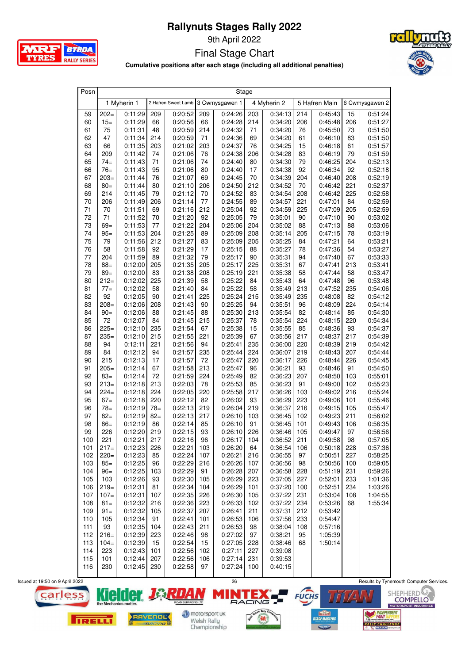

9th April 2022

Final Stage Chart



**Cumulative positions after each stage (including all additional penalties)**

| Posn     | Stage         |                    |          |                                    |           |                    |          |                    |           |                    |           |                    |
|----------|---------------|--------------------|----------|------------------------------------|-----------|--------------------|----------|--------------------|-----------|--------------------|-----------|--------------------|
|          |               | 1 Myherin 1        |          | 2 Hafren Sweet Lamb 3 Cwmysgawen 1 |           |                    |          | 4 Myherin 2        |           | 5 Hafren Main      |           | 6 Cwmysgawen 2     |
| 59       | $202=$        | 0:11:29            | 209      | 0:20:52                            | 209       | 0:24:26            | 203      | 0:34:13            | 214       | 0:45:43            | 15        | 0:51:24            |
| 60       | $15=$         | 0:11:29            | 66       | 0:20:56                            | 66        | 0:24:28            | 214      | 0:34:20            | 206       | 0:45:48            | 206       | 0:51:27            |
| 61       | 75            | 0:11:31            | 48       | 0:20:59                            | 214       | 0:24:32            | 71       | 0:34:20            | 76        | 0:45:50            | 73        | 0:51:50            |
| 62       | 47            | 0:11:34            | 214      | 0:20:59                            | 71        | 0:24:36            | 69       | 0:34:20            | 61        | 0:46:10            | 83        | 0:51:50            |
| 63       | 66            | 0:11:35            | 203      | 0:21:02                            | 203       | 0:24:37            | 76       | 0:34:25            | 15        | 0:46:18            | 61        | 0:51:57            |
| 64       | 209           | 0:11:42            | 74       | 0:21:06                            | 76        | 0:24:38            | 206      | 0:34:28            | 83        | 0:46:19            | 79        | 0:51:59            |
| 65       | $74=$         | 0:11:43            | 71       | 0:21:06                            | 74        | 0:24:40            | 80       | 0:34:30            | 79        | 0:46:25            | 204       | 0:52:13            |
| 66       | $76=$         | 0:11:43            | 95       | 0:21:06                            | 80        | 0:24:40            | 17       | 0:34:38            | 92        | 0:46:34            | 92        | 0:52:18            |
| 67       | $203=$        | 0:11:44            | 76       | 0:21:07                            | 69        | 0:24:45            | 70       | 0:34:39            | 204       | 0:46:40            | 208       | 0:52:19            |
| 68       | $80=$         | 0:11:44            | 80       | 0:21:10                            | 206       | 0:24:50            | 212      | 0:34:52            | 70        | 0:46:42            | 221       | 0:52:37            |
| 69       | 214           | 0:11:45            | 79       | 0:21:12                            | 70        | 0:24:52            | 83       | 0:34:54            | 208       | 0:46:42            | 225       | 0:52:58            |
| 70       | 206           | 0:11:49            | 206      | 0:21:14                            | 77        | 0:24:55            | 89       | 0:34:57            | 221       | 0:47:01            | 84        | 0:52:59            |
| 71       | 70            | 0:11:51            | 69       | 0:21:16                            | 212       | 0:25:04            | 92       | 0:34:59            | 225       | 0:47:09            | 205       | 0:52:59            |
| 72       | 71            | 0:11:52            | 70       | 0:21:20                            | 92        | 0:25:05            | 79       | 0:35:01            | 90        | 0:47:10            | 90        | 0:53:02            |
| 73       | $69 =$        | 0:11:53            | 77       | 0:21:22                            | 204       | 0:25:06            | 204      | 0:35:02            | 88        | 0:47:13            | 88        | 0:53:06            |
| 74       | $95=$         | 0:11:53            | 204      | 0:21:25                            | 89        | 0:25:09            | 208      | 0:35:14            | 205       | 0:47:15            | 78        | 0:53:19            |
| 75       | 79            | 0:11:56            | 212      | 0:21:27                            | 83        | 0:25:09            | 205      | 0:35:25            | 84        | 0:47:21            | 64        | 0:53:21            |
| 76       | 58            | 0:11:58            | 92       | 0:21:29                            | 17        | 0:25:15            | 88       | 0:35:27            | 78        | 0:47:36            | 54        | 0:53:27            |
| 77       | 204           | 0:11:59            | 89       | 0:21:32                            | 79        | 0:25:17            | 90       | 0:35:31            | 94        | 0:47:40            | 67        | 0:53:33            |
| 78       | $88 =$        | 0:12:00            | 205      | 0:21:35                            | 205       | 0:25:17            | 225      | 0:35:31            | 67        | 0:47:41            | 213       | 0:53:41            |
| 79       | $89=$         | 0:12:00            | 83       | 0:21:38                            | 208       | 0:25:19            | 221      | 0:35:38            | 58        | 0:47:44            | 58        | 0:53:47            |
| 80       | $212=$        | 0:12:02            | 225      | 0:21:39                            | 58        | 0:25:22            | 84       | 0:35:43            | 64        | 0:47:48            | 96        | 0:53:48            |
| 81       | $77 =$        | 0:12:02            | 58       | 0:21:40                            | 84        | 0:25:22            | 58       | 0:35:49            | 213       | 0:47:52            | 235       | 0.54:06            |
| 82       | 92            | 0:12:05            | 90       | 0:21:41                            | 225       | 0:25:24            | 215      | 0:35:49            | 235       | 0:48:08            | 82        | 0:54:12            |
| 83       | $208 =$       | 0:12:06            | 208      | 0:21:43                            | 90        | 0:25:25            | 94       | 0:35:51            | 96        | 0:48:09            | 224       | 0.54:14            |
| 84       | $90 =$        | 0:12:06            | 88       | 0:21:45                            | 88        | 0:25:30            | 213      | 0:35:54            | 82        | 0:48:14            | 85        | 0:54:30            |
| 85       | 72            | 0:12:07            | 84       | 0:21:45                            | 215       | 0:25:37            | 78       | 0:35:54            | 224       | 0:48:15            | 220       | 0:54:34            |
| 86       | $225=$        | 0:12:10            | 235      | 0:21:54                            | 67        | 0:25:38            | 15       | 0:35:55            | 85        | 0:48:36            | 93        | 0:54:37            |
| 87       | $235=$        | 0:12:10            | 215      | 0:21:55                            | 221       | 0:25:39            | 67       | 0:35:56            | 217       | 0:48:37            | 217       | 0:54:39            |
| 88       | 94            | 0:12:11            | 221      | 0:21:56                            | 94        | 0:25:41            | 235      | 0:36:00            | 220       | 0:48:39            | 219       | 0.54.42            |
| 89       | 84            | 0:12:12            | 94       | 0:21:57                            | 235       | 0:25:44            | 224      | 0:36:07            | 219       | 0:48:43            | 207       | 0.54:44            |
| 90<br>91 | 215<br>$205=$ | 0:12:13            | 17<br>67 | 0:21:57<br>0:21:58                 | 72<br>213 | 0:25:47<br>0:25:47 | 220      | 0:36:17            | 226       | 0:48:44<br>0:48:46 | 226<br>91 | 0.54.45            |
| 92       | $83 =$        | 0:12:14<br>0:12:14 | 72       | 0:21:59                            | 224       | 0:25:49            | 96<br>82 | 0:36:21<br>0:36:23 | 93<br>207 | 0:48:50            | 103       | 0.54:50<br>0:55:01 |
| 93       | $213=$        | 0:12:18            | 213      | 0:22:03                            | 78        | 0:25:53            | 85       | 0:36:23            | 91        | 0:49:00            | 102       | 0:55:23            |
| 94       | $224=$        | 0:12:18            | 224      | 0:22:05                            | 220       | 0:25:58            | 217      | 0:36:26            | 103       | 0:49:02            | 216       | 0:55:24            |
| 95       | $67=$         | 0:12:18            | 220      | 0:22:12                            | 82        | 0:26:02            | 93       | 0:36:29            | 223       | 0:49:06            | 101       | 0:55:46            |
| 96       | $78 =$        | 0:12:19            | $78 =$   | 0:22:13                            | 219       | 0:26:04            | 219      | 0:36:37            | 216       | 0:49:15            | 105       | 0:55:47            |
| 97       | $82 =$        | 0:12:19            | $82 =$   | 0:22:13                            | 217       | 0:26:10            | 103      | 0:36:45            | 102       | 0:49:23            | 211       | 0:56:02            |
| 98       | $86=$         | 0:12:19            | 86       | 0:22:14                            | 85        | 0:26:10            | 91       | 0:36:45            | 101       | 0:49:43            | 106       | 0:56:35            |
| 99       | 226           | 0:12:20            | 219      | 0:22:15                            | 93        | 0:26:10            | 226      | 0:36:46            | 105       | 0:49:47            | 97        | 0:56:56            |
| 100      | 221           | 0:12:21            | 217      | 0:22:16                            | 96        | 0:26:17            | 104      | 0:36:52            | 211       | 0:49:58            | 98        | 0:57:05            |
| 101      | $217=$        | 0:12:23            | 226      | 0:22:21                            | 103       | 0:26:20            | 64       | 0:36:54            | 106       | 0:50:18            | 228       | 0:57:36            |
| 102      | $220=$        | 0:12:23            | 85       | 0:22:24                            | 107       | 0:26:21            | 216      | 0:36:55            | 97        | 0:50:51            | 227       | 0:58:25            |
| 103      | $85=$         | 0:12:25            | 96       | 0:22:29                            | 216       | 0:26:26            | 107      | 0:36:56            | 98        | 0:50:56            | 100       | 0:59:05            |
| 104      | $96 =$        | 0:12:25            | 103      | 0:22:29                            | 91        | 0:26:28            | 207      | 0:36:58            | 228       | 0:51:19            | 231       | 0:59:26            |
| 105      | 103           | 0:12:26            | 93       | 0:22:30                            | 105       | 0:26:29            | 223      | 0:37:05            | 227       | 0:52:01            | 233       | 1:01:36            |
| 106      | $219=$        | 0:12:31            | 81       | 0:22:34                            | 104       | 0:26:29            | 101      | 0:37:20            | 100       | 0:52:51            | 234       | 1:03:26            |
| 107      | $107 =$       | 0:12:31            | 107      | 0:22:35                            | 226       | 0:26:30            | 105      | 0:37:22            | 231       | 0:53:04            | 108       | 1:04:55            |
| 108      | $81 =$        | 0:12:32            | 216      | 0:22:36                            | 223       | 0:26:33            | 102      | 0:37:22            | 234       | 0:53:26            | 68        | 1:55:34            |
| 109      | $91 =$        | 0:12:32            | 105      | 0:22:37                            | 207       | 0:26:41            | 211      | 0:37:31            | 212       | 0:53:42            |           |                    |
| 110      | 105           | 0:12:34            | 91       | 0:22:41                            | 101       | 0:26:53            | 106      | 0:37:56            | 233       | 0:54:47            |           |                    |
| 111      | 93            | 0:12:35            | 104      | 0:22:43                            | 211       | 0:26:53            | 98       | 0:38:04            | 108       | 0:57:16            |           |                    |
| 112      | $216=$        | 0:12:39            | 223      | 0:22:46                            | 98        | 0:27:02            | 97       | 0:38:21            | 95        | 1:05:39            |           |                    |
| 113      | $104=$        | 0:12:39            | 15       | 0:22:54                            | 15        | 0:27:05            | 228      | 0:38:46            | 68        | 1:50:14            |           |                    |
| 114      | 223           | 0:12:43            | 101      | 0:22:56                            | 102       | 0:27:11            | 227      | 0:39:08            |           |                    |           |                    |
| 115      | 101           | 0:12:44            | 207      | 0:22:56                            | 106       | 0:27:14            | 231      | 0:39:53            |           |                    |           |                    |
| 116      | 230           | $0:12:45$ 230      |          | 0:22:58                            | 97        | 0:27:24            | 100      | 0:40:15            |           |                    |           |                    |